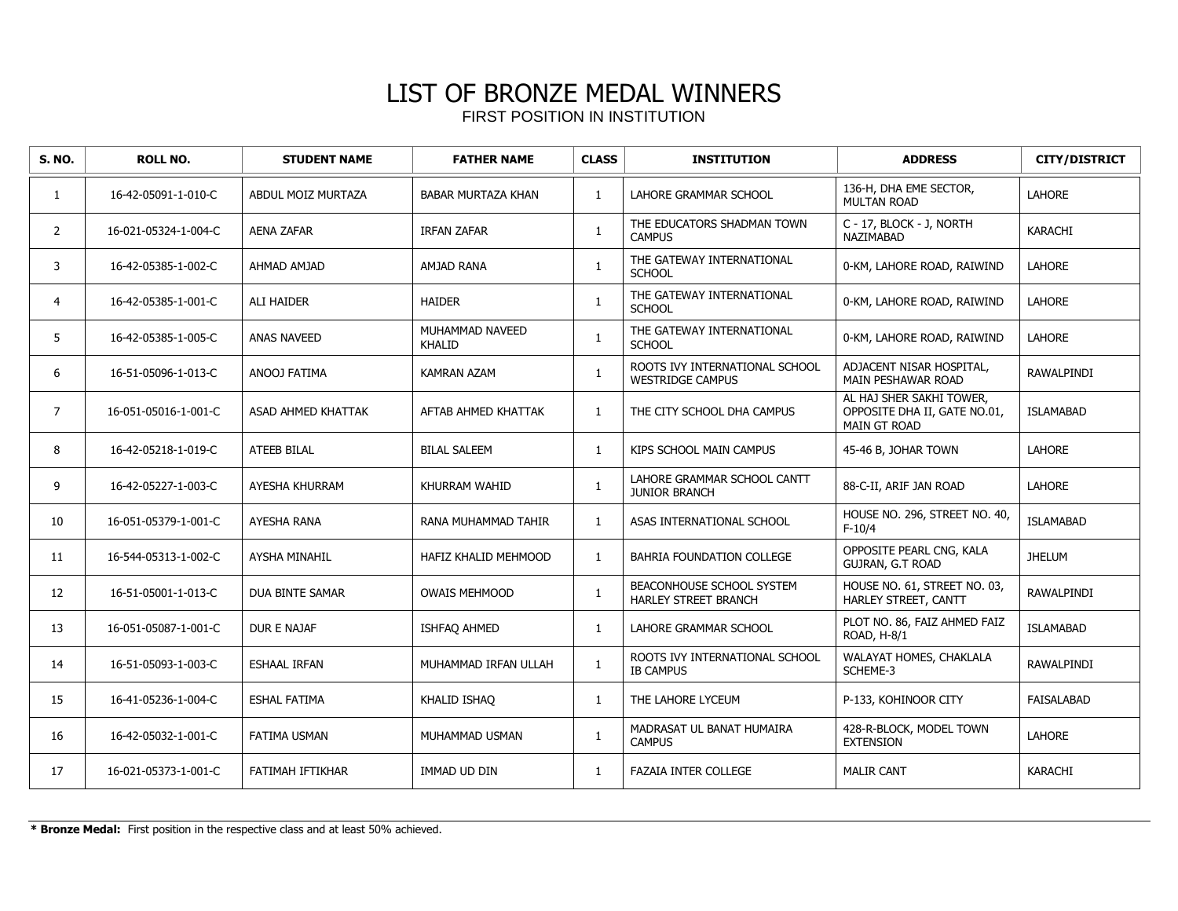| <b>S. NO.</b>  | <b>ROLL NO.</b>      | <b>STUDENT NAME</b>    | <b>FATHER NAME</b>               | <b>CLASS</b> | <b>INSTITUTION</b>                                        | <b>ADDRESS</b>                                                                  | <b>CITY/DISTRICT</b> |
|----------------|----------------------|------------------------|----------------------------------|--------------|-----------------------------------------------------------|---------------------------------------------------------------------------------|----------------------|
| 1              | 16-42-05091-1-010-C  | ABDUL MOIZ MURTAZA     | <b>BABAR MURTAZA KHAN</b>        | $\mathbf{1}$ | LAHORE GRAMMAR SCHOOL                                     | 136-H, DHA EME SECTOR,<br><b>MULTAN ROAD</b>                                    | <b>LAHORE</b>        |
| $\overline{2}$ | 16-021-05324-1-004-C | <b>AENA ZAFAR</b>      | <b>IRFAN ZAFAR</b>               | $\mathbf{1}$ | THE EDUCATORS SHADMAN TOWN<br><b>CAMPUS</b>               | C - 17, BLOCK - J, NORTH<br>NAZIMABAD                                           | KARACHI              |
| 3              | 16-42-05385-1-002-C  | AHMAD AMJAD            | <b>AMJAD RANA</b>                | $\mathbf{1}$ | THE GATEWAY INTERNATIONAL<br><b>SCHOOL</b>                | 0-KM, LAHORE ROAD, RAIWIND                                                      | LAHORE               |
| 4              | 16-42-05385-1-001-C  | <b>ALI HAIDER</b>      | <b>HAIDER</b>                    | $\mathbf{1}$ | THE GATEWAY INTERNATIONAL<br><b>SCHOOL</b>                | 0-KM, LAHORE ROAD, RAIWIND                                                      | <b>LAHORE</b>        |
| 5              | 16-42-05385-1-005-C  | <b>ANAS NAVEED</b>     | MUHAMMAD NAVEED<br><b>KHALID</b> | $\mathbf{1}$ | THE GATEWAY INTERNATIONAL<br><b>SCHOOL</b>                | 0-KM, LAHORE ROAD, RAIWIND                                                      | LAHORE               |
| 6              | 16-51-05096-1-013-C  | ANOOJ FATIMA           | <b>KAMRAN AZAM</b>               | $\mathbf{1}$ | ROOTS IVY INTERNATIONAL SCHOOL<br><b>WESTRIDGE CAMPUS</b> | ADJACENT NISAR HOSPITAL,<br>MAIN PESHAWAR ROAD                                  | RAWALPINDI           |
| $\overline{7}$ | 16-051-05016-1-001-C | ASAD AHMED KHATTAK     | AFTAB AHMED KHATTAK              | $\mathbf{1}$ | THE CITY SCHOOL DHA CAMPUS                                | AL HAJ SHER SAKHI TOWER.<br>OPPOSITE DHA II, GATE NO.01,<br><b>MAIN GT ROAD</b> | <b>ISLAMABAD</b>     |
| 8              | 16-42-05218-1-019-C  | <b>ATEEB BILAL</b>     | <b>BILAL SALEEM</b>              | $\mathbf{1}$ | KIPS SCHOOL MAIN CAMPUS                                   | 45-46 B, JOHAR TOWN                                                             | <b>LAHORE</b>        |
| 9              | 16-42-05227-1-003-C  | AYESHA KHURRAM         | KHURRAM WAHID                    | $\mathbf{1}$ | LAHORE GRAMMAR SCHOOL CANTT<br><b>JUNIOR BRANCH</b>       | 88-C-II, ARIF JAN ROAD                                                          | LAHORE               |
| 10             | 16-051-05379-1-001-C | AYESHA RANA            | RANA MUHAMMAD TAHIR              | $\mathbf{1}$ | ASAS INTERNATIONAL SCHOOL                                 | HOUSE NO. 296, STREET NO. 40,<br>$F-10/4$                                       | <b>ISLAMABAD</b>     |
| 11             | 16-544-05313-1-002-C | <b>AYSHA MINAHIL</b>   | HAFIZ KHALID MEHMOOD             | $\mathbf{1}$ | BAHRIA FOUNDATION COLLEGE                                 | OPPOSITE PEARL CNG, KALA<br><b>GUJRAN, G.T ROAD</b>                             | <b>JHELUM</b>        |
| 12             | 16-51-05001-1-013-C  | <b>DUA BINTE SAMAR</b> | <b>OWAIS MEHMOOD</b>             | $\mathbf{1}$ | BEACONHOUSE SCHOOL SYSTEM<br>HARLEY STREET BRANCH         | HOUSE NO. 61, STREET NO. 03,<br>HARLEY STREET, CANTT                            | <b>RAWALPINDI</b>    |
| 13             | 16-051-05087-1-001-C | DUR E NAJAF            | ISHFAQ AHMED                     | $\mathbf{1}$ | LAHORE GRAMMAR SCHOOL                                     | PLOT NO. 86, FAIZ AHMED FAIZ<br>ROAD, H-8/1                                     | <b>ISLAMABAD</b>     |
| 14             | 16-51-05093-1-003-C  | <b>ESHAAL IRFAN</b>    | MUHAMMAD IRFAN ULLAH             | $\mathbf{1}$ | ROOTS IVY INTERNATIONAL SCHOOL<br><b>IB CAMPUS</b>        | WALAYAT HOMES, CHAKLALA<br>SCHEME-3                                             | <b>RAWALPINDI</b>    |
| 15             | 16-41-05236-1-004-C  | <b>ESHAL FATIMA</b>    | KHALID ISHAQ                     | $\mathbf{1}$ | THE LAHORE LYCEUM                                         | P-133, KOHINOOR CITY                                                            | <b>FAISALABAD</b>    |
| 16             | 16-42-05032-1-001-C  | FATIMA USMAN           | MUHAMMAD USMAN                   | $\mathbf{1}$ | MADRASAT UL BANAT HUMAIRA<br><b>CAMPUS</b>                | 428-R-BLOCK, MODEL TOWN<br><b>EXTENSION</b>                                     | <b>LAHORE</b>        |
| 17             | 16-021-05373-1-001-C | FATIMAH IFTIKHAR       | IMMAD UD DIN                     | $\mathbf{1}$ | <b>FAZAIA INTER COLLEGE</b>                               | <b>MALIR CANT</b>                                                               | <b>KARACHI</b>       |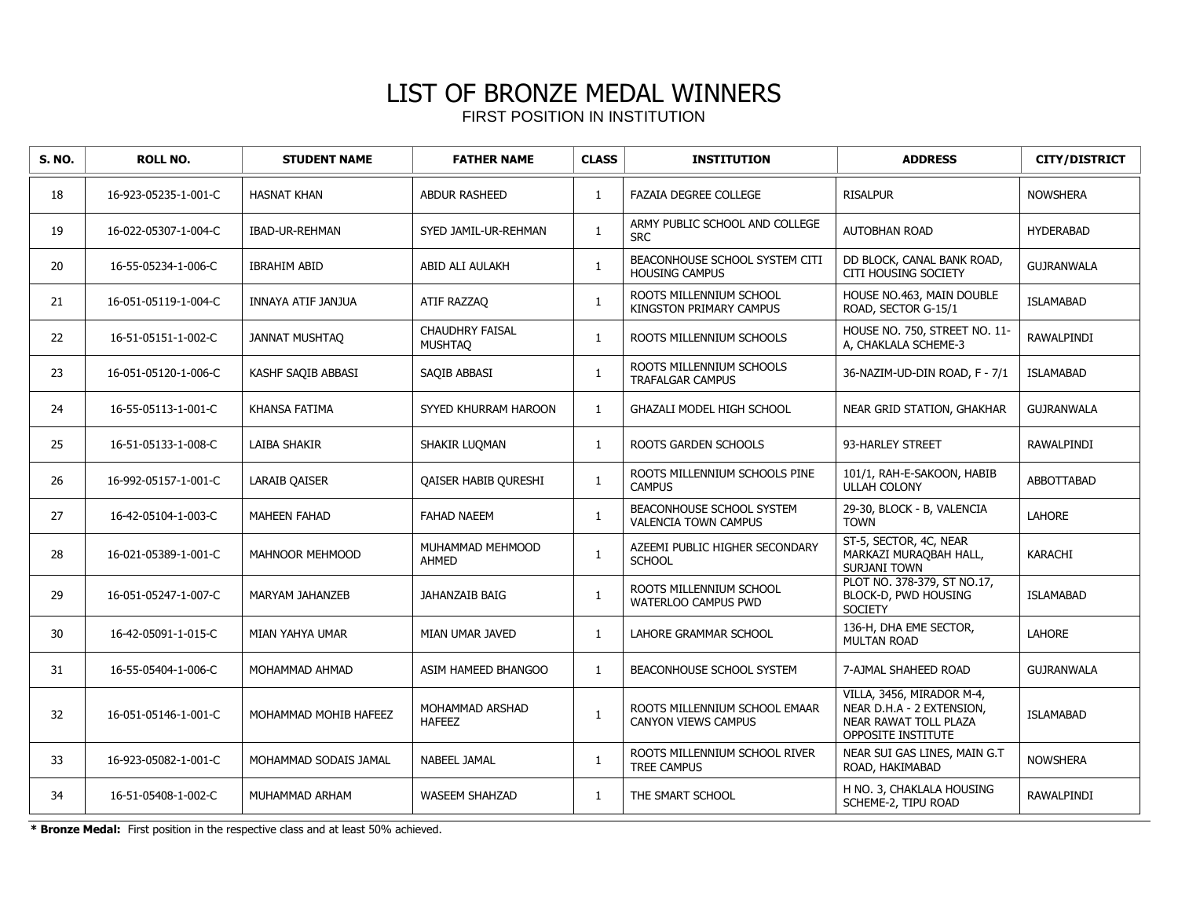| <b>S. NO.</b> | <b>ROLL NO.</b>      | <b>STUDENT NAME</b>   | <b>FATHER NAME</b>                       | <b>CLASS</b> | <b>INSTITUTION</b>                                          | <b>ADDRESS</b>                                                                                        | <b>CITY/DISTRICT</b> |
|---------------|----------------------|-----------------------|------------------------------------------|--------------|-------------------------------------------------------------|-------------------------------------------------------------------------------------------------------|----------------------|
| 18            | 16-923-05235-1-001-C | <b>HASNAT KHAN</b>    | <b>ABDUR RASHEED</b>                     | 1            | <b>FAZAIA DEGREE COLLEGE</b>                                | <b>RISALPUR</b>                                                                                       | <b>NOWSHERA</b>      |
| 19            | 16-022-05307-1-004-C | IBAD-UR-REHMAN        | SYED JAMIL-UR-REHMAN                     | $\mathbf{1}$ | ARMY PUBLIC SCHOOL AND COLLEGE<br><b>SRC</b>                | <b>AUTOBHAN ROAD</b>                                                                                  | <b>HYDERABAD</b>     |
| 20            | 16-55-05234-1-006-C  | <b>IBRAHIM ABID</b>   | ABID ALI AULAKH                          | $\mathbf{1}$ | BEACONHOUSE SCHOOL SYSTEM CITI<br><b>HOUSING CAMPUS</b>     | DD BLOCK, CANAL BANK ROAD,<br><b>CITI HOUSING SOCIETY</b>                                             | <b>GUJRANWALA</b>    |
| 21            | 16-051-05119-1-004-C | INNAYA ATIF JANJUA    | ATIF RAZZAQ                              | $\mathbf{1}$ | ROOTS MILLENNIUM SCHOOL<br>KINGSTON PRIMARY CAMPUS          | HOUSE NO.463, MAIN DOUBLE<br>ROAD, SECTOR G-15/1                                                      | <b>ISLAMABAD</b>     |
| 22            | 16-51-05151-1-002-C  | <b>JANNAT MUSHTAQ</b> | <b>CHAUDHRY FAISAL</b><br><b>MUSHTAQ</b> | $\mathbf{1}$ | ROOTS MILLENNIUM SCHOOLS                                    | HOUSE NO. 750, STREET NO. 11-<br>A, CHAKLALA SCHEME-3                                                 | RAWALPINDI           |
| 23            | 16-051-05120-1-006-C | KASHF SAQIB ABBASI    | SAQIB ABBASI                             | $\mathbf{1}$ | ROOTS MILLENNIUM SCHOOLS<br><b>TRAFALGAR CAMPUS</b>         | 36-NAZIM-UD-DIN ROAD, F - 7/1                                                                         | <b>ISLAMABAD</b>     |
| 24            | 16-55-05113-1-001-C  | <b>KHANSA FATIMA</b>  | SYYED KHURRAM HAROON                     | $\mathbf{1}$ | GHAZALI MODEL HIGH SCHOOL                                   | NEAR GRID STATION, GHAKHAR                                                                            | <b>GUJRANWALA</b>    |
| 25            | 16-51-05133-1-008-C  | LAIBA SHAKIR          | SHAKIR LUQMAN                            | $\mathbf{1}$ | ROOTS GARDEN SCHOOLS                                        | 93-HARLEY STREET                                                                                      | RAWALPINDI           |
| 26            | 16-992-05157-1-001-C | <b>LARAIB QAISER</b>  | QAISER HABIB QURESHI                     | $\mathbf{1}$ | ROOTS MILLENNIUM SCHOOLS PINE<br><b>CAMPUS</b>              | 101/1, RAH-E-SAKOON, HABIB<br><b>ULLAH COLONY</b>                                                     | ABBOTTABAD           |
| 27            | 16-42-05104-1-003-C  | <b>MAHEEN FAHAD</b>   | <b>FAHAD NAEEM</b>                       | $\mathbf{1}$ | BEACONHOUSE SCHOOL SYSTEM<br><b>VALENCIA TOWN CAMPUS</b>    | 29-30, BLOCK - B, VALENCIA<br><b>TOWN</b>                                                             | <b>LAHORE</b>        |
| 28            | 16-021-05389-1-001-C | MAHNOOR MEHMOOD       | MUHAMMAD MEHMOOD<br><b>AHMED</b>         | $\mathbf{1}$ | AZEEMI PUBLIC HIGHER SECONDARY<br><b>SCHOOL</b>             | ST-5, SECTOR, 4C, NEAR<br>MARKAZI MURAQBAH HALL,<br>SURJANI TOWN                                      | KARACHI              |
| 29            | 16-051-05247-1-007-C | MARYAM JAHANZEB       | JAHANZAIB BAIG                           | $\mathbf{1}$ | ROOTS MILLENNIUM SCHOOL<br>WATERLOO CAMPUS PWD              | PLOT NO. 378-379, ST NO.17,<br>BLOCK-D, PWD HOUSING<br><b>SOCIETY</b>                                 | <b>ISLAMABAD</b>     |
| 30            | 16-42-05091-1-015-C  | MIAN YAHYA UMAR       | MIAN UMAR JAVED                          | $\mathbf{1}$ | LAHORE GRAMMAR SCHOOL                                       | 136-H, DHA EME SECTOR,<br><b>MULTAN ROAD</b>                                                          | <b>LAHORE</b>        |
| 31            | 16-55-05404-1-006-C  | MOHAMMAD AHMAD        | ASIM HAMEED BHANGOO                      | $\mathbf{1}$ | BEACONHOUSE SCHOOL SYSTEM                                   | 7-AJMAL SHAHEED ROAD                                                                                  | <b>GUJRANWALA</b>    |
| 32            | 16-051-05146-1-001-C | MOHAMMAD MOHIB HAFEEZ | MOHAMMAD ARSHAD<br><b>HAFEEZ</b>         | $\mathbf{1}$ | ROOTS MILLENNIUM SCHOOL EMAAR<br><b>CANYON VIEWS CAMPUS</b> | VILLA, 3456, MIRADOR M-4,<br>NEAR D.H.A - 2 EXTENSION,<br>NEAR RAWAT TOLL PLAZA<br>OPPOSITE INSTITUTE | <b>ISLAMABAD</b>     |
| 33            | 16-923-05082-1-001-C | MOHAMMAD SODAIS JAMAL | <b>NABEEL JAMAL</b>                      | $\mathbf{1}$ | ROOTS MILLENNIUM SCHOOL RIVER<br><b>TREE CAMPUS</b>         | NEAR SUI GAS LINES, MAIN G.T<br>ROAD, HAKIMABAD                                                       | <b>NOWSHERA</b>      |
| 34            | 16-51-05408-1-002-C  | MUHAMMAD ARHAM        | <b>WASEEM SHAHZAD</b>                    | $\mathbf{1}$ | THE SMART SCHOOL                                            | H NO. 3, CHAKLALA HOUSING<br>SCHEME-2, TIPU ROAD                                                      | <b>RAWALPINDI</b>    |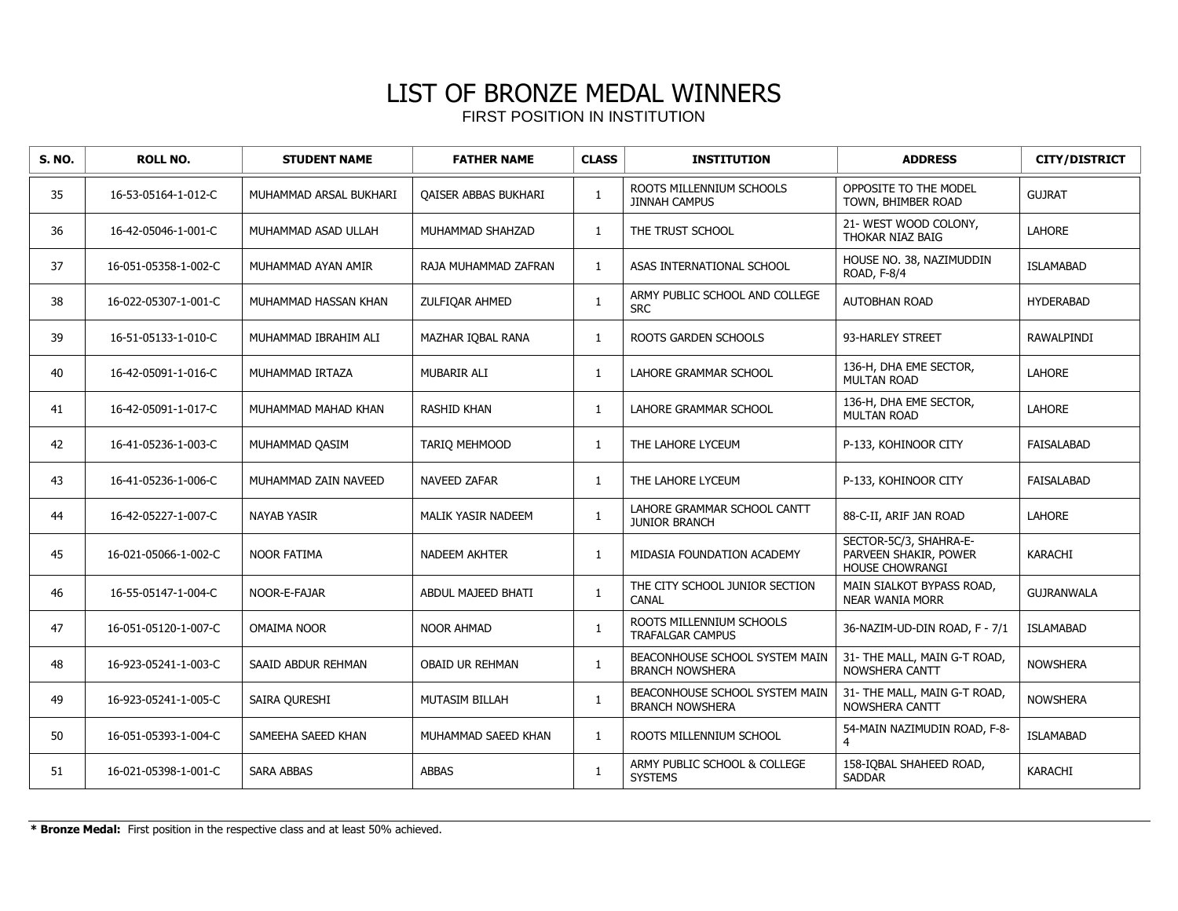| <b>S. NO.</b> | <b>ROLL NO.</b>      | <b>STUDENT NAME</b>    | <b>FATHER NAME</b>          | <b>CLASS</b> | <b>INSTITUTION</b>                                       | <b>ADDRESS</b>                                                            | <b>CITY/DISTRICT</b> |
|---------------|----------------------|------------------------|-----------------------------|--------------|----------------------------------------------------------|---------------------------------------------------------------------------|----------------------|
| 35            | 16-53-05164-1-012-C  | MUHAMMAD ARSAL BUKHARI | <b>QAISER ABBAS BUKHARI</b> | 1            | ROOTS MILLENNIUM SCHOOLS<br><b>JINNAH CAMPUS</b>         | OPPOSITE TO THE MODEL<br>TOWN, BHIMBER ROAD                               | <b>GUJRAT</b>        |
| 36            | 16-42-05046-1-001-C  | MUHAMMAD ASAD ULLAH    | MUHAMMAD SHAHZAD            | $\mathbf{1}$ | THE TRUST SCHOOL                                         | 21- WEST WOOD COLONY,<br>THOKAR NIAZ BAIG                                 | <b>LAHORE</b>        |
| 37            | 16-051-05358-1-002-C | MUHAMMAD AYAN AMIR     | RAJA MUHAMMAD ZAFRAN        | $\mathbf{1}$ | ASAS INTERNATIONAL SCHOOL                                | HOUSE NO. 38, NAZIMUDDIN<br>ROAD, F-8/4                                   | <b>ISLAMABAD</b>     |
| 38            | 16-022-05307-1-001-C | MUHAMMAD HASSAN KHAN   | ZULFIQAR AHMED              | $\mathbf{1}$ | ARMY PUBLIC SCHOOL AND COLLEGE<br><b>SRC</b>             | <b>AUTOBHAN ROAD</b>                                                      | <b>HYDERABAD</b>     |
| 39            | 16-51-05133-1-010-C  | MUHAMMAD IBRAHIM ALI   | MAZHAR IOBAL RANA           | $\mathbf{1}$ | <b>ROOTS GARDEN SCHOOLS</b>                              | 93-HARLEY STREET                                                          | RAWALPINDI           |
| 40            | 16-42-05091-1-016-C  | MUHAMMAD IRTAZA        | MUBARIR ALI                 | $\mathbf{1}$ | LAHORE GRAMMAR SCHOOL                                    | 136-H, DHA EME SECTOR,<br><b>MULTAN ROAD</b>                              | <b>LAHORE</b>        |
| 41            | 16-42-05091-1-017-C  | MUHAMMAD MAHAD KHAN    | <b>RASHID KHAN</b>          | $\mathbf{1}$ | LAHORE GRAMMAR SCHOOL                                    | 136-H, DHA EME SECTOR,<br><b>MULTAN ROAD</b>                              | <b>LAHORE</b>        |
| 42            | 16-41-05236-1-003-C  | MUHAMMAD QASIM         | TARIQ MEHMOOD               | $\mathbf{1}$ | THE LAHORE LYCEUM                                        | P-133, KOHINOOR CITY                                                      | <b>FAISALABAD</b>    |
| 43            | 16-41-05236-1-006-C  | MUHAMMAD ZAIN NAVEED   | NAVEED ZAFAR                | $\mathbf{1}$ | THE LAHORE LYCEUM                                        | P-133, KOHINOOR CITY                                                      | <b>FAISALABAD</b>    |
| 44            | 16-42-05227-1-007-C  | <b>NAYAB YASIR</b>     | <b>MALIK YASIR NADEEM</b>   | $\mathbf{1}$ | LAHORE GRAMMAR SCHOOL CANTT<br><b>JUNIOR BRANCH</b>      | 88-C-II, ARIF JAN ROAD                                                    | <b>LAHORE</b>        |
| 45            | 16-021-05066-1-002-C | <b>NOOR FATIMA</b>     | NADEEM AKHTER               | $\mathbf{1}$ | MIDASIA FOUNDATION ACADEMY                               | SECTOR-5C/3, SHAHRA-E-<br>PARVEEN SHAKIR, POWER<br><b>HOUSE CHOWRANGI</b> | <b>KARACHI</b>       |
| 46            | 16-55-05147-1-004-C  | NOOR-E-FAJAR           | ABDUL MAJEED BHATI          | $\mathbf{1}$ | THE CITY SCHOOL JUNIOR SECTION<br>CANAL                  | MAIN SIALKOT BYPASS ROAD,<br><b>NEAR WANIA MORR</b>                       | <b>GUJRANWALA</b>    |
| 47            | 16-051-05120-1-007-C | <b>OMAIMA NOOR</b>     | <b>NOOR AHMAD</b>           | $\mathbf{1}$ | ROOTS MILLENNIUM SCHOOLS<br><b>TRAFALGAR CAMPUS</b>      | 36-NAZIM-UD-DIN ROAD, F - 7/1                                             | <b>ISLAMABAD</b>     |
| 48            | 16-923-05241-1-003-C | SAAID ABDUR REHMAN     | <b>OBAID UR REHMAN</b>      | $\mathbf{1}$ | BEACONHOUSE SCHOOL SYSTEM MAIN<br><b>BRANCH NOWSHERA</b> | 31- THE MALL, MAIN G-T ROAD,<br>NOWSHERA CANTT                            | <b>NOWSHERA</b>      |
| 49            | 16-923-05241-1-005-C | SAIRA QURESHI          | MUTASIM BILLAH              | $\mathbf{1}$ | BEACONHOUSE SCHOOL SYSTEM MAIN<br><b>BRANCH NOWSHERA</b> | 31- THE MALL, MAIN G-T ROAD,<br>NOWSHERA CANTT                            | <b>NOWSHERA</b>      |
| 50            | 16-051-05393-1-004-C | SAMEEHA SAEED KHAN     | MUHAMMAD SAEED KHAN         | $\mathbf{1}$ | ROOTS MILLENNIUM SCHOOL                                  | 54-MAIN NAZIMUDIN ROAD, F-8-<br>$\overline{4}$                            | <b>ISLAMABAD</b>     |
| 51            | 16-021-05398-1-001-C | <b>SARA ABBAS</b>      | <b>ABBAS</b>                | $\mathbf{1}$ | ARMY PUBLIC SCHOOL & COLLEGE<br><b>SYSTEMS</b>           | 158-IOBAL SHAHEED ROAD,<br><b>SADDAR</b>                                  | KARACHI              |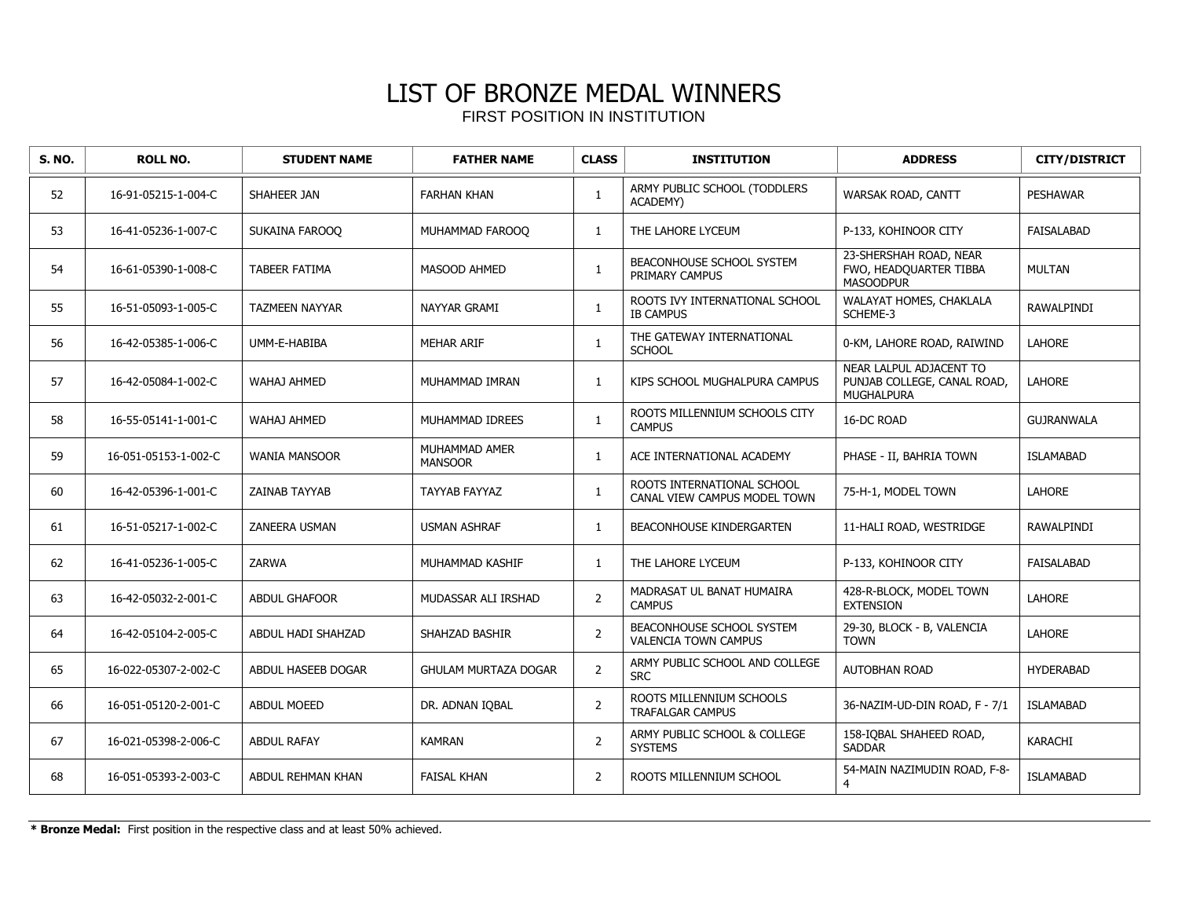| <b>S. NO.</b> | <b>ROLL NO.</b>      | <b>STUDENT NAME</b>   | <b>FATHER NAME</b>              | <b>CLASS</b>   | <b>INSTITUTION</b>                                         | <b>ADDRESS</b>                                                              | <b>CITY/DISTRICT</b> |
|---------------|----------------------|-----------------------|---------------------------------|----------------|------------------------------------------------------------|-----------------------------------------------------------------------------|----------------------|
| 52            | 16-91-05215-1-004-C  | SHAHEER JAN           | <b>FARHAN KHAN</b>              | 1              | ARMY PUBLIC SCHOOL (TODDLERS<br>ACADEMY)                   | WARSAK ROAD, CANTT                                                          | <b>PESHAWAR</b>      |
| 53            | 16-41-05236-1-007-C  | SUKAINA FAROOO        | MUHAMMAD FAROOQ                 | $\mathbf{1}$   | THE LAHORE LYCEUM                                          | P-133, KOHINOOR CITY                                                        | <b>FAISALABAD</b>    |
| 54            | 16-61-05390-1-008-C  | <b>TABEER FATIMA</b>  | MASOOD AHMED                    | 1              | BEACONHOUSE SCHOOL SYSTEM<br>PRIMARY CAMPUS                | 23-SHERSHAH ROAD, NEAR<br>FWO, HEADQUARTER TIBBA<br><b>MASOODPUR</b>        | MULTAN               |
| 55            | 16-51-05093-1-005-C  | <b>TAZMEEN NAYYAR</b> | NAYYAR GRAMI                    | $\mathbf{1}$   | ROOTS IVY INTERNATIONAL SCHOOL<br><b>IB CAMPUS</b>         | WALAYAT HOMES, CHAKLALA<br>SCHEME-3                                         | RAWALPINDI           |
| 56            | 16-42-05385-1-006-C  | UMM-E-HABIBA          | <b>MEHAR ARIF</b>               | 1              | THE GATEWAY INTERNATIONAL<br><b>SCHOOL</b>                 | 0-KM, LAHORE ROAD, RAIWIND                                                  | <b>LAHORE</b>        |
| 57            | 16-42-05084-1-002-C  | <b>WAHAJ AHMED</b>    | MUHAMMAD IMRAN                  | $\mathbf{1}$   | KIPS SCHOOL MUGHALPURA CAMPUS                              | NEAR LALPUL ADJACENT TO<br>PUNJAB COLLEGE, CANAL ROAD,<br><b>MUGHALPURA</b> | LAHORE               |
| 58            | 16-55-05141-1-001-C  | <b>WAHAJ AHMED</b>    | MUHAMMAD IDREES                 | 1              | ROOTS MILLENNIUM SCHOOLS CITY<br><b>CAMPUS</b>             | 16-DC ROAD                                                                  | <b>GUJRANWALA</b>    |
| 59            | 16-051-05153-1-002-C | <b>WANIA MANSOOR</b>  | MUHAMMAD AMER<br><b>MANSOOR</b> | $\mathbf{1}$   | ACE INTERNATIONAL ACADEMY                                  | PHASE - II, BAHRIA TOWN                                                     | <b>ISLAMABAD</b>     |
| 60            | 16-42-05396-1-001-C  | <b>ZAINAB TAYYAB</b>  | TAYYAB FAYYAZ                   | $\mathbf{1}$   | ROOTS INTERNATIONAL SCHOOL<br>CANAL VIEW CAMPUS MODEL TOWN | 75-H-1, MODEL TOWN                                                          | LAHORE               |
| 61            | 16-51-05217-1-002-C  | ZANEERA USMAN         | <b>USMAN ASHRAF</b>             | $\mathbf{1}$   | BEACONHOUSE KINDERGARTEN                                   | 11-HALI ROAD, WESTRIDGE                                                     | <b>RAWALPINDI</b>    |
| 62            | 16-41-05236-1-005-C  | <b>ZARWA</b>          | MUHAMMAD KASHIF                 | $\mathbf{1}$   | THE LAHORE LYCEUM                                          | P-133, KOHINOOR CITY                                                        | FAISALABAD           |
| 63            | 16-42-05032-2-001-C  | <b>ABDUL GHAFOOR</b>  | MUDASSAR ALI IRSHAD             | $\overline{2}$ | MADRASAT UL BANAT HUMAIRA<br><b>CAMPUS</b>                 | 428-R-BLOCK, MODEL TOWN<br><b>EXTENSION</b>                                 | <b>LAHORE</b>        |
| 64            | 16-42-05104-2-005-C  | ABDUL HADI SHAHZAD    | SHAHZAD BASHIR                  | $\overline{2}$ | BEACONHOUSE SCHOOL SYSTEM<br><b>VALENCIA TOWN CAMPUS</b>   | 29-30, BLOCK - B, VALENCIA<br><b>TOWN</b>                                   | <b>LAHORE</b>        |
| 65            | 16-022-05307-2-002-C | ABDUL HASEEB DOGAR    | <b>GHULAM MURTAZA DOGAR</b>     | $\overline{2}$ | ARMY PUBLIC SCHOOL AND COLLEGE<br><b>SRC</b>               | <b>AUTOBHAN ROAD</b>                                                        | <b>HYDERABAD</b>     |
| 66            | 16-051-05120-2-001-C | <b>ABDUL MOEED</b>    | DR. ADNAN IOBAL                 | $\overline{2}$ | ROOTS MILLENNIUM SCHOOLS<br>TRAFALGAR CAMPUS               | 36-NAZIM-UD-DIN ROAD, F - 7/1                                               | <b>ISLAMABAD</b>     |
| 67            | 16-021-05398-2-006-C | <b>ABDUL RAFAY</b>    | <b>KAMRAN</b>                   | 2              | ARMY PUBLIC SCHOOL & COLLEGE<br><b>SYSTEMS</b>             | 158-IQBAL SHAHEED ROAD,<br><b>SADDAR</b>                                    | KARACHI              |
| 68            | 16-051-05393-2-003-C | ABDUL REHMAN KHAN     | <b>FAISAL KHAN</b>              | $\overline{2}$ | ROOTS MILLENNIUM SCHOOL                                    | 54-MAIN NAZIMUDIN ROAD, F-8-<br>$\overline{4}$                              | <b>ISLAMABAD</b>     |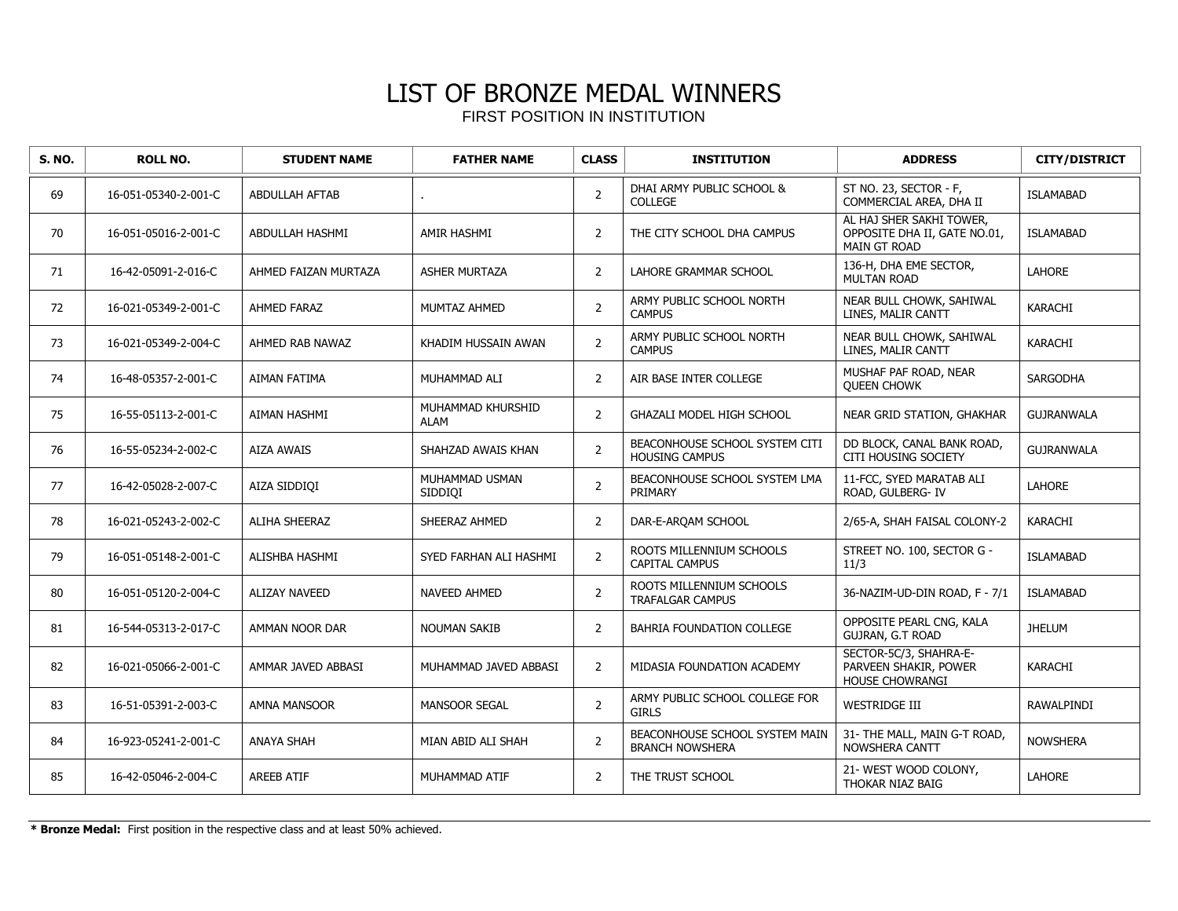| <b>S. NO.</b> | <b>ROLL NO.</b>      | <b>STUDENT NAME</b>   | <b>FATHER NAME</b>               | <b>CLASS</b>   | <b>INSTITUTION</b>                                       | <b>ADDRESS</b>                                                           | <b>CITY/DISTRICT</b> |
|---------------|----------------------|-----------------------|----------------------------------|----------------|----------------------------------------------------------|--------------------------------------------------------------------------|----------------------|
| 69            | 16-051-05340-2-001-C | <b>ABDULLAH AFTAB</b> |                                  | $\overline{2}$ | DHAI ARMY PUBLIC SCHOOL &<br><b>COLLEGE</b>              | ST NO. 23, SECTOR - F,<br>COMMERCIAL AREA, DHA II                        | <b>ISLAMABAD</b>     |
| 70            | 16-051-05016-2-001-C | ABDULLAH HASHMI       | AMIR HASHMI                      | 2              | THE CITY SCHOOL DHA CAMPUS                               | AL HAJ SHER SAKHI TOWER,<br>OPPOSITE DHA II, GATE NO.01,<br>MAIN GT ROAD | <b>ISLAMABAD</b>     |
| 71            | 16-42-05091-2-016-C  | AHMED FAIZAN MURTAZA  | <b>ASHER MURTAZA</b>             | $\overline{2}$ | <b>LAHORE GRAMMAR SCHOOL</b>                             | 136-H, DHA EME SECTOR,<br><b>MULTAN ROAD</b>                             | <b>LAHORE</b>        |
| 72            | 16-021-05349-2-001-C | <b>AHMED FARAZ</b>    | MUMTAZ AHMED                     | $\overline{2}$ | ARMY PUBLIC SCHOOL NORTH<br><b>CAMPUS</b>                | NEAR BULL CHOWK, SAHIWAL<br>LINES, MALIR CANTT                           | <b>KARACHI</b>       |
| 73            | 16-021-05349-2-004-C | AHMED RAB NAWAZ       | KHADIM HUSSAIN AWAN              | $\overline{2}$ | ARMY PUBLIC SCHOOL NORTH<br><b>CAMPUS</b>                | NEAR BULL CHOWK, SAHIWAL<br>LINES, MALIR CANTT                           | KARACHI              |
| 74            | 16-48-05357-2-001-C  | <b>AIMAN FATIMA</b>   | MUHAMMAD ALI                     | 2              | AIR BASE INTER COLLEGE                                   | MUSHAF PAF ROAD, NEAR<br><b>OUEEN CHOWK</b>                              | SARGODHA             |
| 75            | 16-55-05113-2-001-C  | AIMAN HASHMI          | MUHAMMAD KHURSHID<br><b>ALAM</b> | $\overline{2}$ | <b>GHAZALI MODEL HIGH SCHOOL</b>                         | NEAR GRID STATION, GHAKHAR                                               | <b>GUJRANWALA</b>    |
| 76            | 16-55-05234-2-002-C  | <b>AIZA AWAIS</b>     | SHAHZAD AWAIS KHAN               | $\overline{2}$ | BEACONHOUSE SCHOOL SYSTEM CITI<br><b>HOUSING CAMPUS</b>  | DD BLOCK, CANAL BANK ROAD,<br><b>CITI HOUSING SOCIETY</b>                | <b>GUJRANWALA</b>    |
| 77            | 16-42-05028-2-007-C  | AIZA SIDDIQI          | MUHAMMAD USMAN<br>SIDDIQI        | $\overline{2}$ | BEACONHOUSE SCHOOL SYSTEM LMA<br>PRIMARY                 | 11-FCC, SYED MARATAB ALI<br>ROAD, GULBERG- IV                            | <b>LAHORE</b>        |
| 78            | 16-021-05243-2-002-C | <b>ALIHA SHEERAZ</b>  | SHEERAZ AHMED                    | 2              | DAR-E-ARQAM SCHOOL                                       | 2/65-A, SHAH FAISAL COLONY-2                                             | KARACHI              |
| 79            | 16-051-05148-2-001-C | ALISHBA HASHMI        | SYED FARHAN ALI HASHMI           | $\overline{2}$ | ROOTS MILLENNIUM SCHOOLS<br><b>CAPITAL CAMPUS</b>        | STREET NO. 100, SECTOR G -<br>11/3                                       | <b>ISLAMABAD</b>     |
| 80            | 16-051-05120-2-004-C | <b>ALIZAY NAVEED</b>  | <b>NAVEED AHMED</b>              | $\overline{2}$ | ROOTS MILLENNIUM SCHOOLS<br>TRAFALGAR CAMPUS             | 36-NAZIM-UD-DIN ROAD, F - 7/1                                            | <b>ISLAMABAD</b>     |
| 81            | 16-544-05313-2-017-C | AMMAN NOOR DAR        | <b>NOUMAN SAKIB</b>              | $\overline{2}$ | BAHRIA FOUNDATION COLLEGE                                | OPPOSITE PEARL CNG, KALA<br><b>GUJRAN, G.T ROAD</b>                      | <b>JHELUM</b>        |
| 82            | 16-021-05066-2-001-C | AMMAR JAVED ABBASI    | MUHAMMAD JAVED ABBASI            | $\overline{2}$ | MIDASIA FOUNDATION ACADEMY                               | SECTOR-5C/3, SHAHRA-E-<br>PARVEEN SHAKIR, POWER<br>HOUSE CHOWRANGI       | KARACHI              |
| 83            | 16-51-05391-2-003-C  | AMNA MANSOOR          | <b>MANSOOR SEGAL</b>             | $\overline{2}$ | ARMY PUBLIC SCHOOL COLLEGE FOR<br><b>GIRLS</b>           | <b>WESTRIDGE III</b>                                                     | RAWALPINDI           |
| 84            | 16-923-05241-2-001-C | <b>ANAYA SHAH</b>     | MIAN ABID ALI SHAH               | $\overline{2}$ | BEACONHOUSE SCHOOL SYSTEM MAIN<br><b>BRANCH NOWSHERA</b> | 31- THE MALL, MAIN G-T ROAD,<br>NOWSHERA CANTT                           | <b>NOWSHERA</b>      |
| 85            | 16-42-05046-2-004-C  | <b>AREEB ATIF</b>     | MUHAMMAD ATIF                    | $\overline{2}$ | THE TRUST SCHOOL                                         | 21- WEST WOOD COLONY,<br>THOKAR NIAZ BAIG                                | <b>LAHORE</b>        |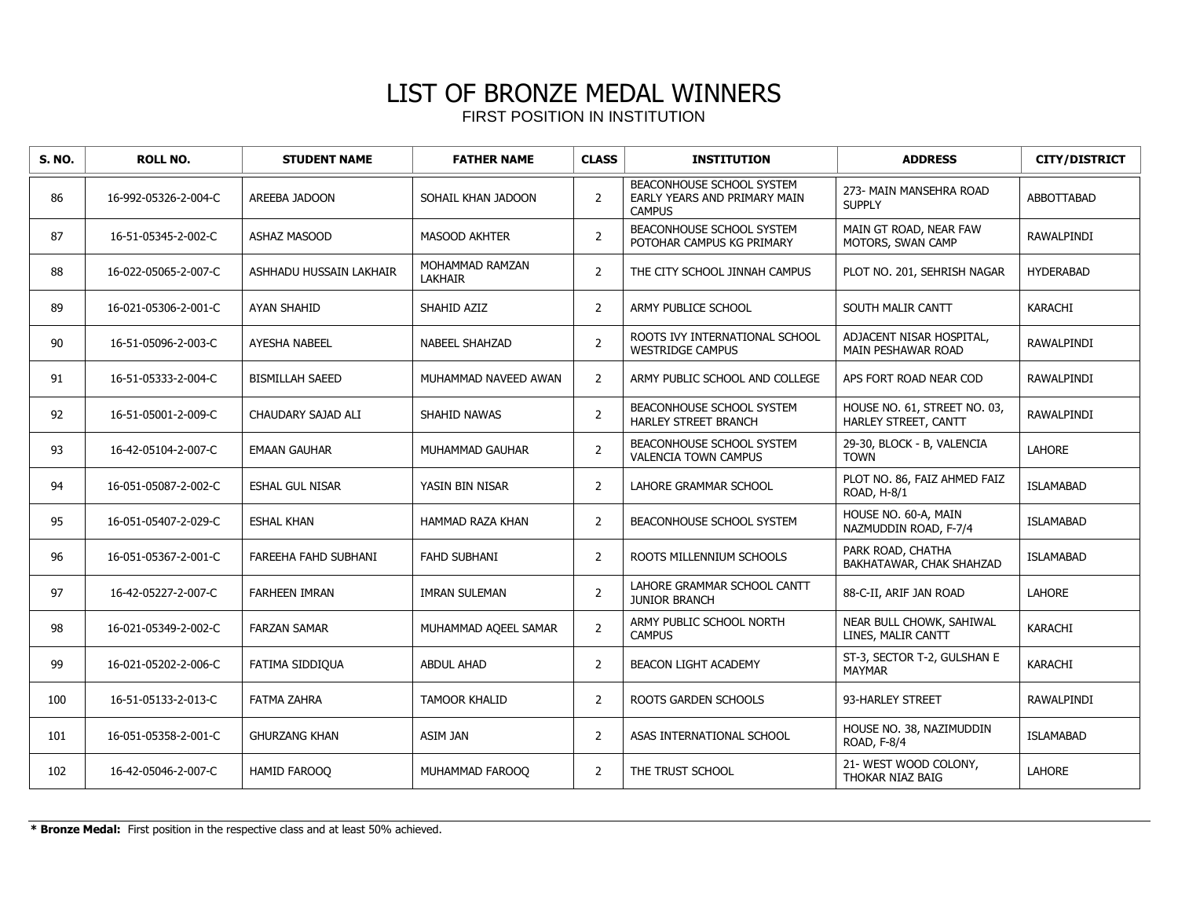| <b>S. NO.</b> | <b>ROLL NO.</b>      | <b>STUDENT NAME</b>     | <b>FATHER NAME</b>                | <b>CLASS</b>   | <b>INSTITUTION</b>                                                         | <b>ADDRESS</b>                                       | <b>CITY/DISTRICT</b> |
|---------------|----------------------|-------------------------|-----------------------------------|----------------|----------------------------------------------------------------------------|------------------------------------------------------|----------------------|
| 86            | 16-992-05326-2-004-C | AREEBA JADOON           | SOHAIL KHAN JADOON                | $\overline{2}$ | BEACONHOUSE SCHOOL SYSTEM<br>EARLY YEARS AND PRIMARY MAIN<br><b>CAMPUS</b> | 273- MAIN MANSEHRA ROAD<br><b>SUPPLY</b>             | <b>ABBOTTABAD</b>    |
| 87            | 16-51-05345-2-002-C  | <b>ASHAZ MASOOD</b>     | MASOOD AKHTER                     | $\overline{2}$ | BEACONHOUSE SCHOOL SYSTEM<br>POTOHAR CAMPUS KG PRIMARY                     | MAIN GT ROAD, NEAR FAW<br>MOTORS, SWAN CAMP          | RAWALPINDI           |
| 88            | 16-022-05065-2-007-C | ASHHADU HUSSAIN LAKHAIR | MOHAMMAD RAMZAN<br><b>LAKHAIR</b> | $\overline{2}$ | THE CITY SCHOOL JINNAH CAMPUS                                              | PLOT NO. 201, SEHRISH NAGAR                          | <b>HYDERABAD</b>     |
| 89            | 16-021-05306-2-001-C | <b>AYAN SHAHID</b>      | SHAHID AZIZ                       | 2              | ARMY PUBLICE SCHOOL                                                        | SOUTH MALIR CANTT                                    | <b>KARACHI</b>       |
| 90            | 16-51-05096-2-003-C  | AYESHA NABEEL           | <b>NABEEL SHAHZAD</b>             | $\overline{2}$ | ROOTS IVY INTERNATIONAL SCHOOL<br><b>WESTRIDGE CAMPUS</b>                  | ADJACENT NISAR HOSPITAL,<br>MAIN PESHAWAR ROAD       | RAWALPINDI           |
| 91            | 16-51-05333-2-004-C  | <b>BISMILLAH SAEED</b>  | MUHAMMAD NAVEED AWAN              | $\overline{2}$ | ARMY PUBLIC SCHOOL AND COLLEGE                                             | APS FORT ROAD NEAR COD                               | RAWALPINDI           |
| 92            | 16-51-05001-2-009-C  | CHAUDARY SAJAD ALI      | SHAHID NAWAS                      | $\overline{2}$ | BEACONHOUSE SCHOOL SYSTEM<br>HARLEY STREET BRANCH                          | HOUSE NO. 61, STREET NO. 03,<br>HARLEY STREET, CANTT | RAWALPINDI           |
| 93            | 16-42-05104-2-007-C  | <b>EMAAN GAUHAR</b>     | MUHAMMAD GAUHAR                   | $\overline{2}$ | BEACONHOUSE SCHOOL SYSTEM<br><b>VALENCIA TOWN CAMPUS</b>                   | 29-30, BLOCK - B, VALENCIA<br><b>TOWN</b>            | <b>LAHORE</b>        |
| 94            | 16-051-05087-2-002-C | <b>ESHAL GUL NISAR</b>  | YASIN BIN NISAR                   | $\overline{2}$ | LAHORE GRAMMAR SCHOOL                                                      | PLOT NO. 86, FAIZ AHMED FAIZ<br>ROAD, H-8/1          | <b>ISLAMABAD</b>     |
| 95            | 16-051-05407-2-029-C | <b>ESHAL KHAN</b>       | HAMMAD RAZA KHAN                  | 2              | BEACONHOUSE SCHOOL SYSTEM                                                  | HOUSE NO. 60-A, MAIN<br>NAZMUDDIN ROAD, F-7/4        | <b>ISLAMABAD</b>     |
| 96            | 16-051-05367-2-001-C | FAREEHA FAHD SUBHANI    | <b>FAHD SUBHANI</b>               | $\overline{2}$ | ROOTS MILLENNIUM SCHOOLS                                                   | PARK ROAD, CHATHA<br>BAKHATAWAR, CHAK SHAHZAD        | <b>ISLAMABAD</b>     |
| 97            | 16-42-05227-2-007-C  | <b>FARHEEN IMRAN</b>    | <b>IMRAN SULEMAN</b>              | $\overline{2}$ | LAHORE GRAMMAR SCHOOL CANTT<br><b>JUNIOR BRANCH</b>                        | 88-C-II, ARIF JAN ROAD                               | <b>LAHORE</b>        |
| 98            | 16-021-05349-2-002-C | <b>FARZAN SAMAR</b>     | MUHAMMAD AQEEL SAMAR              | $\overline{2}$ | ARMY PUBLIC SCHOOL NORTH<br><b>CAMPUS</b>                                  | NEAR BULL CHOWK, SAHIWAL<br>LINES, MALIR CANTT       | KARACHI              |
| 99            | 16-021-05202-2-006-C | FATIMA SIDDIQUA         | <b>ABDUL AHAD</b>                 | $\overline{2}$ | <b>BEACON LIGHT ACADEMY</b>                                                | ST-3, SECTOR T-2, GULSHAN E<br><b>MAYMAR</b>         | KARACHI              |
| 100           | 16-51-05133-2-013-C  | <b>FATMA ZAHRA</b>      | <b>TAMOOR KHALID</b>              | $\overline{2}$ | ROOTS GARDEN SCHOOLS                                                       | 93-HARLEY STREET                                     | RAWALPINDI           |
| 101           | 16-051-05358-2-001-C | <b>GHURZANG KHAN</b>    | ASIM JAN                          | $\overline{2}$ | ASAS INTERNATIONAL SCHOOL                                                  | HOUSE NO. 38, NAZIMUDDIN<br>ROAD, F-8/4              | <b>ISLAMABAD</b>     |
| 102           | 16-42-05046-2-007-C  | HAMID FAROOO            | MUHAMMAD FAROOO                   | $\overline{2}$ | THE TRUST SCHOOL                                                           | 21- WEST WOOD COLONY,<br>THOKAR NIAZ BAIG            | LAHORE               |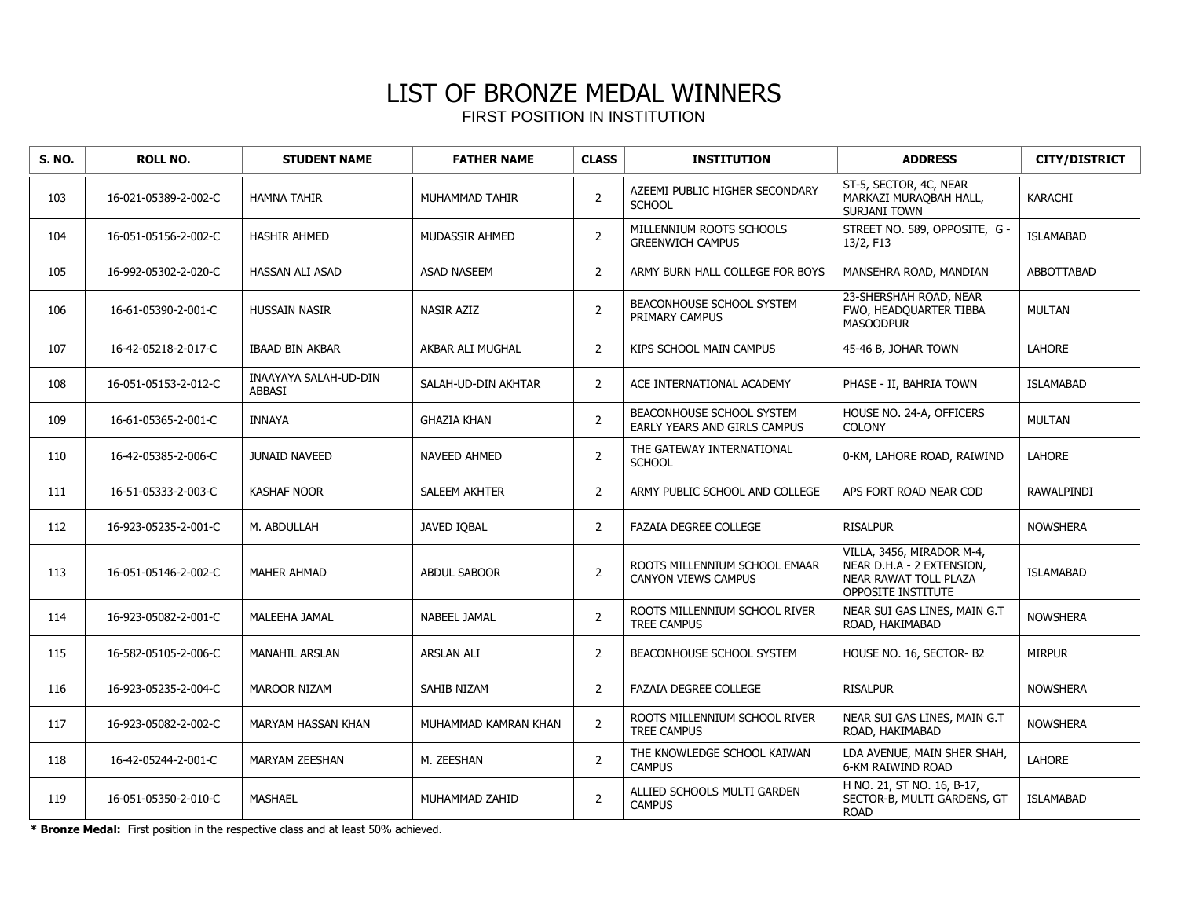| <b>S. NO.</b> | <b>ROLL NO.</b>      | <b>STUDENT NAME</b>                           | <b>FATHER NAME</b>    | <b>CLASS</b>   | <b>INSTITUTION</b>                                               | <b>ADDRESS</b>                                                                                        | <b>CITY/DISTRICT</b> |
|---------------|----------------------|-----------------------------------------------|-----------------------|----------------|------------------------------------------------------------------|-------------------------------------------------------------------------------------------------------|----------------------|
| 103           | 16-021-05389-2-002-C | <b>HAMNA TAHIR</b>                            | MUHAMMAD TAHIR        | $\overline{2}$ | AZEEMI PUBLIC HIGHER SECONDARY<br><b>SCHOOL</b>                  | ST-5, SECTOR, 4C, NEAR<br>MARKAZI MURAQBAH HALL,<br>SURJANI TOWN                                      | <b>KARACHI</b>       |
| 104           | 16-051-05156-2-002-C | <b>HASHIR AHMED</b>                           | <b>MUDASSIR AHMED</b> | $\overline{2}$ | MILLENNIUM ROOTS SCHOOLS<br><b>GREENWICH CAMPUS</b>              | STREET NO. 589, OPPOSITE, G -<br>13/2, F13                                                            | <b>ISLAMABAD</b>     |
| 105           | 16-992-05302-2-020-C | <b>HASSAN ALI ASAD</b>                        | <b>ASAD NASEEM</b>    | $\overline{2}$ | ARMY BURN HALL COLLEGE FOR BOYS                                  | MANSEHRA ROAD, MANDIAN                                                                                | <b>ABBOTTABAD</b>    |
| 106           | 16-61-05390-2-001-C  | <b>HUSSAIN NASIR</b>                          | NASIR AZIZ            | $\overline{2}$ | <b>BEACONHOUSE SCHOOL SYSTEM</b><br>PRIMARY CAMPUS               | 23-SHERSHAH ROAD, NEAR<br>FWO, HEADQUARTER TIBBA<br><b>MASOODPUR</b>                                  | <b>MULTAN</b>        |
| 107           | 16-42-05218-2-017-C  | <b>IBAAD BIN AKBAR</b>                        | AKBAR ALI MUGHAL      | $\overline{2}$ | KIPS SCHOOL MAIN CAMPUS                                          | 45-46 B, JOHAR TOWN                                                                                   | <b>LAHORE</b>        |
| 108           | 16-051-05153-2-012-C | <b>INAAYAYA SALAH-UD-DIN</b><br><b>ABBASI</b> | SALAH-UD-DIN AKHTAR   | $\overline{2}$ | ACE INTERNATIONAL ACADEMY                                        | PHASE - II, BAHRIA TOWN                                                                               | <b>ISLAMABAD</b>     |
| 109           | 16-61-05365-2-001-C  | <b>INNAYA</b>                                 | <b>GHAZIA KHAN</b>    | $\overline{2}$ | <b>BEACONHOUSE SCHOOL SYSTEM</b><br>EARLY YEARS AND GIRLS CAMPUS | HOUSE NO. 24-A, OFFICERS<br><b>COLONY</b>                                                             | <b>MULTAN</b>        |
| 110           | 16-42-05385-2-006-C  | <b>JUNAID NAVEED</b>                          | <b>NAVEED AHMED</b>   | $\overline{2}$ | THE GATEWAY INTERNATIONAL<br><b>SCHOOL</b>                       | 0-KM, LAHORE ROAD, RAIWIND                                                                            | <b>LAHORE</b>        |
| 111           | 16-51-05333-2-003-C  | <b>KASHAF NOOR</b>                            | SALEEM AKHTER         | 2              | ARMY PUBLIC SCHOOL AND COLLEGE                                   | APS FORT ROAD NEAR COD                                                                                | RAWALPINDI           |
| 112           | 16-923-05235-2-001-C | M. ABDULLAH                                   | JAVED IOBAL           | $\overline{2}$ | <b>FAZAIA DEGREE COLLEGE</b>                                     | <b>RISALPUR</b>                                                                                       | <b>NOWSHERA</b>      |
| 113           | 16-051-05146-2-002-C | MAHER AHMAD                                   | <b>ABDUL SABOOR</b>   | $\mathsf{2}$   | ROOTS MILLENNIUM SCHOOL EMAAR<br>CANYON VIEWS CAMPUS             | VILLA, 3456, MIRADOR M-4,<br>NEAR D.H.A - 2 EXTENSION,<br>NEAR RAWAT TOLL PLAZA<br>OPPOSITE INSTITUTE | <b>ISLAMABAD</b>     |
| 114           | 16-923-05082-2-001-C | MALEEHA JAMAL                                 | NABEEL JAMAL          | $\overline{2}$ | ROOTS MILLENNIUM SCHOOL RIVER<br><b>TREE CAMPUS</b>              | NEAR SUI GAS LINES, MAIN G.T<br>ROAD, HAKIMABAD                                                       | <b>NOWSHERA</b>      |
| 115           | 16-582-05105-2-006-C | <b>MANAHIL ARSLAN</b>                         | <b>ARSLAN ALI</b>     | $\overline{2}$ | <b>BEACONHOUSE SCHOOL SYSTEM</b>                                 | HOUSE NO. 16, SECTOR- B2                                                                              | <b>MIRPUR</b>        |
| 116           | 16-923-05235-2-004-C | <b>MAROOR NIZAM</b>                           | SAHIB NIZAM           | $\overline{2}$ | <b>FAZAIA DEGREE COLLEGE</b>                                     | <b>RISALPUR</b>                                                                                       | <b>NOWSHERA</b>      |
| 117           | 16-923-05082-2-002-C | MARYAM HASSAN KHAN                            | MUHAMMAD KAMRAN KHAN  | $\overline{2}$ | ROOTS MILLENNIUM SCHOOL RIVER<br><b>TREE CAMPUS</b>              | NEAR SUI GAS LINES, MAIN G.T<br>ROAD, HAKIMABAD                                                       | <b>NOWSHERA</b>      |
| 118           | 16-42-05244-2-001-C  | MARYAM ZEESHAN                                | M. ZEESHAN            | $\overline{2}$ | THE KNOWLEDGE SCHOOL KAIWAN<br><b>CAMPUS</b>                     | LDA AVENUE, MAIN SHER SHAH,<br>6-KM RAIWIND ROAD                                                      | LAHORE               |
| 119           | 16-051-05350-2-010-C | <b>MASHAEL</b>                                | MUHAMMAD ZAHID        | $\overline{2}$ | ALLIED SCHOOLS MULTI GARDEN<br><b>CAMPUS</b>                     | H NO. 21, ST NO. 16, B-17,<br>SECTOR-B, MULTI GARDENS, GT<br><b>ROAD</b>                              | <b>ISLAMABAD</b>     |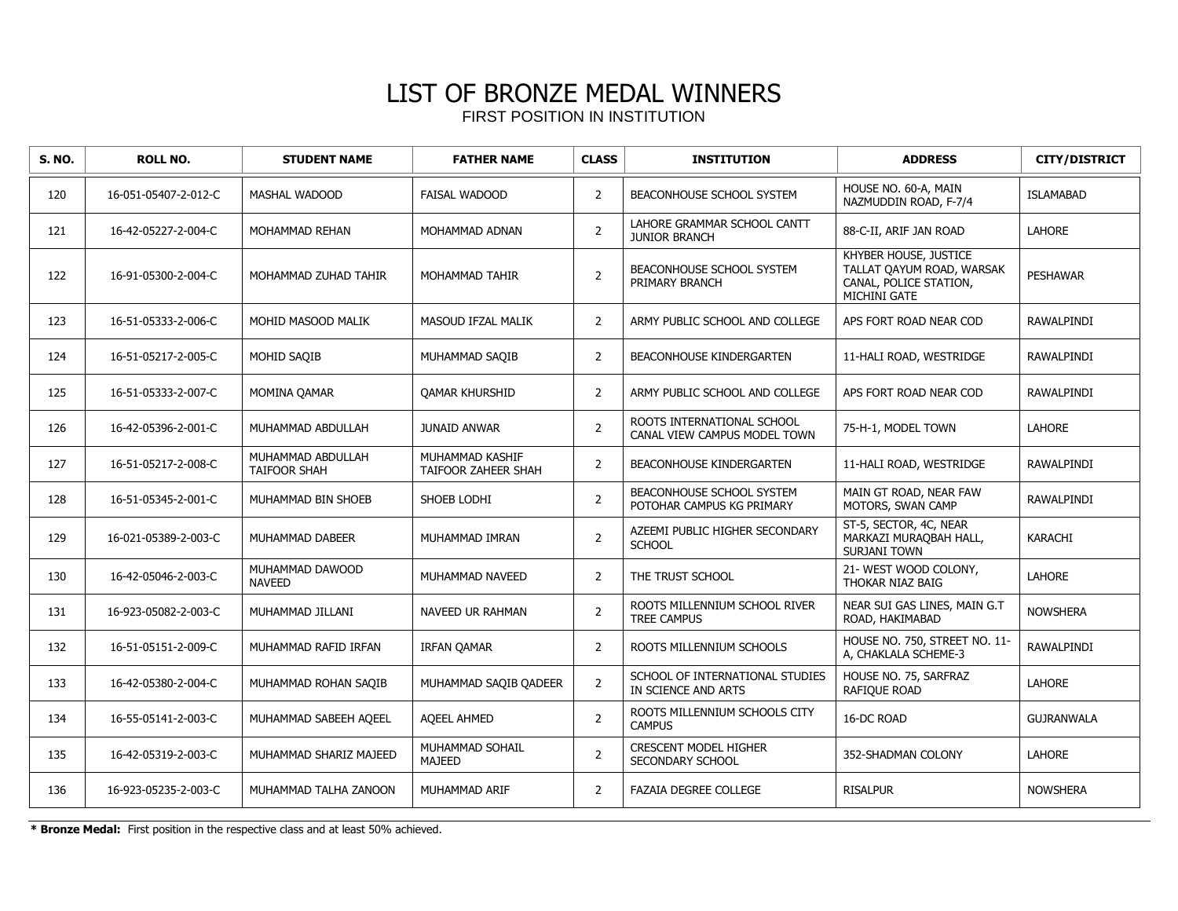| <b>S. NO.</b> | <b>ROLL NO.</b>      | <b>STUDENT NAME</b>                      | <b>FATHER NAME</b>                     | <b>CLASS</b>   | <b>INSTITUTION</b>                                         | <b>ADDRESS</b>                                                                               | <b>CITY/DISTRICT</b> |
|---------------|----------------------|------------------------------------------|----------------------------------------|----------------|------------------------------------------------------------|----------------------------------------------------------------------------------------------|----------------------|
| 120           | 16-051-05407-2-012-C | <b>MASHAL WADOOD</b>                     | <b>FAISAL WADOOD</b>                   | $\overline{2}$ | BEACONHOUSE SCHOOL SYSTEM                                  | HOUSE NO. 60-A, MAIN<br>NAZMUDDIN ROAD, F-7/4                                                | <b>ISLAMABAD</b>     |
| 121           | 16-42-05227-2-004-C  | MOHAMMAD REHAN                           | MOHAMMAD ADNAN                         | $\overline{2}$ | LAHORE GRAMMAR SCHOOL CANTT<br><b>JUNIOR BRANCH</b>        | 88-C-II, ARIF JAN ROAD                                                                       | <b>LAHORE</b>        |
| 122           | 16-91-05300-2-004-C  | MOHAMMAD ZUHAD TAHIR                     | MOHAMMAD TAHIR                         | $\overline{2}$ | <b>BEACONHOUSE SCHOOL SYSTEM</b><br>PRIMARY BRANCH         | KHYBER HOUSE, JUSTICE<br>TALLAT OAYUM ROAD, WARSAK<br>CANAL, POLICE STATION,<br>MICHINI GATE | <b>PESHAWAR</b>      |
| 123           | 16-51-05333-2-006-C  | MOHID MASOOD MALIK                       | MASOUD IFZAL MALIK                     | 2              | ARMY PUBLIC SCHOOL AND COLLEGE                             | APS FORT ROAD NEAR COD                                                                       | <b>RAWALPINDI</b>    |
| 124           | 16-51-05217-2-005-C  | MOHID SAQIB                              | MUHAMMAD SAOIB                         | 2              | <b>BEACONHOUSE KINDERGARTEN</b>                            | 11-HALI ROAD, WESTRIDGE                                                                      | <b>RAWALPINDI</b>    |
| 125           | 16-51-05333-2-007-C  | MOMINA QAMAR                             | <b>QAMAR KHURSHID</b>                  | 2              | ARMY PUBLIC SCHOOL AND COLLEGE                             | APS FORT ROAD NEAR COD                                                                       | <b>RAWALPINDI</b>    |
| 126           | 16-42-05396-2-001-C  | MUHAMMAD ABDULLAH                        | <b>JUNAID ANWAR</b>                    | $\overline{2}$ | ROOTS INTERNATIONAL SCHOOL<br>CANAL VIEW CAMPUS MODEL TOWN | 75-H-1, MODEL TOWN                                                                           | <b>LAHORE</b>        |
| 127           | 16-51-05217-2-008-C  | MUHAMMAD ABDULLAH<br><b>TAIFOOR SHAH</b> | MUHAMMAD KASHIF<br>TAIFOOR ZAHEER SHAH | 2              | BEACONHOUSE KINDERGARTEN                                   | 11-HALI ROAD, WESTRIDGE                                                                      | <b>RAWALPINDI</b>    |
| 128           | 16-51-05345-2-001-C  | MUHAMMAD BIN SHOEB                       | SHOEB LODHI                            | $\overline{2}$ | BEACONHOUSE SCHOOL SYSTEM<br>POTOHAR CAMPUS KG PRIMARY     | MAIN GT ROAD, NEAR FAW<br>MOTORS, SWAN CAMP                                                  | <b>RAWALPINDI</b>    |
| 129           | 16-021-05389-2-003-C | MUHAMMAD DABEER                          | MUHAMMAD IMRAN                         | $\overline{2}$ | AZEEMI PUBLIC HIGHER SECONDARY<br><b>SCHOOL</b>            | ST-5, SECTOR, 4C, NEAR<br>MARKAZI MURAQBAH HALL,<br>SURJANI TOWN                             | <b>KARACHI</b>       |
| 130           | 16-42-05046-2-003-C  | MUHAMMAD DAWOOD<br><b>NAVEED</b>         | MUHAMMAD NAVEED                        | $\overline{2}$ | THE TRUST SCHOOL                                           | 21- WEST WOOD COLONY,<br>THOKAR NIAZ BAIG                                                    | <b>LAHORE</b>        |
| 131           | 16-923-05082-2-003-C | MUHAMMAD JILLANI                         | NAVEED UR RAHMAN                       | $\overline{2}$ | ROOTS MILLENNIUM SCHOOL RIVER<br><b>TREE CAMPUS</b>        | NEAR SUI GAS LINES, MAIN G.T<br>ROAD, HAKIMABAD                                              | <b>NOWSHERA</b>      |
| 132           | 16-51-05151-2-009-C  | MUHAMMAD RAFID IRFAN                     | <b>IRFAN QAMAR</b>                     | $\overline{2}$ | ROOTS MILLENNIUM SCHOOLS                                   | HOUSE NO. 750, STREET NO. 11-<br>A, CHAKLALA SCHEME-3                                        | RAWALPINDI           |
| 133           | 16-42-05380-2-004-C  | MUHAMMAD ROHAN SAQIB                     | MUHAMMAD SAQIB QADEER                  | $\overline{2}$ | SCHOOL OF INTERNATIONAL STUDIES<br>IN SCIENCE AND ARTS     | HOUSE NO. 75, SARFRAZ<br>RAFIQUE ROAD                                                        | <b>LAHORE</b>        |
| 134           | 16-55-05141-2-003-C  | MUHAMMAD SABEEH AQEEL                    | <b>AQEEL AHMED</b>                     | $\overline{2}$ | ROOTS MILLENNIUM SCHOOLS CITY<br><b>CAMPUS</b>             | 16-DC ROAD                                                                                   | <b>GUJRANWALA</b>    |
| 135           | 16-42-05319-2-003-C  | MUHAMMAD SHARIZ MAJEED                   | MUHAMMAD SOHAIL<br><b>MAJEED</b>       | $\overline{2}$ | <b>CRESCENT MODEL HIGHER</b><br>SECONDARY SCHOOL           | 352-SHADMAN COLONY                                                                           | <b>LAHORE</b>        |
| 136           | 16-923-05235-2-003-C | MUHAMMAD TALHA ZANOON                    | MUHAMMAD ARIF                          | $\overline{2}$ | <b>FAZAIA DEGREE COLLEGE</b>                               | <b>RISALPUR</b>                                                                              | <b>NOWSHERA</b>      |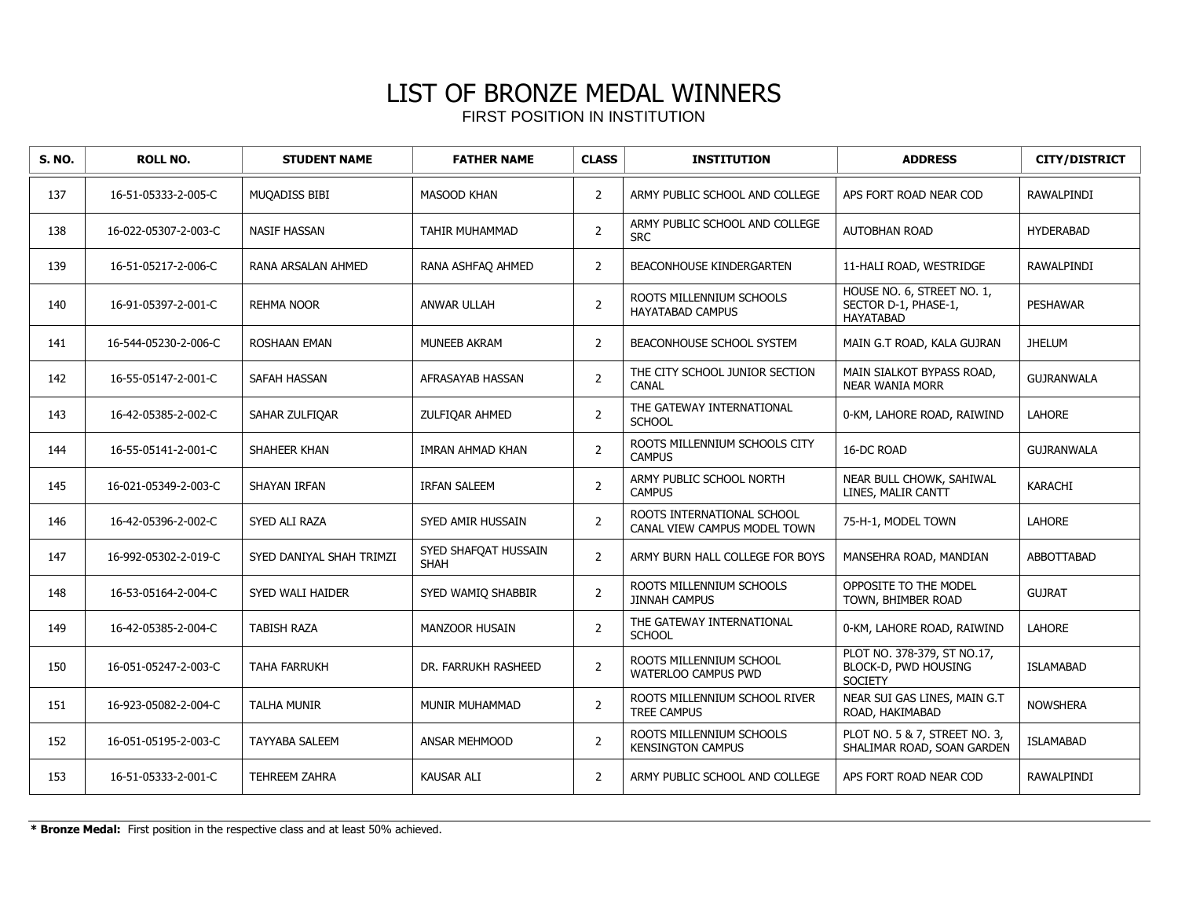| <b>S. NO.</b> | <b>ROLL NO.</b>      | <b>STUDENT NAME</b>      | <b>FATHER NAME</b>                  | <b>CLASS</b>   | <b>INSTITUTION</b>                                         | <b>ADDRESS</b>                                                        | <b>CITY/DISTRICT</b> |
|---------------|----------------------|--------------------------|-------------------------------------|----------------|------------------------------------------------------------|-----------------------------------------------------------------------|----------------------|
| 137           | 16-51-05333-2-005-C  | MUQADISS BIBI            | <b>MASOOD KHAN</b>                  | 2              | ARMY PUBLIC SCHOOL AND COLLEGE                             | APS FORT ROAD NEAR COD                                                | <b>RAWALPINDI</b>    |
| 138           | 16-022-05307-2-003-C | <b>NASIF HASSAN</b>      | <b>TAHIR MUHAMMAD</b>               | $\overline{2}$ | ARMY PUBLIC SCHOOL AND COLLEGE<br><b>SRC</b>               | AUTOBHAN ROAD                                                         | <b>HYDERABAD</b>     |
| 139           | 16-51-05217-2-006-C  | RANA ARSALAN AHMED       | RANA ASHFAO AHMED                   | $\overline{2}$ | <b>BEACONHOUSE KINDERGARTEN</b>                            | 11-HALI ROAD, WESTRIDGE                                               | <b>RAWALPINDI</b>    |
| 140           | 16-91-05397-2-001-C  | <b>REHMA NOOR</b>        | ANWAR ULLAH                         | $\overline{2}$ | ROOTS MILLENNIUM SCHOOLS<br>HAYATABAD CAMPUS               | HOUSE NO. 6, STREET NO. 1,<br>SECTOR D-1, PHASE-1,<br>HAYATABAD       | <b>PESHAWAR</b>      |
| 141           | 16-544-05230-2-006-C | ROSHAAN EMAN             | <b>MUNEEB AKRAM</b>                 | 2              | BEACONHOUSE SCHOOL SYSTEM                                  | MAIN G.T ROAD, KALA GUJRAN                                            | <b>JHELUM</b>        |
| 142           | 16-55-05147-2-001-C  | <b>SAFAH HASSAN</b>      | AFRASAYAB HASSAN                    | $\overline{2}$ | THE CITY SCHOOL JUNIOR SECTION<br>CANAL                    | MAIN SIALKOT BYPASS ROAD,<br><b>NEAR WANIA MORR</b>                   | <b>GUJRANWALA</b>    |
| 143           | 16-42-05385-2-002-C  | SAHAR ZULFIQAR           | ZULFIQAR AHMED                      | $\overline{2}$ | THE GATEWAY INTERNATIONAL<br><b>SCHOOL</b>                 | 0-KM, LAHORE ROAD, RAIWIND                                            | LAHORE               |
| 144           | 16-55-05141-2-001-C  | SHAHEER KHAN             | IMRAN AHMAD KHAN                    | $\overline{2}$ | ROOTS MILLENNIUM SCHOOLS CITY<br><b>CAMPUS</b>             | 16-DC ROAD                                                            | <b>GUJRANWALA</b>    |
| 145           | 16-021-05349-2-003-C | SHAYAN IRFAN             | <b>IRFAN SALEEM</b>                 | $\overline{2}$ | ARMY PUBLIC SCHOOL NORTH<br><b>CAMPUS</b>                  | NEAR BULL CHOWK, SAHIWAL<br>LINES, MALIR CANTT                        | <b>KARACHI</b>       |
| 146           | 16-42-05396-2-002-C  | SYED ALI RAZA            | SYED AMIR HUSSAIN                   | $\overline{2}$ | ROOTS INTERNATIONAL SCHOOL<br>CANAL VIEW CAMPUS MODEL TOWN | 75-H-1, MODEL TOWN                                                    | <b>LAHORE</b>        |
| 147           | 16-992-05302-2-019-C | SYED DANIYAL SHAH TRIMZI | SYED SHAFOAT HUSSAIN<br><b>SHAH</b> | $\overline{2}$ | ARMY BURN HALL COLLEGE FOR BOYS                            | MANSEHRA ROAD, MANDIAN                                                | <b>ABBOTTABAD</b>    |
| 148           | 16-53-05164-2-004-C  | <b>SYED WALI HAIDER</b>  | SYED WAMIO SHABBIR                  | $\overline{2}$ | ROOTS MILLENNIUM SCHOOLS<br><b>JINNAH CAMPUS</b>           | OPPOSITE TO THE MODEL<br>TOWN, BHIMBER ROAD                           | <b>GUJRAT</b>        |
| 149           | 16-42-05385-2-004-C  | <b>TABISH RAZA</b>       | <b>MANZOOR HUSAIN</b>               | 2              | THE GATEWAY INTERNATIONAL<br><b>SCHOOL</b>                 | 0-KM, LAHORE ROAD, RAIWIND                                            | <b>LAHORE</b>        |
| 150           | 16-051-05247-2-003-C | <b>TAHA FARRUKH</b>      | DR. FARRUKH RASHEED                 | $\overline{2}$ | ROOTS MILLENNIUM SCHOOL<br>WATERLOO CAMPUS PWD             | PLOT NO. 378-379, ST NO.17,<br>BLOCK-D, PWD HOUSING<br><b>SOCIETY</b> | <b>ISLAMABAD</b>     |
| 151           | 16-923-05082-2-004-C | <b>TALHA MUNIR</b>       | MUNIR MUHAMMAD                      | 2              | ROOTS MILLENNIUM SCHOOL RIVER<br><b>TREE CAMPUS</b>        | NEAR SUI GAS LINES, MAIN G.T<br>ROAD, HAKIMABAD                       | <b>NOWSHERA</b>      |
| 152           | 16-051-05195-2-003-C | <b>TAYYABA SALEEM</b>    | <b>ANSAR MEHMOOD</b>                | 2              | ROOTS MILLENNIUM SCHOOLS<br><b>KENSINGTON CAMPUS</b>       | PLOT NO. 5 & 7, STREET NO. 3,<br>SHALIMAR ROAD, SOAN GARDEN           | <b>ISLAMABAD</b>     |
| 153           | 16-51-05333-2-001-C  | TEHREEM ZAHRA            | <b>KAUSAR ALI</b>                   | $\overline{2}$ | ARMY PUBLIC SCHOOL AND COLLEGE                             | APS FORT ROAD NEAR COD                                                | RAWALPINDI           |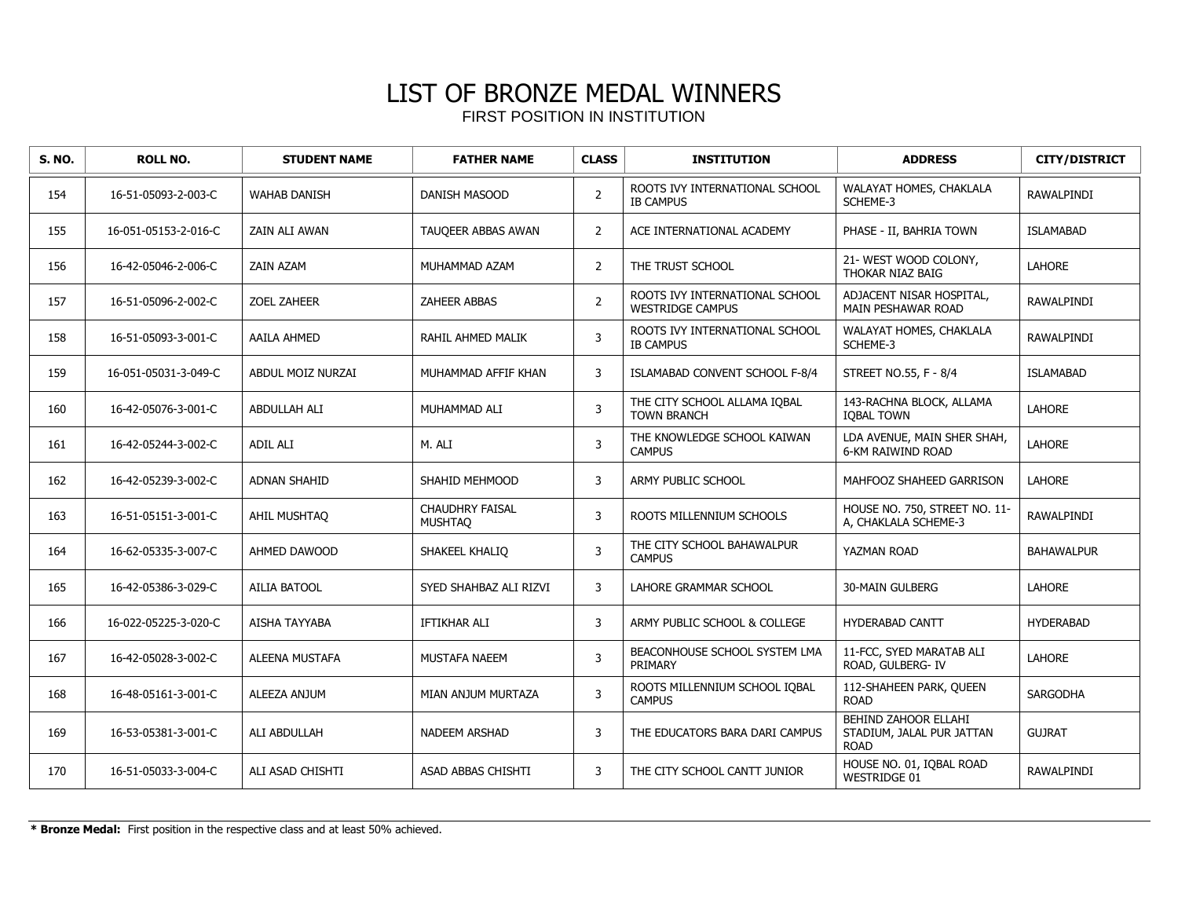| <b>S. NO.</b> | <b>ROLL NO.</b>      | <b>STUDENT NAME</b>   | <b>FATHER NAME</b>                       | <b>CLASS</b>   | <b>INSTITUTION</b>                                        | <b>ADDRESS</b>                                                          | <b>CITY/DISTRICT</b> |
|---------------|----------------------|-----------------------|------------------------------------------|----------------|-----------------------------------------------------------|-------------------------------------------------------------------------|----------------------|
| 154           | 16-51-05093-2-003-C  | <b>WAHAB DANISH</b>   | <b>DANISH MASOOD</b>                     | 2              | ROOTS IVY INTERNATIONAL SCHOOL<br><b>IB CAMPUS</b>        | WALAYAT HOMES, CHAKLALA<br>SCHEME-3                                     | RAWALPINDI           |
| 155           | 16-051-05153-2-016-C | ZAIN ALI AWAN         | TAUQEER ABBAS AWAN                       | $\overline{2}$ | ACE INTERNATIONAL ACADEMY                                 | PHASE - II, BAHRIA TOWN                                                 | <b>ISLAMABAD</b>     |
| 156           | 16-42-05046-2-006-C  | ZAIN AZAM             | MUHAMMAD AZAM                            | 2              | THE TRUST SCHOOL                                          | 21- WEST WOOD COLONY,<br>THOKAR NIAZ BAIG                               | <b>LAHORE</b>        |
| 157           | 16-51-05096-2-002-C  | <b>ZOEL ZAHEER</b>    | <b>ZAHEER ABBAS</b>                      | $\overline{2}$ | ROOTS IVY INTERNATIONAL SCHOOL<br><b>WESTRIDGE CAMPUS</b> | ADJACENT NISAR HOSPITAL,<br>MAIN PESHAWAR ROAD                          | RAWALPINDI           |
| 158           | 16-51-05093-3-001-C  | AAILA AHMED           | RAHIL AHMED MALIK                        | 3              | ROOTS IVY INTERNATIONAL SCHOOL<br><b>IB CAMPUS</b>        | WALAYAT HOMES, CHAKLALA<br>SCHEME-3                                     | <b>RAWALPINDI</b>    |
| 159           | 16-051-05031-3-049-C | ABDUL MOIZ NURZAI     | MUHAMMAD AFFIF KHAN                      | 3              | ISLAMABAD CONVENT SCHOOL F-8/4                            | STREET NO.55, F - 8/4                                                   | <b>ISLAMABAD</b>     |
| 160           | 16-42-05076-3-001-C  | ABDULLAH ALI          | MUHAMMAD ALI                             | 3              | THE CITY SCHOOL ALLAMA IOBAL<br><b>TOWN BRANCH</b>        | 143-RACHNA BLOCK, ALLAMA<br><b>IOBAL TOWN</b>                           | <b>LAHORE</b>        |
| 161           | 16-42-05244-3-002-C  | ADIL ALI              | M. ALI                                   | 3              | THE KNOWLEDGE SCHOOL KAIWAN<br><b>CAMPUS</b>              | LDA AVENUE, MAIN SHER SHAH,<br>6-KM RAIWIND ROAD                        | <b>LAHORE</b>        |
| 162           | 16-42-05239-3-002-C  | <b>ADNAN SHAHID</b>   | SHAHID MEHMOOD                           | 3              | ARMY PUBLIC SCHOOL                                        | MAHFOOZ SHAHEED GARRISON                                                | <b>LAHORE</b>        |
| 163           | 16-51-05151-3-001-C  | AHIL MUSHTAO          | <b>CHAUDHRY FAISAL</b><br><b>MUSHTAQ</b> | 3              | ROOTS MILLENNIUM SCHOOLS                                  | HOUSE NO. 750, STREET NO. 11-<br>A, CHAKLALA SCHEME-3                   | RAWALPINDI           |
| 164           | 16-62-05335-3-007-C  | AHMED DAWOOD          | SHAKEEL KHALIQ                           | 3              | THE CITY SCHOOL BAHAWALPUR<br><b>CAMPUS</b>               | YAZMAN ROAD                                                             | <b>BAHAWALPUR</b>    |
| 165           | 16-42-05386-3-029-C  | <b>AILIA BATOOL</b>   | SYED SHAHBAZ ALI RIZVI                   | 3              | LAHORE GRAMMAR SCHOOL                                     | <b>30-MAIN GULBERG</b>                                                  | <b>LAHORE</b>        |
| 166           | 16-022-05225-3-020-C | AISHA TAYYABA         | IFTIKHAR ALI                             | 3              | ARMY PUBLIC SCHOOL & COLLEGE                              | <b>HYDERABAD CANTT</b>                                                  | <b>HYDERABAD</b>     |
| 167           | 16-42-05028-3-002-C  | <b>ALEENA MUSTAFA</b> | <b>MUSTAFA NAEEM</b>                     | 3              | BEACONHOUSE SCHOOL SYSTEM LMA<br>PRIMARY                  | 11-FCC, SYED MARATAB ALI<br>ROAD, GULBERG- IV                           | LAHORE               |
| 168           | 16-48-05161-3-001-C  | ALEEZA ANJUM          | MIAN ANJUM MURTAZA                       | 3              | ROOTS MILLENNIUM SCHOOL IQBAL<br><b>CAMPUS</b>            | 112-SHAHEEN PARK, QUEEN<br><b>ROAD</b>                                  | <b>SARGODHA</b>      |
| 169           | 16-53-05381-3-001-C  | ALI ABDULLAH          | <b>NADEEM ARSHAD</b>                     | 3              | THE EDUCATORS BARA DARI CAMPUS                            | <b>BEHIND ZAHOOR ELLAHI</b><br>STADIUM, JALAL PUR JATTAN<br><b>ROAD</b> | <b>GUJRAT</b>        |
| 170           | 16-51-05033-3-004-C  | ALI ASAD CHISHTI      | ASAD ABBAS CHISHTI                       | 3              | THE CITY SCHOOL CANTT JUNIOR                              | HOUSE NO. 01, IQBAL ROAD<br><b>WESTRIDGE 01</b>                         | <b>RAWALPINDI</b>    |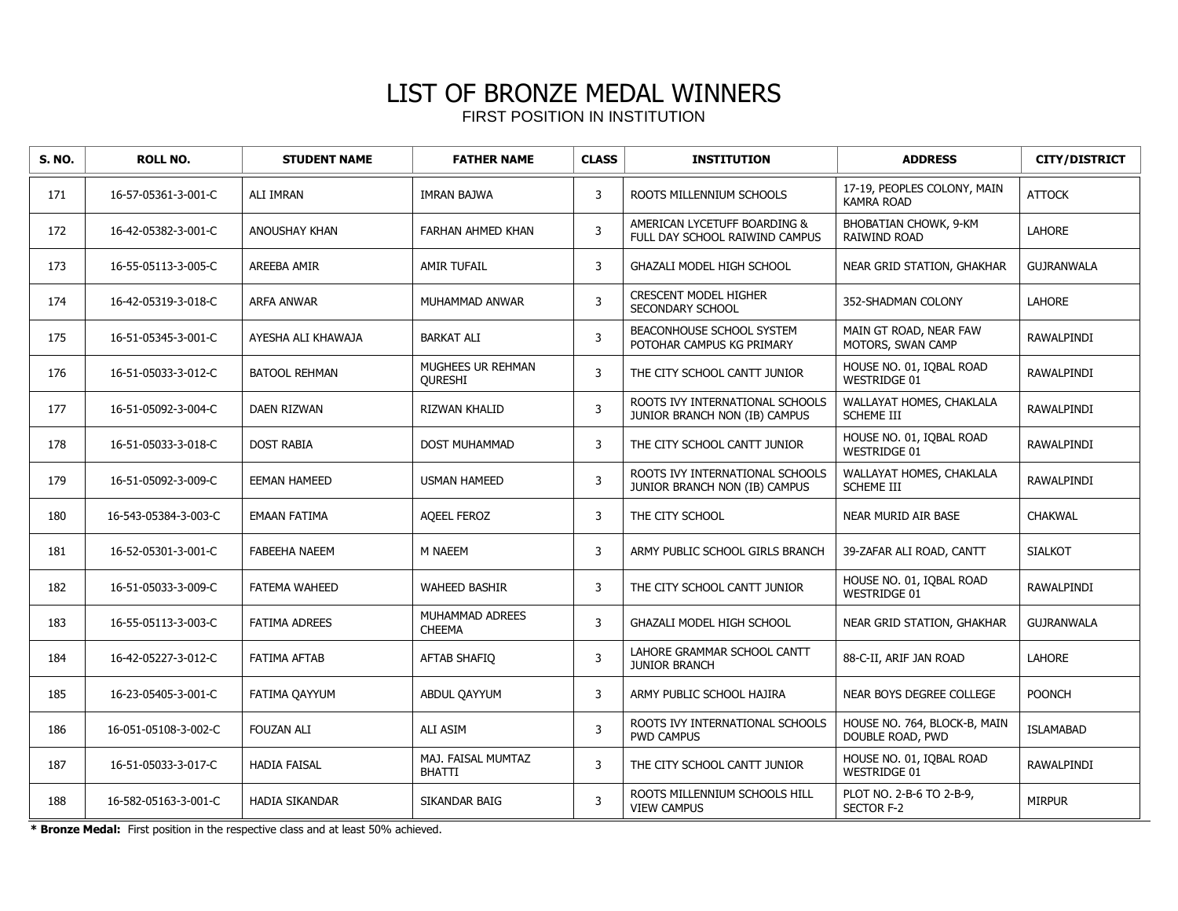| S. NO. | <b>ROLL NO.</b>      | <b>STUDENT NAME</b>   | <b>FATHER NAME</b>                  | <b>CLASS</b> | <b>INSTITUTION</b>                                               | <b>ADDRESS</b>                                   | <b>CITY/DISTRICT</b> |
|--------|----------------------|-----------------------|-------------------------------------|--------------|------------------------------------------------------------------|--------------------------------------------------|----------------------|
| 171    | 16-57-05361-3-001-C  | ALI IMRAN             | <b>IMRAN BAJWA</b>                  | 3            | ROOTS MILLENNIUM SCHOOLS                                         | 17-19, PEOPLES COLONY, MAIN<br><b>KAMRA ROAD</b> | <b>ATTOCK</b>        |
| 172    | 16-42-05382-3-001-C  | ANOUSHAY KHAN         | <b>FARHAN AHMED KHAN</b>            | 3            | AMERICAN LYCETUFF BOARDING &<br>FULL DAY SCHOOL RAIWIND CAMPUS   | BHOBATIAN CHOWK, 9-KM<br><b>RAIWIND ROAD</b>     | <b>LAHORE</b>        |
| 173    | 16-55-05113-3-005-C  | <b>AREEBA AMIR</b>    | <b>AMIR TUFAIL</b>                  | 3            | GHAZALI MODEL HIGH SCHOOL                                        | NEAR GRID STATION, GHAKHAR                       | <b>GUJRANWALA</b>    |
| 174    | 16-42-05319-3-018-C  | ARFA ANWAR            | MUHAMMAD ANWAR                      | 3            | <b>CRESCENT MODEL HIGHER</b><br>SECONDARY SCHOOL                 | 352-SHADMAN COLONY                               | <b>LAHORE</b>        |
| 175    | 16-51-05345-3-001-C  | AYESHA ALI KHAWAJA    | <b>BARKAT ALI</b>                   | 3            | BEACONHOUSE SCHOOL SYSTEM<br>POTOHAR CAMPUS KG PRIMARY           | MAIN GT ROAD, NEAR FAW<br>MOTORS, SWAN CAMP      | RAWALPINDI           |
| 176    | 16-51-05033-3-012-C  | <b>BATOOL REHMAN</b>  | MUGHEES UR REHMAN<br><b>OURESHI</b> | 3            | THE CITY SCHOOL CANTT JUNIOR                                     | HOUSE NO. 01, IQBAL ROAD<br><b>WESTRIDGE 01</b>  | RAWALPINDI           |
| 177    | 16-51-05092-3-004-C  | <b>DAEN RIZWAN</b>    | <b>RIZWAN KHALID</b>                | $\mathbf{3}$ | ROOTS IVY INTERNATIONAL SCHOOLS<br>JUNIOR BRANCH NON (IB) CAMPUS | WALLAYAT HOMES, CHAKLALA<br>SCHEME III           | <b>RAWALPINDI</b>    |
| 178    | 16-51-05033-3-018-C  | <b>DOST RABIA</b>     | DOST MUHAMMAD                       | 3            | THE CITY SCHOOL CANTT JUNIOR                                     | HOUSE NO. 01, IQBAL ROAD<br><b>WESTRIDGE 01</b>  | RAWALPINDI           |
| 179    | 16-51-05092-3-009-C  | <b>EEMAN HAMEED</b>   | <b>USMAN HAMEED</b>                 | 3            | ROOTS IVY INTERNATIONAL SCHOOLS<br>JUNIOR BRANCH NON (IB) CAMPUS | WALLAYAT HOMES, CHAKLALA<br><b>SCHEME III</b>    | RAWALPINDI           |
| 180    | 16-543-05384-3-003-C | <b>EMAAN FATIMA</b>   | <b>AOEEL FEROZ</b>                  | 3            | THE CITY SCHOOL                                                  | NEAR MURID AIR BASE                              | <b>CHAKWAL</b>       |
| 181    | 16-52-05301-3-001-C  | <b>FABEEHA NAEEM</b>  | M NAEEM                             | 3            | ARMY PUBLIC SCHOOL GIRLS BRANCH                                  | 39-ZAFAR ALI ROAD, CANTT                         | <b>SIALKOT</b>       |
| 182    | 16-51-05033-3-009-C  | <b>FATEMA WAHEED</b>  | <b>WAHEED BASHIR</b>                | 3            | THE CITY SCHOOL CANTT JUNIOR                                     | HOUSE NO. 01, IQBAL ROAD<br>WESTRIDGE 01         | RAWALPINDI           |
| 183    | 16-55-05113-3-003-C  | <b>FATIMA ADREES</b>  | MUHAMMAD ADREES<br><b>CHEEMA</b>    | 3            | GHAZALI MODEL HIGH SCHOOL                                        | NEAR GRID STATION, GHAKHAR                       | <b>GUJRANWALA</b>    |
| 184    | 16-42-05227-3-012-C  | <b>FATIMA AFTAB</b>   | <b>AFTAB SHAFIO</b>                 | 3            | LAHORE GRAMMAR SCHOOL CANTT<br><b>JUNIOR BRANCH</b>              | 88-C-II, ARIF JAN ROAD                           | <b>LAHORE</b>        |
| 185    | 16-23-05405-3-001-C  | FATIMA QAYYUM         | ABDUL QAYYUM                        | 3            | ARMY PUBLIC SCHOOL HAJIRA                                        | NEAR BOYS DEGREE COLLEGE                         | <b>POONCH</b>        |
| 186    | 16-051-05108-3-002-C | <b>FOUZAN ALI</b>     | ALI ASIM                            | 3            | ROOTS IVY INTERNATIONAL SCHOOLS<br><b>PWD CAMPUS</b>             | HOUSE NO. 764, BLOCK-B, MAIN<br>DOUBLE ROAD, PWD | <b>ISLAMABAD</b>     |
| 187    | 16-51-05033-3-017-C  | <b>HADIA FAISAL</b>   | MAJ. FAISAL MUMTAZ<br><b>BHATTI</b> | 3            | THE CITY SCHOOL CANTT JUNIOR                                     | HOUSE NO. 01, IQBAL ROAD<br><b>WESTRIDGE 01</b>  | RAWALPINDI           |
| 188    | 16-582-05163-3-001-C | <b>HADIA SIKANDAR</b> | SIKANDAR BAIG                       | $\mathbf{3}$ | ROOTS MILLENNIUM SCHOOLS HILL<br><b>VIEW CAMPUS</b>              | PLOT NO. 2-B-6 TO 2-B-9,<br><b>SECTOR F-2</b>    | <b>MIRPUR</b>        |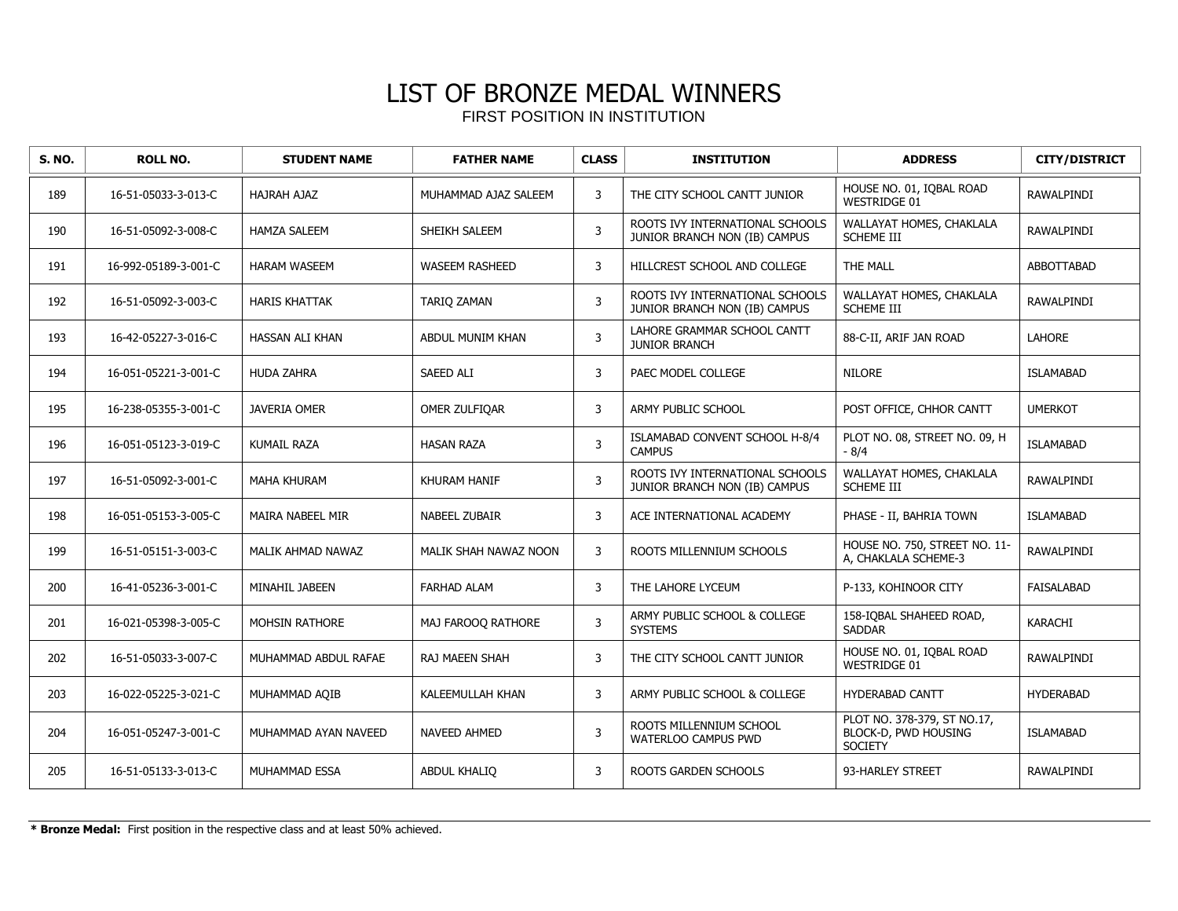| <b>S. NO.</b> | <b>ROLL NO.</b>      | <b>STUDENT NAME</b>  | <b>FATHER NAME</b>      | <b>CLASS</b> | <b>INSTITUTION</b>                                               | <b>ADDRESS</b>                                                        | <b>CITY/DISTRICT</b> |
|---------------|----------------------|----------------------|-------------------------|--------------|------------------------------------------------------------------|-----------------------------------------------------------------------|----------------------|
| 189           | 16-51-05033-3-013-C  | <b>HAJRAH AJAZ</b>   | MUHAMMAD AJAZ SALEEM    | 3            | THE CITY SCHOOL CANTT JUNIOR                                     | HOUSE NO. 01, IQBAL ROAD<br><b>WESTRIDGE 01</b>                       | <b>RAWALPINDI</b>    |
| 190           | 16-51-05092-3-008-C  | <b>HAMZA SALEEM</b>  | SHEIKH SALEEM           | 3            | ROOTS IVY INTERNATIONAL SCHOOLS<br>JUNIOR BRANCH NON (IB) CAMPUS | WALLAYAT HOMES, CHAKLALA<br><b>SCHEME III</b>                         | RAWALPINDI           |
| 191           | 16-992-05189-3-001-C | <b>HARAM WASEEM</b>  | <b>WASEEM RASHEED</b>   | 3            | HILLCREST SCHOOL AND COLLEGE                                     | THE MALL                                                              | <b>ABBOTTABAD</b>    |
| 192           | 16-51-05092-3-003-C  | <b>HARIS KHATTAK</b> | <b>TARIO ZAMAN</b>      | $\mathsf{3}$ | ROOTS IVY INTERNATIONAL SCHOOLS<br>JUNIOR BRANCH NON (IB) CAMPUS | WALLAYAT HOMES, CHAKLALA<br><b>SCHEME III</b>                         | <b>RAWALPINDI</b>    |
| 193           | 16-42-05227-3-016-C  | HASSAN ALI KHAN      | ABDUL MUNIM KHAN        | 3            | LAHORE GRAMMAR SCHOOL CANTT<br><b>JUNIOR BRANCH</b>              | 88-C-II, ARIF JAN ROAD                                                | <b>LAHORE</b>        |
| 194           | 16-051-05221-3-001-C | <b>HUDA ZAHRA</b>    | <b>SAEED ALI</b>        | 3            | PAEC MODEL COLLEGE                                               | <b>NILORE</b>                                                         | <b>ISLAMABAD</b>     |
| 195           | 16-238-05355-3-001-C | <b>JAVERIA OMER</b>  | OMER ZULFIQAR           | 3            | ARMY PUBLIC SCHOOL                                               | POST OFFICE, CHHOR CANTT                                              | <b>UMERKOT</b>       |
| 196           | 16-051-05123-3-019-C | <b>KUMAIL RAZA</b>   | <b>HASAN RAZA</b>       | 3            | ISLAMABAD CONVENT SCHOOL H-8/4<br><b>CAMPUS</b>                  | PLOT NO. 08, STREET NO. 09, H<br>$-8/4$                               | <b>ISLAMABAD</b>     |
| 197           | 16-51-05092-3-001-C  | <b>MAHA KHURAM</b>   | <b>KHURAM HANIF</b>     | 3            | ROOTS IVY INTERNATIONAL SCHOOLS<br>JUNIOR BRANCH NON (IB) CAMPUS | WALLAYAT HOMES, CHAKLALA<br><b>SCHEME III</b>                         | RAWALPINDI           |
| 198           | 16-051-05153-3-005-C | MAIRA NABEEL MIR     | <b>NABEEL ZUBAIR</b>    | 3            | ACE INTERNATIONAL ACADEMY                                        | PHASE - II, BAHRIA TOWN                                               | <b>ISLAMABAD</b>     |
| 199           | 16-51-05151-3-003-C  | MALIK AHMAD NAWAZ    | MALIK SHAH NAWAZ NOON   | 3            | ROOTS MILLENNIUM SCHOOLS                                         | HOUSE NO. 750, STREET NO. 11-<br>A. CHAKLALA SCHEME-3                 | RAWALPINDI           |
| 200           | 16-41-05236-3-001-C  | MINAHIL JABEEN       | <b>FARHAD ALAM</b>      | 3            | THE LAHORE LYCEUM                                                | P-133, KOHINOOR CITY                                                  | <b>FAISALABAD</b>    |
| 201           | 16-021-05398-3-005-C | MOHSIN RATHORE       | MAJ FAROOQ RATHORE      | $\mathsf 3$  | ARMY PUBLIC SCHOOL & COLLEGE<br><b>SYSTEMS</b>                   | 158-IOBAL SHAHEED ROAD,<br><b>SADDAR</b>                              | KARACHI              |
| 202           | 16-51-05033-3-007-C  | MUHAMMAD ABDUL RAFAE | RAJ MAEEN SHAH          | 3            | THE CITY SCHOOL CANTT JUNIOR                                     | HOUSE NO. 01, IOBAL ROAD<br><b>WESTRIDGE 01</b>                       | RAWALPINDI           |
| 203           | 16-022-05225-3-021-C | MUHAMMAD AOIB        | <b>KALEEMULLAH KHAN</b> | 3            | ARMY PUBLIC SCHOOL & COLLEGE                                     | <b>HYDERABAD CANTT</b>                                                | <b>HYDERABAD</b>     |
| 204           | 16-051-05247-3-001-C | MUHAMMAD AYAN NAVEED | NAVEED AHMED            | 3            | ROOTS MILLENNIUM SCHOOL<br>WATERLOO CAMPUS PWD                   | PLOT NO. 378-379, ST NO.17,<br>BLOCK-D, PWD HOUSING<br><b>SOCIETY</b> | <b>ISLAMABAD</b>     |
| 205           | 16-51-05133-3-013-C  | MUHAMMAD ESSA        | <b>ABDUL KHALIO</b>     | 3            | <b>ROOTS GARDEN SCHOOLS</b>                                      | 93-HARLEY STREET                                                      | RAWALPINDI           |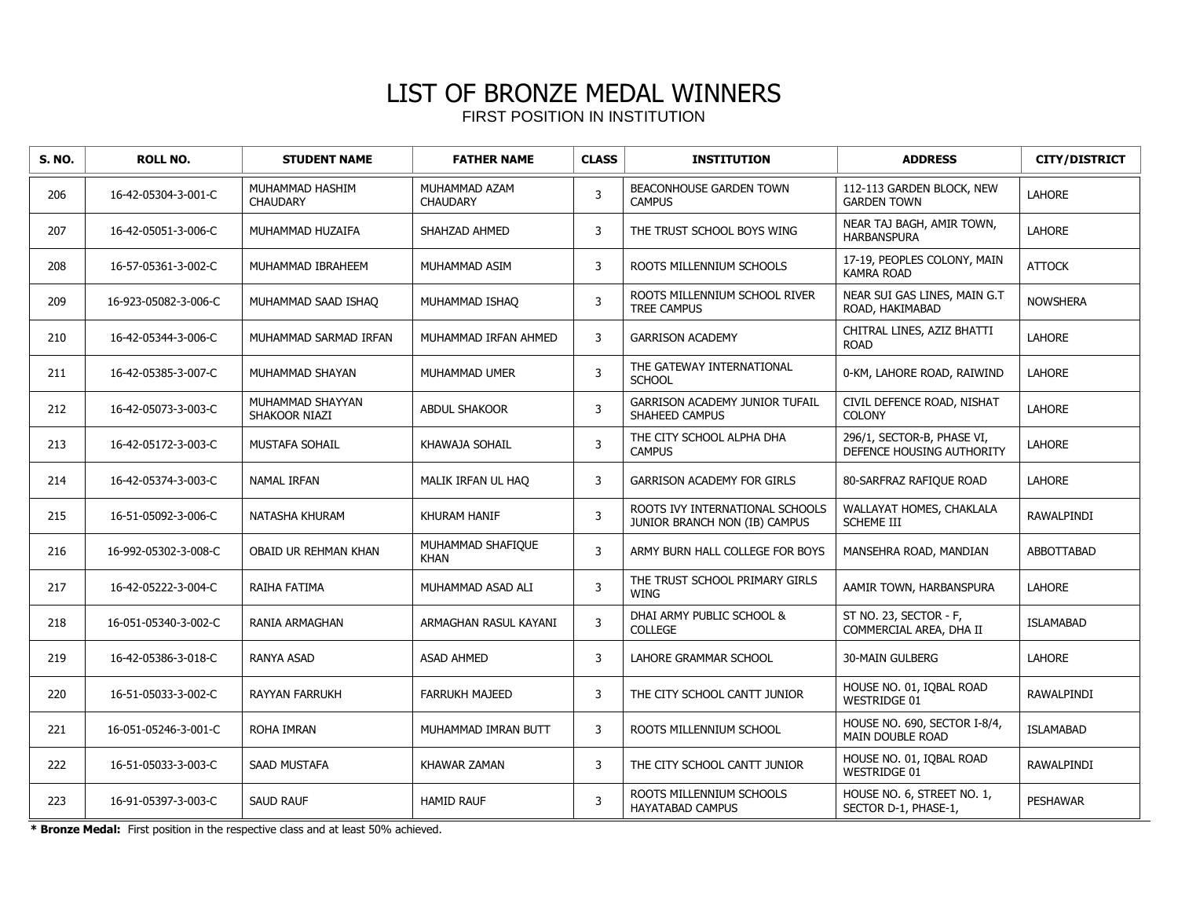| <b>S. NO.</b> | <b>ROLL NO.</b>      | <b>STUDENT NAME</b>                | <b>FATHER NAME</b>               | <b>CLASS</b> | <b>INSTITUTION</b>                                               | <b>ADDRESS</b>                                          | <b>CITY/DISTRICT</b> |
|---------------|----------------------|------------------------------------|----------------------------------|--------------|------------------------------------------------------------------|---------------------------------------------------------|----------------------|
| 206           | 16-42-05304-3-001-C  | MUHAMMAD HASHIM<br><b>CHAUDARY</b> | MUHAMMAD AZAM<br><b>CHAUDARY</b> | 3            | BEACONHOUSE GARDEN TOWN<br><b>CAMPUS</b>                         | 112-113 GARDEN BLOCK, NEW<br><b>GARDEN TOWN</b>         | <b>LAHORE</b>        |
| 207           | 16-42-05051-3-006-C  | MUHAMMAD HUZAIFA                   | SHAHZAD AHMED                    | 3            | THE TRUST SCHOOL BOYS WING                                       | NEAR TAJ BAGH, AMIR TOWN,<br><b>HARBANSPURA</b>         | <b>LAHORE</b>        |
| 208           | 16-57-05361-3-002-C  | MUHAMMAD IBRAHEEM                  | MUHAMMAD ASIM                    | 3            | ROOTS MILLENNIUM SCHOOLS                                         | 17-19, PEOPLES COLONY, MAIN<br><b>KAMRA ROAD</b>        | <b>ATTOCK</b>        |
| 209           | 16-923-05082-3-006-C | MUHAMMAD SAAD ISHAO                | MUHAMMAD ISHAQ                   | 3            | ROOTS MILLENNIUM SCHOOL RIVER<br><b>TREE CAMPUS</b>              | NEAR SUI GAS LINES, MAIN G.T<br>ROAD, HAKIMABAD         | <b>NOWSHERA</b>      |
| 210           | 16-42-05344-3-006-C  | MUHAMMAD SARMAD IRFAN              | MUHAMMAD IRFAN AHMED             | 3            | <b>GARRISON ACADEMY</b>                                          | CHITRAL LINES, AZIZ BHATTI<br><b>ROAD</b>               | <b>LAHORE</b>        |
| 211           | 16-42-05385-3-007-C  | MUHAMMAD SHAYAN                    | MUHAMMAD UMER                    | 3            | THE GATEWAY INTERNATIONAL<br><b>SCHOOL</b>                       | 0-KM, LAHORE ROAD, RAIWIND                              | LAHORE               |
| 212           | 16-42-05073-3-003-C  | MUHAMMAD SHAYYAN<br>SHAKOOR NIAZI  | <b>ABDUL SHAKOOR</b>             | 3            | <b>GARRISON ACADEMY JUNIOR TUFAIL</b><br>SHAHEED CAMPUS          | CIVIL DEFENCE ROAD, NISHAT<br><b>COLONY</b>             | <b>LAHORE</b>        |
| 213           | 16-42-05172-3-003-C  | MUSTAFA SOHAIL                     | KHAWAJA SOHAIL                   | 3            | THE CITY SCHOOL ALPHA DHA<br><b>CAMPUS</b>                       | 296/1, SECTOR-B, PHASE VI,<br>DEFENCE HOUSING AUTHORITY | <b>LAHORE</b>        |
| 214           | 16-42-05374-3-003-C  | <b>NAMAL IRFAN</b>                 | MALIK IRFAN UL HAQ               | 3            | <b>GARRISON ACADEMY FOR GIRLS</b>                                | 80-SARFRAZ RAFIQUE ROAD                                 | <b>LAHORE</b>        |
| 215           | 16-51-05092-3-006-C  | NATASHA KHURAM                     | <b>KHURAM HANIF</b>              | 3            | ROOTS IVY INTERNATIONAL SCHOOLS<br>JUNIOR BRANCH NON (IB) CAMPUS | WALLAYAT HOMES, CHAKLALA<br>SCHEME III                  | RAWALPINDI           |
| 216           | 16-992-05302-3-008-C | OBAID UR REHMAN KHAN               | MUHAMMAD SHAFIQUE<br><b>KHAN</b> | 3            | ARMY BURN HALL COLLEGE FOR BOYS                                  | MANSEHRA ROAD, MANDIAN                                  | ABBOTTABAD           |
| 217           | 16-42-05222-3-004-C  | RAIHA FATIMA                       | MUHAMMAD ASAD ALI                | 3            | THE TRUST SCHOOL PRIMARY GIRLS<br><b>WING</b>                    | AAMIR TOWN, HARBANSPURA                                 | <b>LAHORE</b>        |
| 218           | 16-051-05340-3-002-C | RANIA ARMAGHAN                     | ARMAGHAN RASUL KAYANI            | 3            | DHAI ARMY PUBLIC SCHOOL &<br>COLLEGE                             | ST NO. 23, SECTOR - F,<br>COMMERCIAL AREA, DHA II       | <b>ISLAMABAD</b>     |
| 219           | 16-42-05386-3-018-C  | <b>RANYA ASAD</b>                  | <b>ASAD AHMED</b>                | 3            | LAHORE GRAMMAR SCHOOL                                            | <b>30-MAIN GULBERG</b>                                  | <b>LAHORE</b>        |
| 220           | 16-51-05033-3-002-C  | <b>RAYYAN FARRUKH</b>              | <b>FARRUKH MAJEED</b>            | 3            | THE CITY SCHOOL CANTT JUNIOR                                     | HOUSE NO. 01, IOBAL ROAD<br><b>WESTRIDGE 01</b>         | RAWALPINDI           |
| 221           | 16-051-05246-3-001-C | ROHA IMRAN                         | MUHAMMAD IMRAN BUTT              | 3            | ROOTS MILLENNIUM SCHOOL                                          | HOUSE NO. 690, SECTOR I-8/4,<br><b>MAIN DOUBLE ROAD</b> | <b>ISLAMABAD</b>     |
| 222           | 16-51-05033-3-003-C  | SAAD MUSTAFA                       | <b>KHAWAR ZAMAN</b>              | 3            | THE CITY SCHOOL CANTT JUNIOR                                     | HOUSE NO. 01, IQBAL ROAD<br><b>WESTRIDGE 01</b>         | RAWALPINDI           |
| 223           | 16-91-05397-3-003-C  | <b>SAUD RAUF</b>                   | <b>HAMID RAUF</b>                | 3            | ROOTS MILLENNIUM SCHOOLS<br><b>HAYATABAD CAMPUS</b>              | HOUSE NO. 6, STREET NO. 1,<br>SECTOR D-1, PHASE-1,      | <b>PESHAWAR</b>      |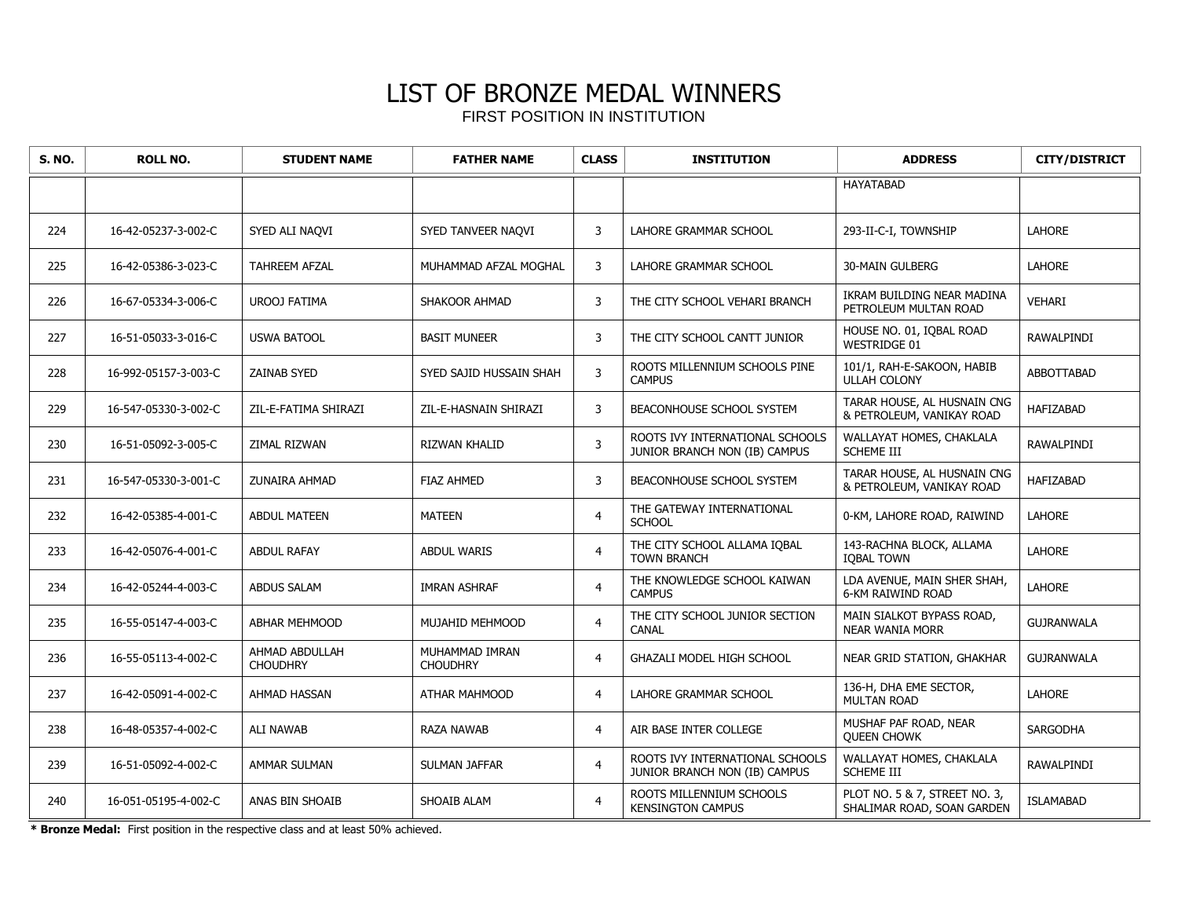| <b>S. NO.</b> | <b>ROLL NO.</b>      | <b>STUDENT NAME</b>               | <b>FATHER NAME</b>                | <b>CLASS</b>   | <b>INSTITUTION</b>                                               | <b>ADDRESS</b>                                              | <b>CITY/DISTRICT</b> |
|---------------|----------------------|-----------------------------------|-----------------------------------|----------------|------------------------------------------------------------------|-------------------------------------------------------------|----------------------|
|               |                      |                                   |                                   |                |                                                                  | <b>HAYATABAD</b>                                            |                      |
| 224           | 16-42-05237-3-002-C  | SYED ALI NAQVI                    | SYED TANVEER NAOVI                | 3              | LAHORE GRAMMAR SCHOOL                                            | 293-II-C-I, TOWNSHIP                                        | <b>LAHORE</b>        |
| 225           | 16-42-05386-3-023-C  | TAHREEM AFZAL                     | MUHAMMAD AFZAL MOGHAL             | 3              | LAHORE GRAMMAR SCHOOL                                            | <b>30-MAIN GULBERG</b>                                      | <b>LAHORE</b>        |
| 226           | 16-67-05334-3-006-C  | <b>UROOJ FATIMA</b>               | SHAKOOR AHMAD                     | 3              | THE CITY SCHOOL VEHARI BRANCH                                    | IKRAM BUILDING NEAR MADINA<br>PETROLEUM MULTAN ROAD         | VEHARI               |
| 227           | 16-51-05033-3-016-C  | <b>USWA BATOOL</b>                | <b>BASIT MUNEER</b>               | 3              | THE CITY SCHOOL CANTT JUNIOR                                     | HOUSE NO. 01, IQBAL ROAD<br><b>WESTRIDGE 01</b>             | RAWALPINDI           |
| 228           | 16-992-05157-3-003-C | <b>ZAINAB SYED</b>                | SYED SAJID HUSSAIN SHAH           | 3              | ROOTS MILLENNIUM SCHOOLS PINE<br><b>CAMPUS</b>                   | 101/1, RAH-E-SAKOON, HABIB<br><b>ULLAH COLONY</b>           | ABBOTTABAD           |
| 229           | 16-547-05330-3-002-C | ZIL-E-FATIMA SHIRAZI              | ZIL-E-HASNAIN SHIRAZI             | 3              | BEACONHOUSE SCHOOL SYSTEM                                        | TARAR HOUSE, AL HUSNAIN CNG<br>& PETROLEUM, VANIKAY ROAD    | <b>HAFIZABAD</b>     |
| 230           | 16-51-05092-3-005-C  | ZIMAL RIZWAN                      | RIZWAN KHALID                     | 3              | ROOTS IVY INTERNATIONAL SCHOOLS<br>JUNIOR BRANCH NON (IB) CAMPUS | WALLAYAT HOMES, CHAKLALA<br>SCHEME III                      | RAWALPINDI           |
| 231           | 16-547-05330-3-001-C | <b>ZUNAIRA AHMAD</b>              | <b>FIAZ AHMED</b>                 | 3              | <b>BEACONHOUSE SCHOOL SYSTEM</b>                                 | TARAR HOUSE, AL HUSNAIN CNG<br>& PETROLEUM, VANIKAY ROAD    | <b>HAFIZABAD</b>     |
| 232           | 16-42-05385-4-001-C  | <b>ABDUL MATEEN</b>               | <b>MATEEN</b>                     | $\overline{4}$ | THE GATEWAY INTERNATIONAL<br><b>SCHOOL</b>                       | 0-KM, LAHORE ROAD, RAIWIND                                  | <b>LAHORE</b>        |
| 233           | 16-42-05076-4-001-C  | <b>ABDUL RAFAY</b>                | <b>ABDUL WARIS</b>                | $\overline{4}$ | THE CITY SCHOOL ALLAMA IOBAL<br><b>TOWN BRANCH</b>               | 143-RACHNA BLOCK, ALLAMA<br><b>IQBAL TOWN</b>               | LAHORE               |
| 234           | 16-42-05244-4-003-C  | <b>ABDUS SALAM</b>                | <b>IMRAN ASHRAF</b>               | $\overline{4}$ | THE KNOWLEDGE SCHOOL KAIWAN<br><b>CAMPUS</b>                     | LDA AVENUE, MAIN SHER SHAH,<br>6-KM RAIWIND ROAD            | <b>LAHORE</b>        |
| 235           | 16-55-05147-4-003-C  | <b>ABHAR MEHMOOD</b>              | MUJAHID MEHMOOD                   | $\overline{4}$ | THE CITY SCHOOL JUNIOR SECTION<br>CANAL                          | MAIN SIALKOT BYPASS ROAD,<br><b>NEAR WANIA MORR</b>         | <b>GUJRANWALA</b>    |
| 236           | 16-55-05113-4-002-C  | AHMAD ABDULLAH<br><b>CHOUDHRY</b> | MUHAMMAD IMRAN<br><b>CHOUDHRY</b> | $\overline{4}$ | <b>GHAZALI MODEL HIGH SCHOOL</b>                                 | NEAR GRID STATION, GHAKHAR                                  | <b>GUJRANWALA</b>    |
| 237           | 16-42-05091-4-002-C  | AHMAD HASSAN                      | ATHAR MAHMOOD                     | $\overline{4}$ | LAHORE GRAMMAR SCHOOL                                            | 136-H, DHA EME SECTOR,<br><b>MULTAN ROAD</b>                | <b>LAHORE</b>        |
| 238           | 16-48-05357-4-002-C  | <b>ALI NAWAB</b>                  | <b>RAZA NAWAB</b>                 | $\overline{4}$ | AIR BASE INTER COLLEGE                                           | MUSHAF PAF ROAD, NEAR<br><b>QUEEN CHOWK</b>                 | <b>SARGODHA</b>      |
| 239           | 16-51-05092-4-002-C  | AMMAR SULMAN                      | SULMAN JAFFAR                     | $\overline{4}$ | ROOTS IVY INTERNATIONAL SCHOOLS<br>JUNIOR BRANCH NON (IB) CAMPUS | WALLAYAT HOMES, CHAKLALA<br><b>SCHEME III</b>               | RAWALPINDI           |
| 240           | 16-051-05195-4-002-C | ANAS BIN SHOAIB                   | SHOAIB ALAM                       | $\overline{4}$ | ROOTS MILLENNIUM SCHOOLS<br><b>KENSINGTON CAMPUS</b>             | PLOT NO. 5 & 7, STREET NO. 3,<br>SHALIMAR ROAD, SOAN GARDEN | <b>ISLAMABAD</b>     |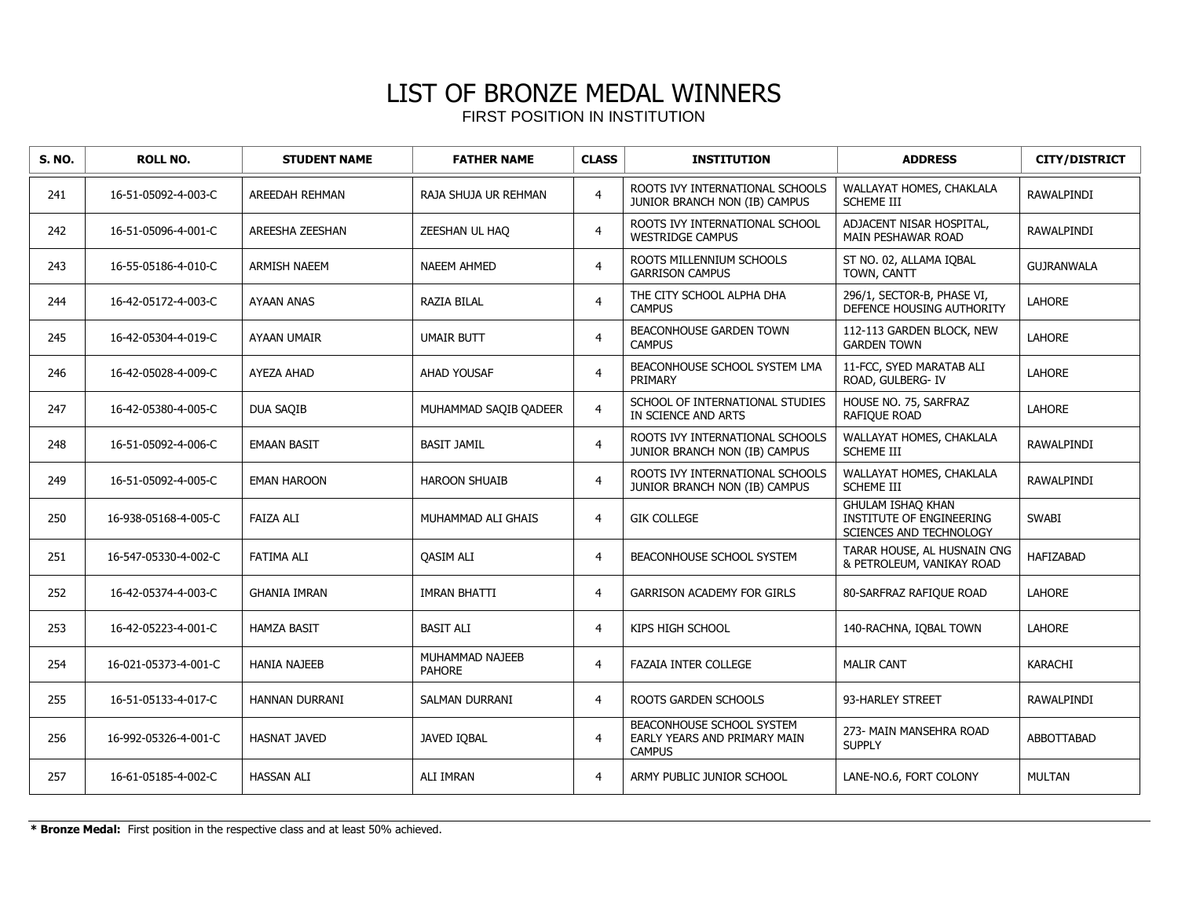| <b>S. NO.</b> | <b>ROLL NO.</b>      | <b>STUDENT NAME</b>   | <b>FATHER NAME</b>               | <b>CLASS</b>   | <b>INSTITUTION</b>                                                         | <b>ADDRESS</b>                                                                         | <b>CITY/DISTRICT</b> |
|---------------|----------------------|-----------------------|----------------------------------|----------------|----------------------------------------------------------------------------|----------------------------------------------------------------------------------------|----------------------|
| 241           | 16-51-05092-4-003-C  | AREEDAH REHMAN        | RAJA SHUJA UR REHMAN             | $\overline{4}$ | ROOTS IVY INTERNATIONAL SCHOOLS<br>JUNIOR BRANCH NON (IB) CAMPUS           | WALLAYAT HOMES, CHAKLALA<br><b>SCHEME III</b>                                          | RAWALPINDI           |
| 242           | 16-51-05096-4-001-C  | AREESHA ZEESHAN       | ZEESHAN UL HAQ                   | $\overline{4}$ | ROOTS IVY INTERNATIONAL SCHOOL<br><b>WESTRIDGE CAMPUS</b>                  | ADJACENT NISAR HOSPITAL,<br>MAIN PESHAWAR ROAD                                         | RAWALPINDI           |
| 243           | 16-55-05186-4-010-C  | <b>ARMISH NAEEM</b>   | <b>NAEEM AHMED</b>               | $\overline{4}$ | ROOTS MILLENNIUM SCHOOLS<br><b>GARRISON CAMPUS</b>                         | ST NO. 02, ALLAMA IOBAL<br>TOWN, CANTT                                                 | <b>GUJRANWALA</b>    |
| 244           | 16-42-05172-4-003-C  | <b>AYAAN ANAS</b>     | <b>RAZIA BILAL</b>               | $\overline{4}$ | THE CITY SCHOOL ALPHA DHA<br><b>CAMPUS</b>                                 | 296/1, SECTOR-B, PHASE VI,<br>DEFENCE HOUSING AUTHORITY                                | LAHORE               |
| 245           | 16-42-05304-4-019-C  | AYAAN UMAIR           | <b>UMAIR BUTT</b>                | $\overline{4}$ | BEACONHOUSE GARDEN TOWN<br><b>CAMPUS</b>                                   | 112-113 GARDEN BLOCK, NEW<br><b>GARDEN TOWN</b>                                        | <b>LAHORE</b>        |
| 246           | 16-42-05028-4-009-C  | AYEZA AHAD            | <b>AHAD YOUSAF</b>               | $\overline{4}$ | BEACONHOUSE SCHOOL SYSTEM LMA<br>PRIMARY                                   | 11-FCC, SYED MARATAB ALI<br>ROAD, GULBERG- IV                                          | <b>LAHORE</b>        |
| 247           | 16-42-05380-4-005-C  | <b>DUA SAQIB</b>      | MUHAMMAD SAQIB QADEER            | $\overline{4}$ | SCHOOL OF INTERNATIONAL STUDIES<br>IN SCIENCE AND ARTS                     | HOUSE NO. 75, SARFRAZ<br>RAFIQUE ROAD                                                  | <b>LAHORE</b>        |
| 248           | 16-51-05092-4-006-C  | <b>EMAAN BASIT</b>    | <b>BASIT JAMIL</b>               | $\overline{4}$ | ROOTS IVY INTERNATIONAL SCHOOLS<br>JUNIOR BRANCH NON (IB) CAMPUS           | WALLAYAT HOMES, CHAKLALA<br>SCHEME III                                                 | RAWALPINDI           |
| 249           | 16-51-05092-4-005-C  | <b>EMAN HAROON</b>    | <b>HAROON SHUAIB</b>             | $\overline{4}$ | ROOTS IVY INTERNATIONAL SCHOOLS<br>JUNIOR BRANCH NON (IB) CAMPUS           | WALLAYAT HOMES, CHAKLALA<br><b>SCHEME III</b>                                          | RAWALPINDI           |
| 250           | 16-938-05168-4-005-C | <b>FAIZA ALI</b>      | MUHAMMAD ALI GHAIS               | $\overline{4}$ | <b>GIK COLLEGE</b>                                                         | <b>GHULAM ISHAQ KHAN</b><br><b>INSTITUTE OF ENGINEERING</b><br>SCIENCES AND TECHNOLOGY | <b>SWABI</b>         |
| 251           | 16-547-05330-4-002-C | <b>FATIMA ALI</b>     | <b>OASIM ALI</b>                 | 4              | BEACONHOUSE SCHOOL SYSTEM                                                  | TARAR HOUSE, AL HUSNAIN CNG<br>& PETROLEUM, VANIKAY ROAD                               | <b>HAFIZABAD</b>     |
| 252           | 16-42-05374-4-003-C  | <b>GHANIA IMRAN</b>   | <b>IMRAN BHATTI</b>              | $\overline{4}$ | <b>GARRISON ACADEMY FOR GIRLS</b>                                          | 80-SARFRAZ RAFIQUE ROAD                                                                | <b>LAHORE</b>        |
| 253           | 16-42-05223-4-001-C  | <b>HAMZA BASIT</b>    | <b>BASIT ALI</b>                 | $\overline{4}$ | KIPS HIGH SCHOOL                                                           | 140-RACHNA, IOBAL TOWN                                                                 | <b>LAHORE</b>        |
| 254           | 16-021-05373-4-001-C | <b>HANIA NAJEEB</b>   | MUHAMMAD NAJEEB<br><b>PAHORE</b> | $\overline{4}$ | <b>FAZAIA INTER COLLEGE</b>                                                | <b>MALIR CANT</b>                                                                      | <b>KARACHI</b>       |
| 255           | 16-51-05133-4-017-C  | <b>HANNAN DURRANI</b> | <b>SALMAN DURRANI</b>            | $\overline{4}$ | <b>ROOTS GARDEN SCHOOLS</b>                                                | 93-HARLEY STREET                                                                       | RAWALPINDI           |
| 256           | 16-992-05326-4-001-C | <b>HASNAT JAVED</b>   | <b>JAVED IOBAL</b>               | $\overline{4}$ | BEACONHOUSE SCHOOL SYSTEM<br>EARLY YEARS AND PRIMARY MAIN<br><b>CAMPUS</b> | 273- MAIN MANSEHRA ROAD<br><b>SUPPLY</b>                                               | ABBOTTABAD           |
| 257           | 16-61-05185-4-002-C  | <b>HASSAN ALI</b>     | <b>ALI IMRAN</b>                 | $\overline{4}$ | ARMY PUBLIC JUNIOR SCHOOL                                                  | LANE-NO.6, FORT COLONY                                                                 | <b>MULTAN</b>        |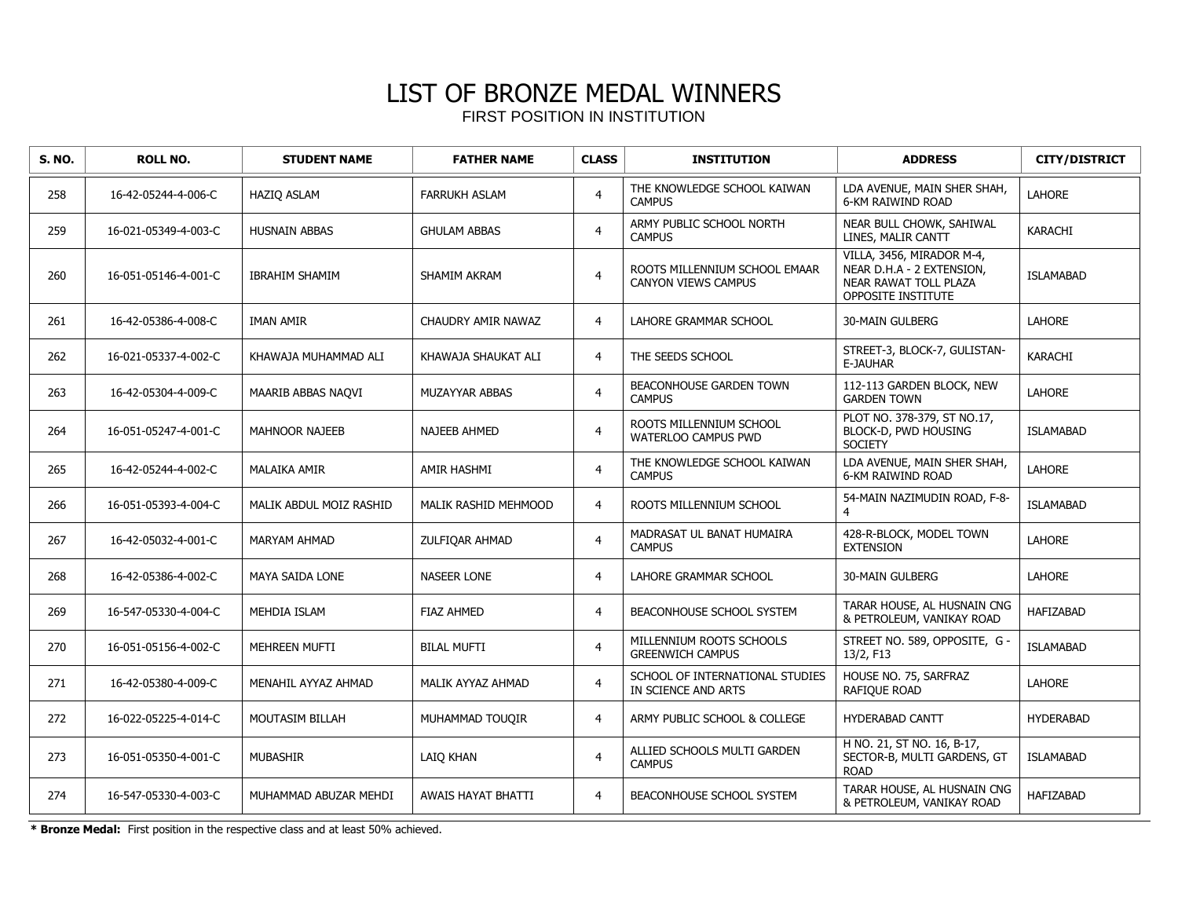| <b>S. NO.</b> | <b>ROLL NO.</b>      | <b>STUDENT NAME</b>     | <b>FATHER NAME</b>        | <b>CLASS</b>   | <b>INSTITUTION</b>                                     | <b>ADDRESS</b>                                                                                        | <b>CITY/DISTRICT</b> |
|---------------|----------------------|-------------------------|---------------------------|----------------|--------------------------------------------------------|-------------------------------------------------------------------------------------------------------|----------------------|
| 258           | 16-42-05244-4-006-C  | HAZIQ ASLAM             | <b>FARRUKH ASLAM</b>      | $\overline{4}$ | THE KNOWLEDGE SCHOOL KAIWAN<br><b>CAMPUS</b>           | LDA AVENUE, MAIN SHER SHAH,<br>6-KM RAIWIND ROAD                                                      | <b>LAHORE</b>        |
| 259           | 16-021-05349-4-003-C | <b>HUSNAIN ABBAS</b>    | <b>GHULAM ABBAS</b>       | $\overline{4}$ | ARMY PUBLIC SCHOOL NORTH<br><b>CAMPUS</b>              | NEAR BULL CHOWK, SAHIWAL<br>LINES, MALIR CANTT                                                        | <b>KARACHI</b>       |
| 260           | 16-051-05146-4-001-C | <b>IBRAHIM SHAMIM</b>   | <b>SHAMIM AKRAM</b>       | $\overline{4}$ | ROOTS MILLENNIUM SCHOOL EMAAR<br>CANYON VIEWS CAMPUS   | VILLA, 3456, MIRADOR M-4,<br>NEAR D.H.A - 2 EXTENSION,<br>NEAR RAWAT TOLL PLAZA<br>OPPOSITE INSTITUTE | <b>ISLAMABAD</b>     |
| 261           | 16-42-05386-4-008-C  | IMAN AMIR               | CHAUDRY AMIR NAWAZ        | $\overline{4}$ | LAHORE GRAMMAR SCHOOL                                  | <b>30-MAIN GULBERG</b>                                                                                | <b>LAHORE</b>        |
| 262           | 16-021-05337-4-002-C | KHAWAJA MUHAMMAD ALI    | KHAWAJA SHAUKAT ALI       | $\overline{4}$ | THE SEEDS SCHOOL                                       | STREET-3, BLOCK-7, GULISTAN-<br>E-JAUHAR                                                              | KARACHI              |
| 263           | 16-42-05304-4-009-C  | MAARIB ABBAS NAQVI      | MUZAYYAR ABBAS            | $\overline{4}$ | <b>BEACONHOUSE GARDEN TOWN</b><br><b>CAMPUS</b>        | 112-113 GARDEN BLOCK, NEW<br><b>GARDEN TOWN</b>                                                       | LAHORE               |
| 264           | 16-051-05247-4-001-C | <b>MAHNOOR NAJEEB</b>   | <b>NAJEEB AHMED</b>       | $\overline{4}$ | ROOTS MILLENNIUM SCHOOL<br><b>WATERLOO CAMPUS PWD</b>  | PLOT NO. 378-379, ST NO.17,<br>BLOCK-D, PWD HOUSING<br><b>SOCIETY</b>                                 | <b>ISLAMABAD</b>     |
| 265           | 16-42-05244-4-002-C  | <b>MALAIKA AMIR</b>     | AMIR HASHMI               | $\overline{4}$ | THE KNOWLEDGE SCHOOL KAIWAN<br><b>CAMPUS</b>           | LDA AVENUE, MAIN SHER SHAH,<br><b>6-KM RAIWIND ROAD</b>                                               | <b>LAHORE</b>        |
| 266           | 16-051-05393-4-004-C | MALIK ABDUL MOIZ RASHID | MALIK RASHID MEHMOOD      | $\overline{4}$ | ROOTS MILLENNIUM SCHOOL                                | 54-MAIN NAZIMUDIN ROAD, F-8-<br>4                                                                     | <b>ISLAMABAD</b>     |
| 267           | 16-42-05032-4-001-C  | <b>MARYAM AHMAD</b>     | ZULFIQAR AHMAD            | $\overline{4}$ | MADRASAT UL BANAT HUMAIRA<br><b>CAMPUS</b>             | 428-R-BLOCK, MODEL TOWN<br><b>EXTENSION</b>                                                           | <b>LAHORE</b>        |
| 268           | 16-42-05386-4-002-C  | MAYA SAIDA LONE         | <b>NASEER LONE</b>        | $\overline{4}$ | <b>LAHORE GRAMMAR SCHOOL</b>                           | <b>30-MAIN GULBERG</b>                                                                                | <b>LAHORE</b>        |
| 269           | 16-547-05330-4-004-C | <b>MEHDIA ISLAM</b>     | <b>FIAZ AHMED</b>         | $\overline{4}$ | <b>BEACONHOUSE SCHOOL SYSTEM</b>                       | TARAR HOUSE, AL HUSNAIN CNG<br>& PETROLEUM, VANIKAY ROAD                                              | <b>HAFIZABAD</b>     |
| 270           | 16-051-05156-4-002-C | MEHREEN MUFTI           | <b>BILAL MUFTI</b>        | $\overline{4}$ | MILLENNIUM ROOTS SCHOOLS<br><b>GREENWICH CAMPUS</b>    | STREET NO. 589, OPPOSITE, G -<br>13/2, F13                                                            | <b>ISLAMABAD</b>     |
| 271           | 16-42-05380-4-009-C  | MENAHIL AYYAZ AHMAD     | MALIK AYYAZ AHMAD         | $\overline{4}$ | SCHOOL OF INTERNATIONAL STUDIES<br>IN SCIENCE AND ARTS | HOUSE NO. 75, SARFRAZ<br>RAFIQUE ROAD                                                                 | LAHORE               |
| 272           | 16-022-05225-4-014-C | MOUTASIM BILLAH         | MUHAMMAD TOUQIR           | $\overline{4}$ | ARMY PUBLIC SCHOOL & COLLEGE                           | HYDERABAD CANTT                                                                                       | <b>HYDERABAD</b>     |
| 273           | 16-051-05350-4-001-C | <b>MUBASHIR</b>         | LAIO KHAN                 | $\overline{4}$ | ALLIED SCHOOLS MULTI GARDEN<br><b>CAMPUS</b>           | H NO. 21, ST NO. 16, B-17,<br>SECTOR-B, MULTI GARDENS, GT<br><b>ROAD</b>                              | <b>ISLAMABAD</b>     |
| 274           | 16-547-05330-4-003-C | MUHAMMAD ABUZAR MEHDI   | <b>AWAIS HAYAT BHATTI</b> | $\overline{4}$ | <b>BEACONHOUSE SCHOOL SYSTEM</b>                       | TARAR HOUSE, AL HUSNAIN CNG<br>& PETROLEUM, VANIKAY ROAD                                              | <b>HAFIZABAD</b>     |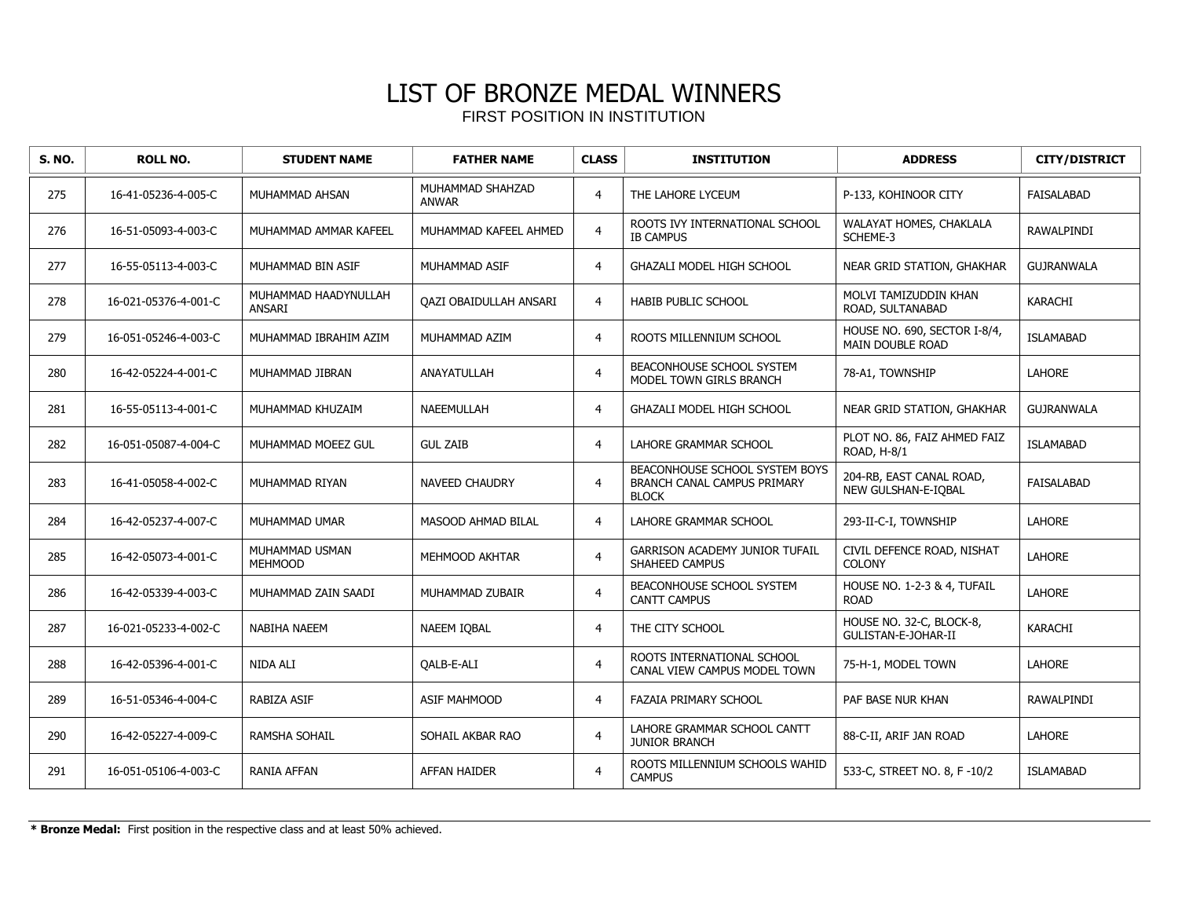| <b>S. NO.</b> | <b>ROLL NO.</b>      | <b>STUDENT NAME</b>                   | <b>FATHER NAME</b>               | <b>CLASS</b>   | <b>INSTITUTION</b>                                                            | <b>ADDRESS</b>                                          | <b>CITY/DISTRICT</b> |
|---------------|----------------------|---------------------------------------|----------------------------------|----------------|-------------------------------------------------------------------------------|---------------------------------------------------------|----------------------|
| 275           | 16-41-05236-4-005-C  | MUHAMMAD AHSAN                        | MUHAMMAD SHAHZAD<br><b>ANWAR</b> | $\overline{4}$ | THE LAHORE LYCEUM                                                             | P-133, KOHINOOR CITY                                    | <b>FAISALABAD</b>    |
| 276           | 16-51-05093-4-003-C  | MUHAMMAD AMMAR KAFEEL                 | MUHAMMAD KAFEEL AHMED            | $\overline{4}$ | ROOTS IVY INTERNATIONAL SCHOOL<br><b>IB CAMPUS</b>                            | WALAYAT HOMES, CHAKLALA<br>SCHEME-3                     | RAWALPINDI           |
| 277           | 16-55-05113-4-003-C  | MUHAMMAD BIN ASIF                     | MUHAMMAD ASIF                    | $\overline{4}$ | <b>GHAZALI MODEL HIGH SCHOOL</b>                                              | NEAR GRID STATION, GHAKHAR                              | <b>GUJRANWALA</b>    |
| 278           | 16-021-05376-4-001-C | MUHAMMAD HAADYNULLAH<br><b>ANSARI</b> | QAZI OBAIDULLAH ANSARI           | $\overline{4}$ | HABIB PUBLIC SCHOOL                                                           | MOLVI TAMIZUDDIN KHAN<br>ROAD, SULTANABAD               | KARACHI              |
| 279           | 16-051-05246-4-003-C | MUHAMMAD IBRAHIM AZIM                 | MUHAMMAD AZIM                    | $\overline{4}$ | ROOTS MILLENNIUM SCHOOL                                                       | HOUSE NO. 690, SECTOR I-8/4,<br><b>MAIN DOUBLE ROAD</b> | <b>ISLAMABAD</b>     |
| 280           | 16-42-05224-4-001-C  | MUHAMMAD JIBRAN                       | ANAYATULLAH                      | $\overline{4}$ | BEACONHOUSE SCHOOL SYSTEM<br>MODEL TOWN GIRLS BRANCH                          | 78-A1, TOWNSHIP                                         | <b>LAHORE</b>        |
| 281           | 16-55-05113-4-001-C  | MUHAMMAD KHUZAIM                      | <b>NAEEMULLAH</b>                | $\overline{4}$ | GHAZALI MODEL HIGH SCHOOL                                                     | NEAR GRID STATION, GHAKHAR                              | <b>GUJRANWALA</b>    |
| 282           | 16-051-05087-4-004-C | MUHAMMAD MOEEZ GUL                    | <b>GUL ZAIB</b>                  | $\overline{4}$ | LAHORE GRAMMAR SCHOOL                                                         | PLOT NO. 86, FAIZ AHMED FAIZ<br>ROAD, H-8/1             | <b>ISLAMABAD</b>     |
| 283           | 16-41-05058-4-002-C  | MUHAMMAD RIYAN                        | <b>NAVEED CHAUDRY</b>            | $\overline{4}$ | BEACONHOUSE SCHOOL SYSTEM BOYS<br>BRANCH CANAL CAMPUS PRIMARY<br><b>BLOCK</b> | 204-RB, EAST CANAL ROAD,<br>NEW GULSHAN-E-IQBAL         | <b>FAISALABAD</b>    |
| 284           | 16-42-05237-4-007-C  | MUHAMMAD UMAR                         | MASOOD AHMAD BILAL               | $\overline{4}$ | LAHORE GRAMMAR SCHOOL                                                         | 293-II-C-I, TOWNSHIP                                    | <b>LAHORE</b>        |
| 285           | 16-42-05073-4-001-C  | MUHAMMAD USMAN<br><b>MEHMOOD</b>      | MEHMOOD AKHTAR                   | $\overline{4}$ | <b>GARRISON ACADEMY JUNIOR TUFAIL</b><br>SHAHEED CAMPUS                       | CIVIL DEFENCE ROAD, NISHAT<br><b>COLONY</b>             | LAHORE               |
| 286           | 16-42-05339-4-003-C  | MUHAMMAD ZAIN SAADI                   | MUHAMMAD ZUBAIR                  | $\overline{4}$ | BEACONHOUSE SCHOOL SYSTEM<br><b>CANTT CAMPUS</b>                              | HOUSE NO. 1-2-3 & 4, TUFAIL<br><b>ROAD</b>              | <b>LAHORE</b>        |
| 287           | 16-021-05233-4-002-C | NABIHA NAEEM                          | NAEEM IOBAL                      | $\overline{4}$ | THE CITY SCHOOL                                                               | HOUSE NO. 32-C, BLOCK-8,<br>GULISTAN-E-JOHAR-II         | <b>KARACHI</b>       |
| 288           | 16-42-05396-4-001-C  | NIDA ALI                              | QALB-E-ALI                       | $\overline{4}$ | ROOTS INTERNATIONAL SCHOOL<br>CANAL VIEW CAMPUS MODEL TOWN                    | 75-H-1, MODEL TOWN                                      | LAHORE               |
| 289           | 16-51-05346-4-004-C  | RABIZA ASIF                           | <b>ASIF MAHMOOD</b>              | $\overline{4}$ | <b>FAZAIA PRIMARY SCHOOL</b>                                                  | PAF BASE NUR KHAN                                       | RAWALPINDI           |
| 290           | 16-42-05227-4-009-C  | <b>RAMSHA SOHAIL</b>                  | SOHAIL AKBAR RAO                 | $\overline{4}$ | LAHORE GRAMMAR SCHOOL CANTT<br><b>JUNIOR BRANCH</b>                           | 88-C-II, ARIF JAN ROAD                                  | <b>LAHORE</b>        |
| 291           | 16-051-05106-4-003-C | <b>RANIA AFFAN</b>                    | <b>AFFAN HAIDER</b>              | $\overline{4}$ | ROOTS MILLENNIUM SCHOOLS WAHID<br><b>CAMPUS</b>                               | 533-C, STREET NO. 8, F -10/2                            | <b>ISLAMABAD</b>     |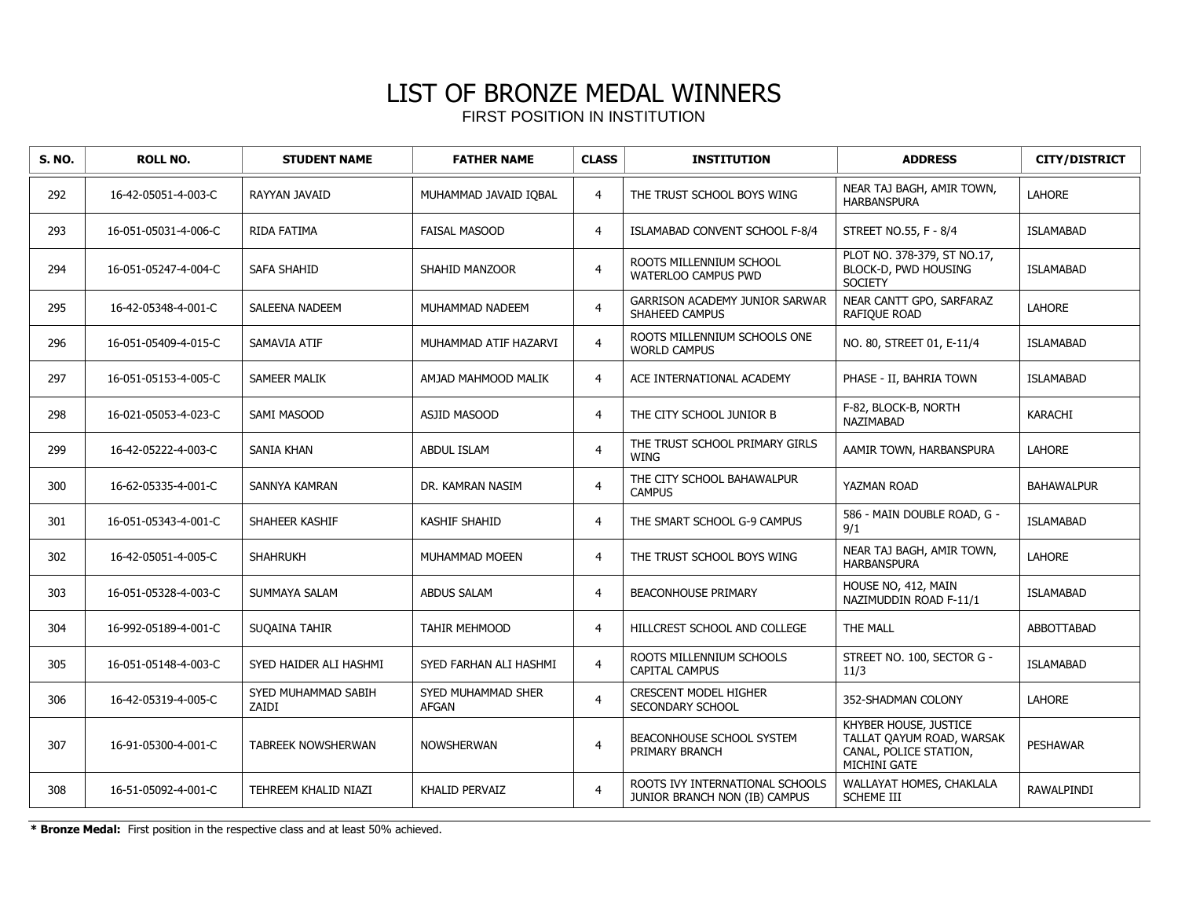| <b>S. NO.</b> | <b>ROLL NO.</b>      | <b>STUDENT NAME</b>          | <b>FATHER NAME</b>                 | <b>CLASS</b>   | <b>INSTITUTION</b>                                               | <b>ADDRESS</b>                                                                               | <b>CITY/DISTRICT</b> |
|---------------|----------------------|------------------------------|------------------------------------|----------------|------------------------------------------------------------------|----------------------------------------------------------------------------------------------|----------------------|
| 292           | 16-42-05051-4-003-C  | RAYYAN JAVAID                | MUHAMMAD JAVAID IQBAL              | $\overline{4}$ | THE TRUST SCHOOL BOYS WING                                       | NEAR TAJ BAGH, AMIR TOWN,<br><b>HARBANSPURA</b>                                              | <b>LAHORE</b>        |
| 293           | 16-051-05031-4-006-C | RIDA FATIMA                  | <b>FAISAL MASOOD</b>               | $\overline{4}$ | ISLAMABAD CONVENT SCHOOL F-8/4                                   | STREET NO.55, F - 8/4                                                                        | <b>ISLAMABAD</b>     |
| 294           | 16-051-05247-4-004-C | <b>SAFA SHAHID</b>           | SHAHID MANZOOR                     | $\overline{4}$ | ROOTS MILLENNIUM SCHOOL<br><b>WATERLOO CAMPUS PWD</b>            | PLOT NO. 378-379, ST NO.17,<br>BLOCK-D, PWD HOUSING<br><b>SOCIETY</b>                        | <b>ISLAMABAD</b>     |
| 295           | 16-42-05348-4-001-C  | <b>SALEENA NADEEM</b>        | MUHAMMAD NADEEM                    | $\overline{4}$ | GARRISON ACADEMY JUNIOR SARWAR<br>SHAHEED CAMPUS                 | NEAR CANTT GPO, SARFARAZ<br>RAFIQUE ROAD                                                     | LAHORE               |
| 296           | 16-051-05409-4-015-C | SAMAVIA ATIF                 | MUHAMMAD ATIF HAZARVI              | $\overline{4}$ | ROOTS MILLENNIUM SCHOOLS ONE<br><b>WORLD CAMPUS</b>              | NO. 80, STREET 01, E-11/4                                                                    | <b>ISLAMABAD</b>     |
| 297           | 16-051-05153-4-005-C | <b>SAMEER MALIK</b>          | AMJAD MAHMOOD MALIK                | $\overline{4}$ | ACE INTERNATIONAL ACADEMY                                        | PHASE - II, BAHRIA TOWN                                                                      | <b>ISLAMABAD</b>     |
| 298           | 16-021-05053-4-023-C | SAMI MASOOD                  | <b>ASJID MASOOD</b>                | $\overline{4}$ | THE CITY SCHOOL JUNIOR B                                         | F-82, BLOCK-B, NORTH<br>NAZIMABAD                                                            | <b>KARACHI</b>       |
| 299           | 16-42-05222-4-003-C  | <b>SANIA KHAN</b>            | <b>ABDUL ISLAM</b>                 | $\overline{4}$ | THE TRUST SCHOOL PRIMARY GIRLS<br>WING                           | AAMIR TOWN, HARBANSPURA                                                                      | <b>LAHORE</b>        |
| 300           | 16-62-05335-4-001-C  | SANNYA KAMRAN                | DR. KAMRAN NASIM                   | $\overline{4}$ | THE CITY SCHOOL BAHAWALPUR<br><b>CAMPUS</b>                      | YAZMAN ROAD                                                                                  | <b>BAHAWALPUR</b>    |
| 301           | 16-051-05343-4-001-C | SHAHEER KASHIF               | <b>KASHIF SHAHID</b>               | $\overline{4}$ | THE SMART SCHOOL G-9 CAMPUS                                      | 586 - MAIN DOUBLE ROAD, G -<br>9/1                                                           | <b>ISLAMABAD</b>     |
| 302           | 16-42-05051-4-005-C  | <b>SHAHRUKH</b>              | MUHAMMAD MOEEN                     | $\overline{4}$ | THE TRUST SCHOOL BOYS WING                                       | NEAR TAJ BAGH, AMIR TOWN,<br><b>HARBANSPURA</b>                                              | LAHORE               |
| 303           | 16-051-05328-4-003-C | SUMMAYA SALAM                | <b>ABDUS SALAM</b>                 | $\overline{4}$ | <b>BEACONHOUSE PRIMARY</b>                                       | HOUSE NO, 412, MAIN<br>NAZIMUDDIN ROAD F-11/1                                                | <b>ISLAMABAD</b>     |
| 304           | 16-992-05189-4-001-C | SUQAINA TAHIR                | <b>TAHIR MEHMOOD</b>               | $\overline{4}$ | HILLCREST SCHOOL AND COLLEGE                                     | THE MALL                                                                                     | ABBOTTABAD           |
| 305           | 16-051-05148-4-003-C | SYED HAIDER ALI HASHMI       | SYED FARHAN ALI HASHMI             | $\overline{4}$ | ROOTS MILLENNIUM SCHOOLS<br><b>CAPITAL CAMPUS</b>                | STREET NO. 100, SECTOR G -<br>11/3                                                           | <b>ISLAMABAD</b>     |
| 306           | 16-42-05319-4-005-C  | SYED MUHAMMAD SABIH<br>ZAIDI | SYED MUHAMMAD SHER<br><b>AFGAN</b> | $\overline{4}$ | <b>CRESCENT MODEL HIGHER</b><br>SECONDARY SCHOOL                 | 352-SHADMAN COLONY                                                                           | <b>LAHORE</b>        |
| 307           | 16-91-05300-4-001-C  | TABREEK NOWSHERWAN           | <b>NOWSHERWAN</b>                  | $\overline{4}$ | BEACONHOUSE SCHOOL SYSTEM<br>PRIMARY BRANCH                      | KHYBER HOUSE, JUSTICE<br>TALLAT QAYUM ROAD, WARSAK<br>CANAL, POLICE STATION,<br>MICHINI GATE | <b>PESHAWAR</b>      |
| 308           | 16-51-05092-4-001-C  | TEHREEM KHALID NIAZI         | KHALID PERVAIZ                     | $\overline{4}$ | ROOTS IVY INTERNATIONAL SCHOOLS<br>JUNIOR BRANCH NON (IB) CAMPUS | WALLAYAT HOMES, CHAKLALA<br><b>SCHEME III</b>                                                | RAWALPINDI           |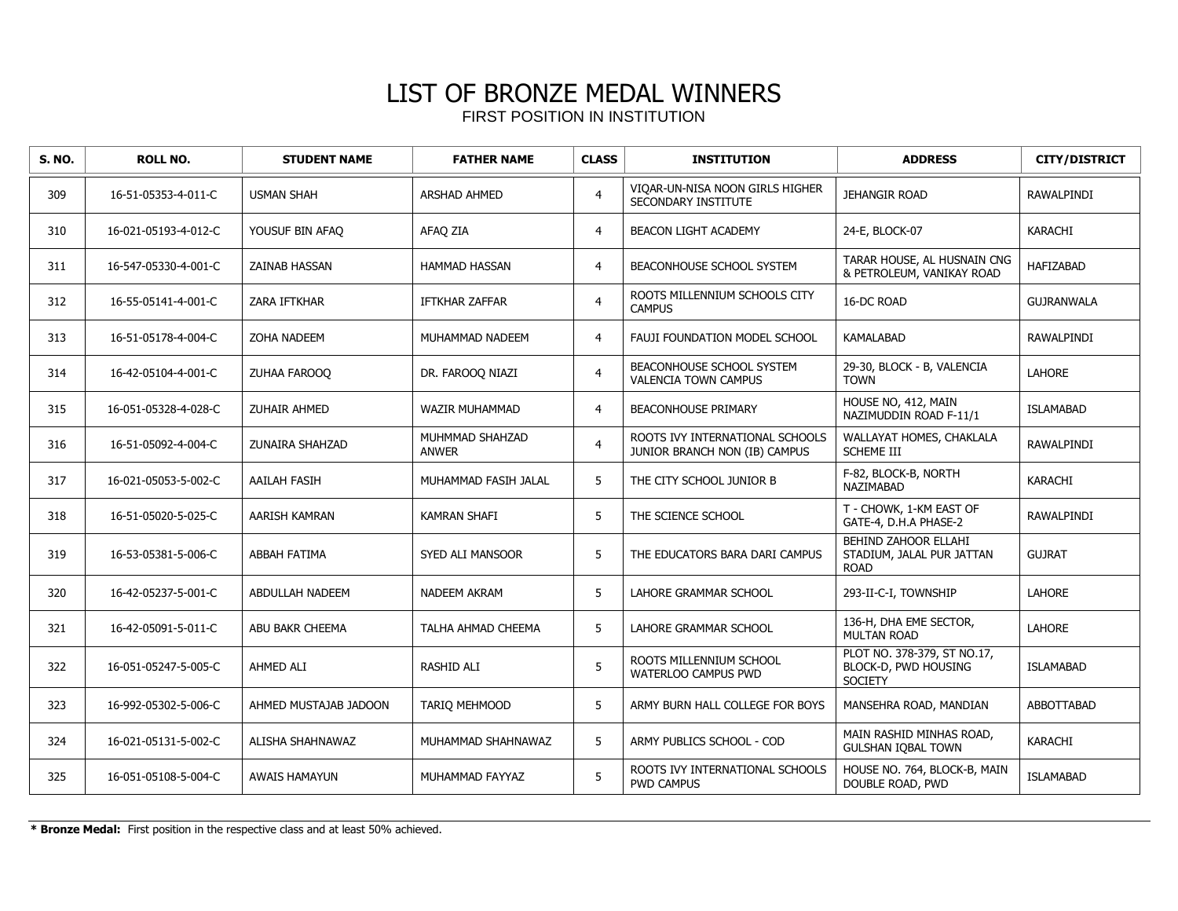| <b>S. NO.</b> | <b>ROLL NO.</b>      | <b>STUDENT NAME</b>   | <b>FATHER NAME</b>              | <b>CLASS</b>   | <b>INSTITUTION</b>                                               | <b>ADDRESS</b>                                                        | <b>CITY/DISTRICT</b> |
|---------------|----------------------|-----------------------|---------------------------------|----------------|------------------------------------------------------------------|-----------------------------------------------------------------------|----------------------|
| 309           | 16-51-05353-4-011-C  | <b>USMAN SHAH</b>     | <b>ARSHAD AHMED</b>             | $\overline{4}$ | VIOAR-UN-NISA NOON GIRLS HIGHER<br>SECONDARY INSTITUTE           | JEHANGIR ROAD                                                         | RAWALPINDI           |
| 310           | 16-021-05193-4-012-C | YOUSUF BIN AFAO       | AFAQ ZIA                        | $\overline{4}$ | <b>BEACON LIGHT ACADEMY</b>                                      | 24-E, BLOCK-07                                                        | <b>KARACHI</b>       |
| 311           | 16-547-05330-4-001-C | <b>ZAINAB HASSAN</b>  | <b>HAMMAD HASSAN</b>            | $\overline{4}$ | BEACONHOUSE SCHOOL SYSTEM                                        | TARAR HOUSE, AL HUSNAIN CNG<br>& PETROLEUM, VANIKAY ROAD              | <b>HAFIZABAD</b>     |
| 312           | 16-55-05141-4-001-C  | ZARA IFTKHAR          | <b>IFTKHAR ZAFFAR</b>           | $\overline{4}$ | ROOTS MILLENNIUM SCHOOLS CITY<br><b>CAMPUS</b>                   | 16-DC ROAD                                                            | <b>GUJRANWALA</b>    |
| 313           | 16-51-05178-4-004-C  | ZOHA NADEEM           | MUHAMMAD NADEEM                 | $\overline{4}$ | FAUJI FOUNDATION MODEL SCHOOL                                    | KAMALABAD                                                             | RAWALPINDI           |
| 314           | 16-42-05104-4-001-C  | ZUHAA FAROOQ          | DR. FAROOO NIAZI                | $\overline{4}$ | BEACONHOUSE SCHOOL SYSTEM<br><b>VALENCIA TOWN CAMPUS</b>         | 29-30, BLOCK - B, VALENCIA<br><b>TOWN</b>                             | <b>LAHORE</b>        |
| 315           | 16-051-05328-4-028-C | ZUHAIR AHMED          | WAZIR MUHAMMAD                  | $\overline{4}$ | <b>BEACONHOUSE PRIMARY</b>                                       | HOUSE NO, 412, MAIN<br>NAZIMUDDIN ROAD F-11/1                         | <b>ISLAMABAD</b>     |
| 316           | 16-51-05092-4-004-C  | ZUNAIRA SHAHZAD       | MUHMMAD SHAHZAD<br><b>ANWER</b> | $\overline{4}$ | ROOTS IVY INTERNATIONAL SCHOOLS<br>JUNIOR BRANCH NON (IB) CAMPUS | WALLAYAT HOMES, CHAKLALA<br><b>SCHEME III</b>                         | RAWALPINDI           |
| 317           | 16-021-05053-5-002-C | <b>AAILAH FASIH</b>   | MUHAMMAD FASIH JALAL            | 5              | THE CITY SCHOOL JUNIOR B                                         | F-82, BLOCK-B, NORTH<br>NAZIMABAD                                     | KARACHI              |
| 318           | 16-51-05020-5-025-C  | <b>AARISH KAMRAN</b>  | <b>KAMRAN SHAFI</b>             | 5              | THE SCIENCE SCHOOL                                               | T - CHOWK, 1-KM EAST OF<br>GATE-4, D.H.A PHASE-2                      | <b>RAWALPINDI</b>    |
| 319           | 16-53-05381-5-006-C  | <b>ABBAH FATIMA</b>   | SYED ALI MANSOOR                | 5              | THE EDUCATORS BARA DARI CAMPUS                                   | BEHIND ZAHOOR ELLAHI<br>STADIUM, JALAL PUR JATTAN<br><b>ROAD</b>      | <b>GUJRAT</b>        |
| 320           | 16-42-05237-5-001-C  | ABDULLAH NADEEM       | <b>NADEEM AKRAM</b>             | 5              | LAHORE GRAMMAR SCHOOL                                            | 293-II-C-I, TOWNSHIP                                                  | <b>LAHORE</b>        |
| 321           | 16-42-05091-5-011-C  | ABU BAKR CHEEMA       | TALHA AHMAD CHEEMA              | 5              | LAHORE GRAMMAR SCHOOL                                            | 136-H, DHA EME SECTOR,<br><b>MULTAN ROAD</b>                          | <b>LAHORE</b>        |
| 322           | 16-051-05247-5-005-C | AHMED ALI             | <b>RASHID ALI</b>               | 5              | ROOTS MILLENNIUM SCHOOL<br>WATERLOO CAMPUS PWD                   | PLOT NO. 378-379, ST NO.17,<br>BLOCK-D, PWD HOUSING<br><b>SOCIETY</b> | <b>ISLAMABAD</b>     |
| 323           | 16-992-05302-5-006-C | AHMED MUSTAJAB JADOON | <b>TARIO MEHMOOD</b>            | 5              | ARMY BURN HALL COLLEGE FOR BOYS                                  | MANSEHRA ROAD, MANDIAN                                                | <b>ABBOTTABAD</b>    |
| 324           | 16-021-05131-5-002-C | ALISHA SHAHNAWAZ      | MUHAMMAD SHAHNAWAZ              | 5              | ARMY PUBLICS SCHOOL - COD                                        | MAIN RASHID MINHAS ROAD,<br><b>GULSHAN IQBAL TOWN</b>                 | KARACHI              |
| 325           | 16-051-05108-5-004-C | <b>AWAIS HAMAYUN</b>  | MUHAMMAD FAYYAZ                 | 5              | ROOTS IVY INTERNATIONAL SCHOOLS<br><b>PWD CAMPUS</b>             | HOUSE NO. 764, BLOCK-B, MAIN<br>DOUBLE ROAD, PWD                      | <b>ISLAMABAD</b>     |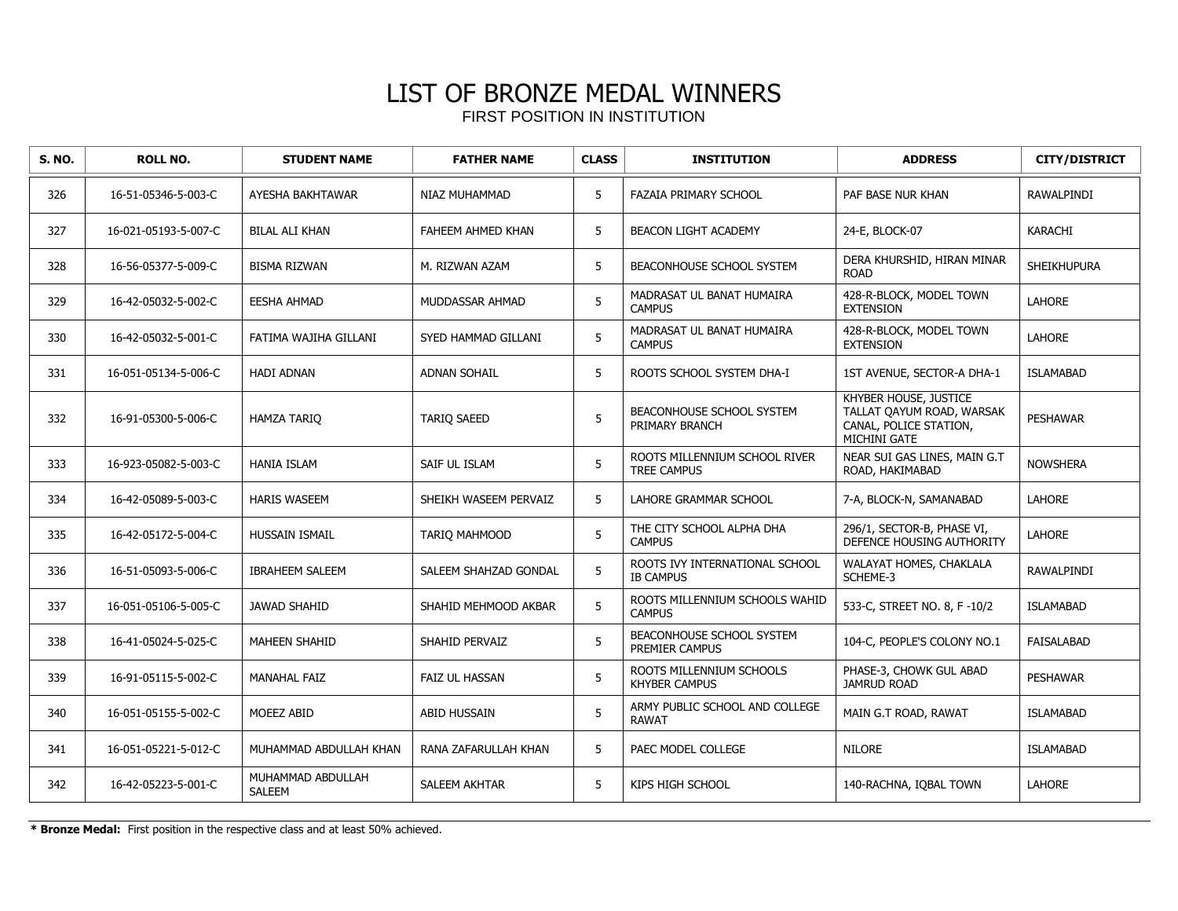| <b>S. NO.</b> | <b>ROLL NO.</b>      | <b>STUDENT NAME</b>         | <b>FATHER NAME</b>    | <b>CLASS</b> | <b>INSTITUTION</b>                                  | <b>ADDRESS</b>                                                                               | <b>CITY/DISTRICT</b> |
|---------------|----------------------|-----------------------------|-----------------------|--------------|-----------------------------------------------------|----------------------------------------------------------------------------------------------|----------------------|
| 326           | 16-51-05346-5-003-C  | AYESHA BAKHTAWAR            | NIAZ MUHAMMAD         | 5            | FAZAIA PRIMARY SCHOOL                               | PAF BASE NUR KHAN                                                                            | <b>RAWALPINDI</b>    |
| 327           | 16-021-05193-5-007-C | <b>BILAL ALI KHAN</b>       | FAHEEM AHMED KHAN     | 5            | <b>BEACON LIGHT ACADEMY</b>                         | 24-E, BLOCK-07                                                                               | <b>KARACHI</b>       |
| 328           | 16-56-05377-5-009-C  | <b>BISMA RIZWAN</b>         | M. RIZWAN AZAM        | 5            | BEACONHOUSE SCHOOL SYSTEM                           | DERA KHURSHID, HIRAN MINAR<br><b>ROAD</b>                                                    | <b>SHEIKHUPURA</b>   |
| 329           | 16-42-05032-5-002-C  | <b>EESHA AHMAD</b>          | MUDDASSAR AHMAD       | 5            | MADRASAT UL BANAT HUMAIRA<br><b>CAMPUS</b>          | 428-R-BLOCK, MODEL TOWN<br><b>EXTENSION</b>                                                  | <b>LAHORE</b>        |
| 330           | 16-42-05032-5-001-C  | FATIMA WAJIHA GILLANI       | SYED HAMMAD GILLANI   | 5            | MADRASAT UL BANAT HUMAIRA<br><b>CAMPUS</b>          | 428-R-BLOCK, MODEL TOWN<br><b>EXTENSION</b>                                                  | <b>LAHORE</b>        |
| 331           | 16-051-05134-5-006-C | <b>HADI ADNAN</b>           | <b>ADNAN SOHAIL</b>   | 5            | ROOTS SCHOOL SYSTEM DHA-I                           | 1ST AVENUE, SECTOR-A DHA-1                                                                   | <b>ISLAMABAD</b>     |
| 332           | 16-91-05300-5-006-C  | <b>HAMZA TARIO</b>          | <b>TARIQ SAEED</b>    | 5            | BEACONHOUSE SCHOOL SYSTEM<br>PRIMARY BRANCH         | KHYBER HOUSE, JUSTICE<br>TALLAT QAYUM ROAD, WARSAK<br>CANAL, POLICE STATION,<br>MICHINI GATE | <b>PESHAWAR</b>      |
| 333           | 16-923-05082-5-003-C | <b>HANIA ISLAM</b>          | SAIF UL ISLAM         | 5            | ROOTS MILLENNIUM SCHOOL RIVER<br><b>TREE CAMPUS</b> | NEAR SUI GAS LINES, MAIN G.T<br>ROAD, HAKIMABAD                                              | <b>NOWSHERA</b>      |
| 334           | 16-42-05089-5-003-C  | <b>HARIS WASEEM</b>         | SHEIKH WASEEM PERVAIZ | 5            | LAHORE GRAMMAR SCHOOL                               | 7-A, BLOCK-N, SAMANABAD                                                                      | <b>LAHORE</b>        |
| 335           | 16-42-05172-5-004-C  | <b>HUSSAIN ISMAIL</b>       | TARIO MAHMOOD         | 5            | THE CITY SCHOOL ALPHA DHA<br><b>CAMPUS</b>          | 296/1, SECTOR-B, PHASE VI,<br>DEFENCE HOUSING AUTHORITY                                      | <b>LAHORE</b>        |
| 336           | 16-51-05093-5-006-C  | <b>IBRAHEEM SALEEM</b>      | SALEEM SHAHZAD GONDAL | 5            | ROOTS IVY INTERNATIONAL SCHOOL<br><b>IB CAMPUS</b>  | WALAYAT HOMES, CHAKLALA<br>SCHEME-3                                                          | RAWALPINDI           |
| 337           | 16-051-05106-5-005-C | <b>JAWAD SHAHID</b>         | SHAHID MEHMOOD AKBAR  | 5            | ROOTS MILLENNIUM SCHOOLS WAHID<br><b>CAMPUS</b>     | 533-C, STREET NO. 8, F -10/2                                                                 | <b>ISLAMABAD</b>     |
| 338           | 16-41-05024-5-025-C  | <b>MAHEEN SHAHID</b>        | SHAHID PERVAIZ        | 5            | BEACONHOUSE SCHOOL SYSTEM<br>PREMIER CAMPUS         | 104-C, PEOPLE'S COLONY NO.1                                                                  | <b>FAISALABAD</b>    |
| 339           | 16-91-05115-5-002-C  | <b>MANAHAL FAIZ</b>         | <b>FAIZ UL HASSAN</b> | 5            | ROOTS MILLENNIUM SCHOOLS<br><b>KHYBER CAMPUS</b>    | PHASE-3, CHOWK GUL ABAD<br><b>JAMRUD ROAD</b>                                                | <b>PESHAWAR</b>      |
| 340           | 16-051-05155-5-002-C | MOEEZ ABID                  | <b>ABID HUSSAIN</b>   | 5            | ARMY PUBLIC SCHOOL AND COLLEGE<br><b>RAWAT</b>      | MAIN G.T ROAD, RAWAT                                                                         | <b>ISLAMABAD</b>     |
| 341           | 16-051-05221-5-012-C | MUHAMMAD ABDULLAH KHAN      | RANA ZAFARULLAH KHAN  | 5            | PAEC MODEL COLLEGE                                  | <b>NILORE</b>                                                                                | <b>ISLAMABAD</b>     |
| 342           | 16-42-05223-5-001-C  | MUHAMMAD ABDULLAH<br>SALEEM | SALEEM AKHTAR         | 5            | KIPS HIGH SCHOOL                                    | 140-RACHNA, IQBAL TOWN                                                                       | <b>LAHORE</b>        |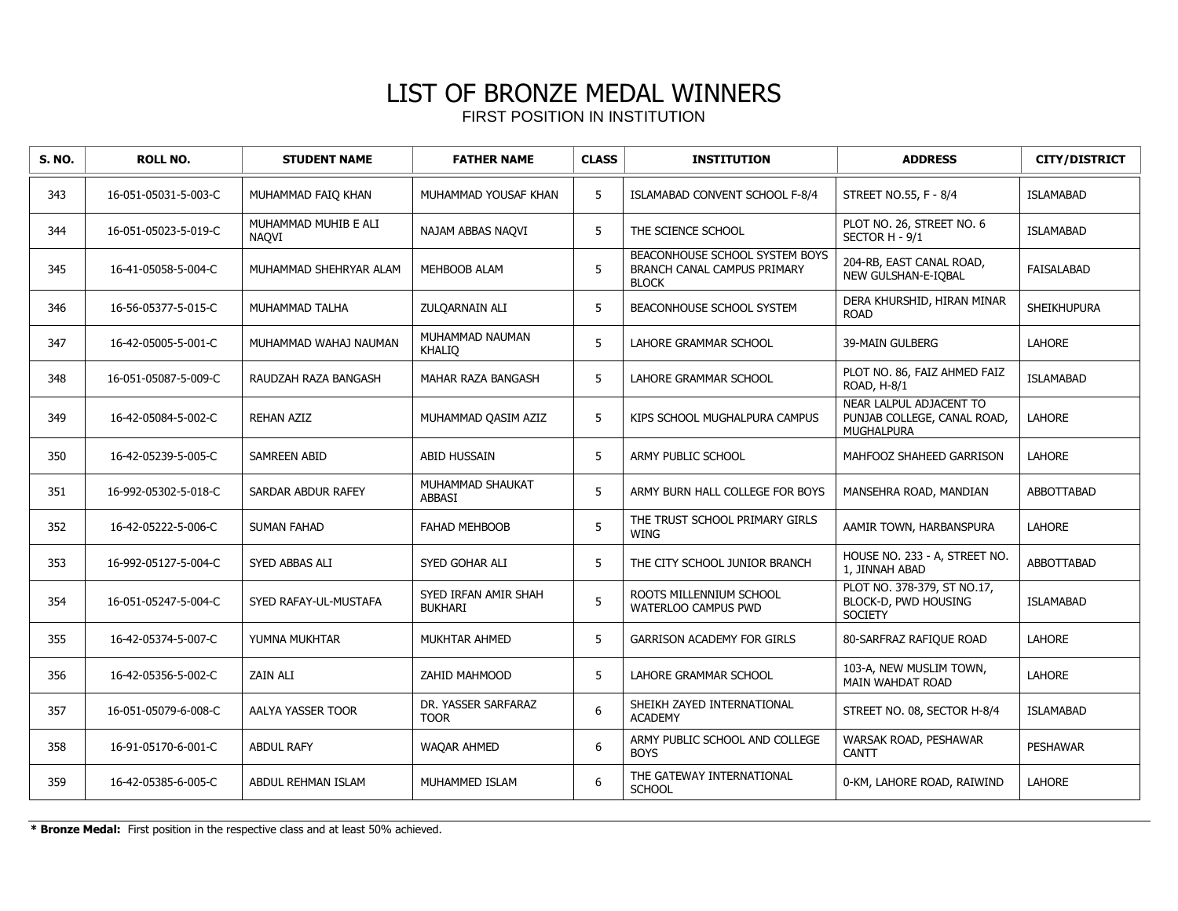| <b>S. NO.</b> | <b>ROLL NO.</b>      | <b>STUDENT NAME</b>           | <b>FATHER NAME</b>                     | <b>CLASS</b> | <b>INSTITUTION</b>                                                            | <b>ADDRESS</b>                                                              | <b>CITY/DISTRICT</b> |
|---------------|----------------------|-------------------------------|----------------------------------------|--------------|-------------------------------------------------------------------------------|-----------------------------------------------------------------------------|----------------------|
| 343           | 16-051-05031-5-003-C | MUHAMMAD FAIQ KHAN            | MUHAMMAD YOUSAF KHAN                   | 5            | ISLAMABAD CONVENT SCHOOL F-8/4                                                | STREET NO.55, F - 8/4                                                       | <b>ISLAMABAD</b>     |
| 344           | 16-051-05023-5-019-C | MUHAMMAD MUHIB E ALI<br>NAQVI | NAJAM ABBAS NAQVI                      | 5            | THE SCIENCE SCHOOL                                                            | PLOT NO. 26, STREET NO. 6<br>SECTOR H - 9/1                                 | <b>ISLAMABAD</b>     |
| 345           | 16-41-05058-5-004-C  | MUHAMMAD SHEHRYAR ALAM        | MEHBOOB ALAM                           | 5            | BEACONHOUSE SCHOOL SYSTEM BOYS<br>BRANCH CANAL CAMPUS PRIMARY<br><b>BLOCK</b> | 204-RB, EAST CANAL ROAD,<br>NEW GULSHAN-E-IQBAL                             | <b>FAISALABAD</b>    |
| 346           | 16-56-05377-5-015-C  | MUHAMMAD TALHA                | ZULQARNAIN ALI                         | 5            | BEACONHOUSE SCHOOL SYSTEM                                                     | DERA KHURSHID, HIRAN MINAR<br><b>ROAD</b>                                   | <b>SHEIKHUPURA</b>   |
| 347           | 16-42-05005-5-001-C  | MUHAMMAD WAHAJ NAUMAN         | MUHAMMAD NAUMAN<br>KHALIQ              | 5            | <b>LAHORE GRAMMAR SCHOOL</b>                                                  | <b>39-MAIN GULBERG</b>                                                      | <b>LAHORE</b>        |
| 348           | 16-051-05087-5-009-C | RAUDZAH RAZA BANGASH          | MAHAR RAZA BANGASH                     | 5            | LAHORE GRAMMAR SCHOOL                                                         | PLOT NO. 86, FAIZ AHMED FAIZ<br>ROAD, H-8/1                                 | <b>ISLAMABAD</b>     |
| 349           | 16-42-05084-5-002-C  | <b>REHAN AZIZ</b>             | MUHAMMAD QASIM AZIZ                    | 5            | KIPS SCHOOL MUGHALPURA CAMPUS                                                 | NEAR LALPUL ADJACENT TO<br>PUNJAB COLLEGE, CANAL ROAD,<br><b>MUGHALPURA</b> | LAHORE               |
| 350           | 16-42-05239-5-005-C  | <b>SAMREEN ABID</b>           | ABID HUSSAIN                           | 5            | ARMY PUBLIC SCHOOL                                                            | MAHFOOZ SHAHEED GARRISON                                                    | LAHORE               |
| 351           | 16-992-05302-5-018-C | SARDAR ABDUR RAFEY            | MUHAMMAD SHAUKAT<br>ABBASI             | 5            | ARMY BURN HALL COLLEGE FOR BOYS                                               | MANSEHRA ROAD, MANDIAN                                                      | ABBOTTABAD           |
| 352           | 16-42-05222-5-006-C  | <b>SUMAN FAHAD</b>            | FAHAD MEHBOOB                          | 5            | THE TRUST SCHOOL PRIMARY GIRLS<br><b>WING</b>                                 | AAMIR TOWN, HARBANSPURA                                                     | LAHORE               |
| 353           | 16-992-05127-5-004-C | SYED ABBAS ALI                | SYED GOHAR ALI                         | 5            | THE CITY SCHOOL JUNIOR BRANCH                                                 | HOUSE NO. 233 - A, STREET NO.<br>1, JINNAH ABAD                             | <b>ABBOTTABAD</b>    |
| 354           | 16-051-05247-5-004-C | SYED RAFAY-UL-MUSTAFA         | SYED IRFAN AMIR SHAH<br><b>BUKHARI</b> | 5            | ROOTS MILLENNIUM SCHOOL<br>WATERLOO CAMPUS PWD                                | PLOT NO. 378-379, ST NO.17,<br>BLOCK-D, PWD HOUSING<br><b>SOCIETY</b>       | <b>ISLAMABAD</b>     |
| 355           | 16-42-05374-5-007-C  | YUMNA MUKHTAR                 | MUKHTAR AHMED                          | 5            | <b>GARRISON ACADEMY FOR GIRLS</b>                                             | 80-SARFRAZ RAFIQUE ROAD                                                     | <b>LAHORE</b>        |
| 356           | 16-42-05356-5-002-C  | <b>ZAIN ALI</b>               | ZAHID MAHMOOD                          | 5            | LAHORE GRAMMAR SCHOOL                                                         | 103-A, NEW MUSLIM TOWN,<br>MAIN WAHDAT ROAD                                 | <b>LAHORE</b>        |
| 357           | 16-051-05079-6-008-C | AALYA YASSER TOOR             | DR. YASSER SARFARAZ<br><b>TOOR</b>     | 6            | SHEIKH ZAYED INTERNATIONAL<br><b>ACADEMY</b>                                  | STREET NO. 08, SECTOR H-8/4                                                 | <b>ISLAMABAD</b>     |
| 358           | 16-91-05170-6-001-C  | <b>ABDUL RAFY</b>             | WAQAR AHMED                            | 6            | ARMY PUBLIC SCHOOL AND COLLEGE<br><b>BOYS</b>                                 | WARSAK ROAD, PESHAWAR<br><b>CANTT</b>                                       | <b>PESHAWAR</b>      |
| 359           | 16-42-05385-6-005-C  | ABDUL REHMAN ISLAM            | MUHAMMED ISLAM                         | 6            | THE GATEWAY INTERNATIONAL<br><b>SCHOOL</b>                                    | 0-KM, LAHORE ROAD, RAIWIND                                                  | <b>LAHORE</b>        |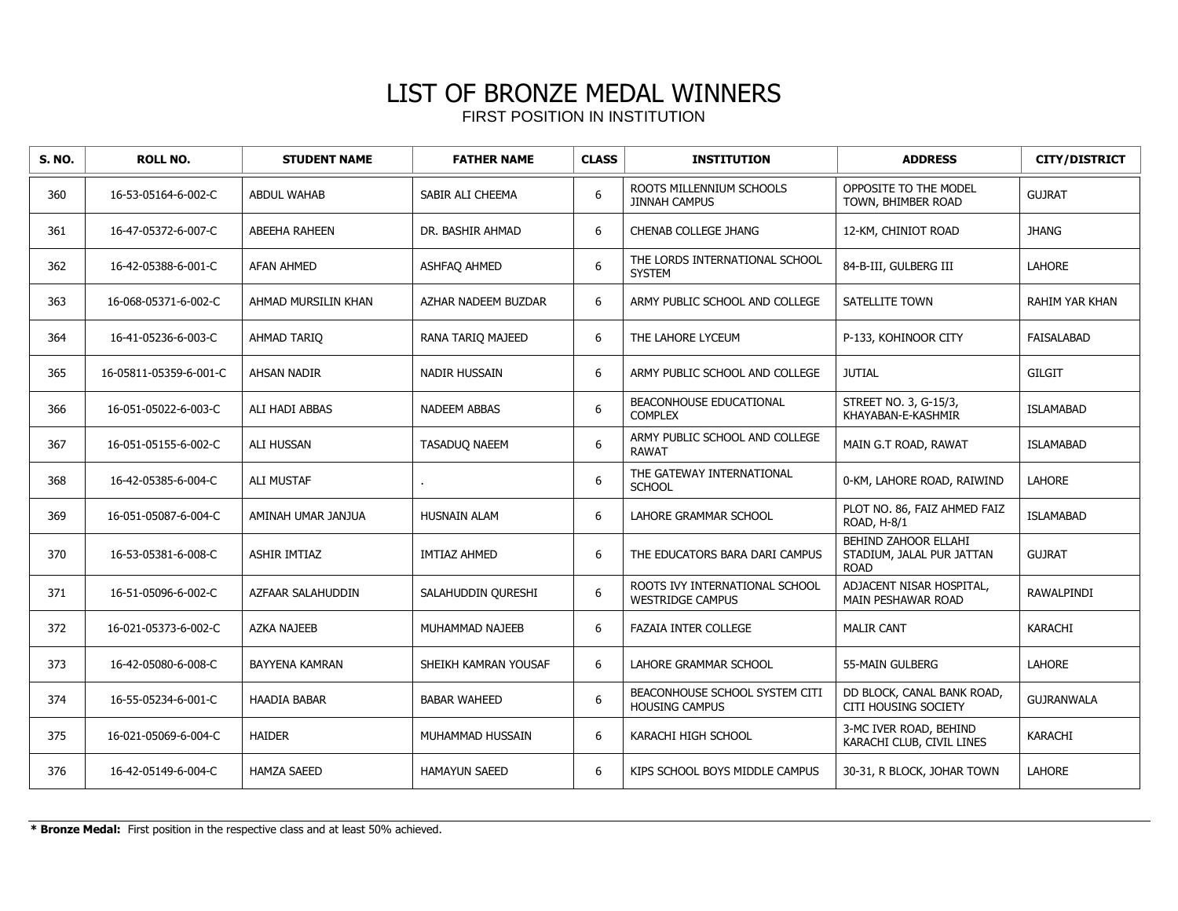| <b>S. NO.</b> | <b>ROLL NO.</b>        | <b>STUDENT NAME</b>   | <b>FATHER NAME</b>   | <b>CLASS</b> | <b>INSTITUTION</b>                                        | <b>ADDRESS</b>                                                   | <b>CITY/DISTRICT</b> |
|---------------|------------------------|-----------------------|----------------------|--------------|-----------------------------------------------------------|------------------------------------------------------------------|----------------------|
| 360           | 16-53-05164-6-002-C    | <b>ABDUL WAHAB</b>    | SABIR ALI CHEEMA     | 6            | ROOTS MILLENNIUM SCHOOLS<br><b>JINNAH CAMPUS</b>          | OPPOSITE TO THE MODEL<br>TOWN, BHIMBER ROAD                      | <b>GUJRAT</b>        |
| 361           | 16-47-05372-6-007-C    | <b>ABEEHA RAHEEN</b>  | DR. BASHIR AHMAD     | 6            | <b>CHENAB COLLEGE JHANG</b>                               | 12-KM, CHINIOT ROAD                                              | <b>JHANG</b>         |
| 362           | 16-42-05388-6-001-C    | <b>AFAN AHMED</b>     | ASHFAQ AHMED         | 6            | THE LORDS INTERNATIONAL SCHOOL<br><b>SYSTEM</b>           | 84-B-III, GULBERG III                                            | <b>LAHORE</b>        |
| 363           | 16-068-05371-6-002-C   | AHMAD MURSILIN KHAN   | AZHAR NADEEM BUZDAR  | 6            | ARMY PUBLIC SCHOOL AND COLLEGE                            | SATELLITE TOWN                                                   | RAHIM YAR KHAN       |
| 364           | 16-41-05236-6-003-C    | <b>AHMAD TARIO</b>    | RANA TARIO MAJEED    | 6            | THE LAHORE LYCEUM                                         | P-133, KOHINOOR CITY                                             | <b>FAISALABAD</b>    |
| 365           | 16-05811-05359-6-001-C | AHSAN NADIR           | NADIR HUSSAIN        | 6            | ARMY PUBLIC SCHOOL AND COLLEGE                            | <b>JUTIAL</b>                                                    | <b>GILGIT</b>        |
| 366           | 16-051-05022-6-003-C   | ALI HADI ABBAS        | <b>NADEEM ABBAS</b>  | 6            | BEACONHOUSE EDUCATIONAL<br><b>COMPLEX</b>                 | STREET NO. 3, G-15/3,<br>KHAYABAN-E-KASHMIR                      | <b>ISLAMABAD</b>     |
| 367           | 16-051-05155-6-002-C   | <b>ALI HUSSAN</b>     | TASADUQ NAEEM        | 6            | ARMY PUBLIC SCHOOL AND COLLEGE<br><b>RAWAT</b>            | MAIN G.T ROAD, RAWAT                                             | <b>ISLAMABAD</b>     |
| 368           | 16-42-05385-6-004-C    | <b>ALI MUSTAF</b>     |                      | 6            | THE GATEWAY INTERNATIONAL<br><b>SCHOOL</b>                | 0-KM, LAHORE ROAD, RAIWIND                                       | LAHORE               |
| 369           | 16-051-05087-6-004-C   | AMINAH UMAR JANJUA    | <b>HUSNAIN ALAM</b>  | 6            | LAHORE GRAMMAR SCHOOL                                     | PLOT NO. 86, FAIZ AHMED FAIZ<br>ROAD, H-8/1                      | <b>ISLAMABAD</b>     |
| 370           | 16-53-05381-6-008-C    | <b>ASHIR IMTIAZ</b>   | <b>IMTIAZ AHMED</b>  | 6            | THE EDUCATORS BARA DARI CAMPUS                            | BEHIND ZAHOOR ELLAHI<br>STADIUM, JALAL PUR JATTAN<br><b>ROAD</b> | <b>GUJRAT</b>        |
| 371           | 16-51-05096-6-002-C    | AZFAAR SALAHUDDIN     | SALAHUDDIN QURESHI   | 6            | ROOTS IVY INTERNATIONAL SCHOOL<br><b>WESTRIDGE CAMPUS</b> | ADJACENT NISAR HOSPITAL,<br>MAIN PESHAWAR ROAD                   | RAWALPINDI           |
| 372           | 16-021-05373-6-002-C   | AZKA NAJEEB           | MUHAMMAD NAJEEB      | 6            | <b>FAZAIA INTER COLLEGE</b>                               | <b>MALIR CANT</b>                                                | <b>KARACHI</b>       |
| 373           | 16-42-05080-6-008-C    | <b>BAYYENA KAMRAN</b> | SHEIKH KAMRAN YOUSAF | 6            | LAHORE GRAMMAR SCHOOL                                     | 55-MAIN GULBERG                                                  | <b>LAHORE</b>        |
| 374           | 16-55-05234-6-001-C    | <b>HAADIA BABAR</b>   | <b>BABAR WAHEED</b>  | 6            | BEACONHOUSE SCHOOL SYSTEM CITI<br><b>HOUSING CAMPUS</b>   | DD BLOCK, CANAL BANK ROAD,<br>CITI HOUSING SOCIETY               | <b>GUJRANWALA</b>    |
| 375           | 16-021-05069-6-004-C   | <b>HAIDER</b>         | MUHAMMAD HUSSAIN     | 6            | KARACHI HIGH SCHOOL                                       | 3-MC IVER ROAD, BEHIND<br>KARACHI CLUB, CIVIL LINES              | <b>KARACHI</b>       |
| 376           | 16-42-05149-6-004-C    | <b>HAMZA SAEED</b>    | <b>HAMAYUN SAEED</b> | 6            | KIPS SCHOOL BOYS MIDDLE CAMPUS                            | 30-31, R BLOCK, JOHAR TOWN                                       | LAHORE               |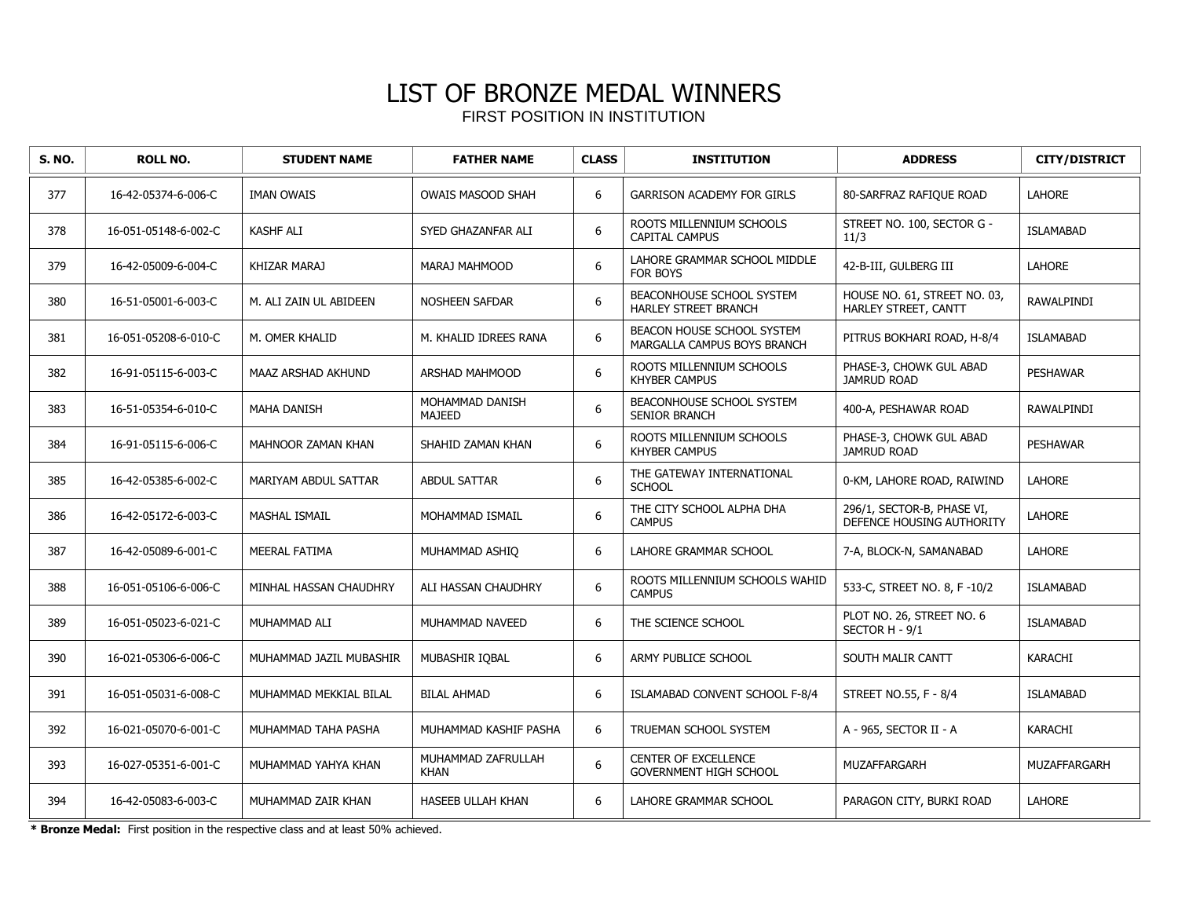| S. NO. | <b>ROLL NO.</b>      | <b>STUDENT NAME</b>       | <b>FATHER NAME</b>                | <b>CLASS</b>     | <b>INSTITUTION</b>                                        | <b>ADDRESS</b>                                          | <b>CITY/DISTRICT</b> |
|--------|----------------------|---------------------------|-----------------------------------|------------------|-----------------------------------------------------------|---------------------------------------------------------|----------------------|
| 377    | 16-42-05374-6-006-C  | <b>IMAN OWAIS</b>         | <b>OWAIS MASOOD SHAH</b>          | 6                | <b>GARRISON ACADEMY FOR GIRLS</b>                         | 80-SARFRAZ RAFIQUE ROAD                                 | <b>LAHORE</b>        |
| 378    | 16-051-05148-6-002-C | KASHF ALI                 | SYED GHAZANFAR ALI                | 6                | ROOTS MILLENNIUM SCHOOLS<br><b>CAPITAL CAMPUS</b>         | STREET NO. 100, SECTOR G -<br>11/3                      | <b>ISLAMABAD</b>     |
| 379    | 16-42-05009-6-004-C  | KHIZAR MARAJ              | MARAJ MAHMOOD                     | $\boldsymbol{6}$ | LAHORE GRAMMAR SCHOOL MIDDLE<br>FOR BOYS                  | 42-B-III, GULBERG III                                   | <b>LAHORE</b>        |
| 380    | 16-51-05001-6-003-C  | M. ALI ZAIN UL ABIDEEN    | <b>NOSHEEN SAFDAR</b>             | 6                | BEACONHOUSE SCHOOL SYSTEM<br>HARLEY STREET BRANCH         | HOUSE NO. 61, STREET NO. 03,<br>HARLEY STREET, CANTT    | <b>RAWALPINDI</b>    |
| 381    | 16-051-05208-6-010-C | M. OMER KHALID            | M. KHALID IDREES RANA             | 6                | BEACON HOUSE SCHOOL SYSTEM<br>MARGALLA CAMPUS BOYS BRANCH | PITRUS BOKHARI ROAD, H-8/4                              | <b>ISLAMABAD</b>     |
| 382    | 16-91-05115-6-003-C  | <b>MAAZ ARSHAD AKHUND</b> | <b>ARSHAD MAHMOOD</b>             | 6                | ROOTS MILLENNIUM SCHOOLS<br><b>KHYBER CAMPUS</b>          | PHASE-3, CHOWK GUL ABAD<br><b>JAMRUD ROAD</b>           | <b>PESHAWAR</b>      |
| 383    | 16-51-05354-6-010-C  | <b>MAHA DANISH</b>        | MOHAMMAD DANISH<br><b>MAJEED</b>  | 6                | BEACONHOUSE SCHOOL SYSTEM<br><b>SENIOR BRANCH</b>         | 400-A, PESHAWAR ROAD                                    | RAWALPINDI           |
| 384    | 16-91-05115-6-006-C  | MAHNOOR ZAMAN KHAN        | SHAHID ZAMAN KHAN                 | 6                | ROOTS MILLENNIUM SCHOOLS<br><b>KHYBER CAMPUS</b>          | PHASE-3, CHOWK GUL ABAD<br><b>JAMRUD ROAD</b>           | <b>PESHAWAR</b>      |
| 385    | 16-42-05385-6-002-C  | MARIYAM ABDUL SATTAR      | <b>ABDUL SATTAR</b>               | 6                | THE GATEWAY INTERNATIONAL<br><b>SCHOOL</b>                | 0-KM, LAHORE ROAD, RAIWIND                              | <b>LAHORE</b>        |
| 386    | 16-42-05172-6-003-C  | <b>MASHAL ISMAIL</b>      | MOHAMMAD ISMAIL                   | 6                | THE CITY SCHOOL ALPHA DHA<br><b>CAMPUS</b>                | 296/1, SECTOR-B, PHASE VI,<br>DEFENCE HOUSING AUTHORITY | LAHORE               |
| 387    | 16-42-05089-6-001-C  | <b>MEERAL FATIMA</b>      | MUHAMMAD ASHIO                    | 6                | <b>LAHORE GRAMMAR SCHOOL</b>                              | 7-A, BLOCK-N, SAMANABAD                                 | <b>LAHORE</b>        |
| 388    | 16-051-05106-6-006-C | MINHAL HASSAN CHAUDHRY    | ALI HASSAN CHAUDHRY               | 6                | ROOTS MILLENNIUM SCHOOLS WAHID<br><b>CAMPUS</b>           | 533-C, STREET NO. 8, F-10/2                             | <b>ISLAMABAD</b>     |
| 389    | 16-051-05023-6-021-C | MUHAMMAD ALI              | MUHAMMAD NAVEED                   | 6                | THE SCIENCE SCHOOL                                        | PLOT NO. 26, STREET NO. 6<br>SECTOR H - 9/1             | <b>ISLAMABAD</b>     |
| 390    | 16-021-05306-6-006-C | MUHAMMAD JAZIL MUBASHIR   | MUBASHIR IOBAL                    | 6                | ARMY PUBLICE SCHOOL                                       | SOUTH MALIR CANTT                                       | <b>KARACHI</b>       |
| 391    | 16-051-05031-6-008-C | MUHAMMAD MEKKIAL BILAL    | <b>BILAL AHMAD</b>                | 6                | ISLAMABAD CONVENT SCHOOL F-8/4                            | STREET NO.55, F - 8/4                                   | <b>ISLAMABAD</b>     |
| 392    | 16-021-05070-6-001-C | MUHAMMAD TAHA PASHA       | MUHAMMAD KASHIF PASHA             | 6                | TRUEMAN SCHOOL SYSTEM                                     | A - 965, SECTOR II - A                                  | <b>KARACHI</b>       |
| 393    | 16-027-05351-6-001-C | MUHAMMAD YAHYA KHAN       | MUHAMMAD ZAFRULLAH<br><b>KHAN</b> | $\boldsymbol{6}$ | CENTER OF EXCELLENCE<br>GOVERNMENT HIGH SCHOOL            | <b>MUZAFFARGARH</b>                                     | MUZAFFARGARH         |
| 394    | 16-42-05083-6-003-C  | MUHAMMAD ZAIR KHAN        | <b>HASEEB ULLAH KHAN</b>          | 6                | LAHORE GRAMMAR SCHOOL                                     | PARAGON CITY, BURKI ROAD                                | <b>LAHORE</b>        |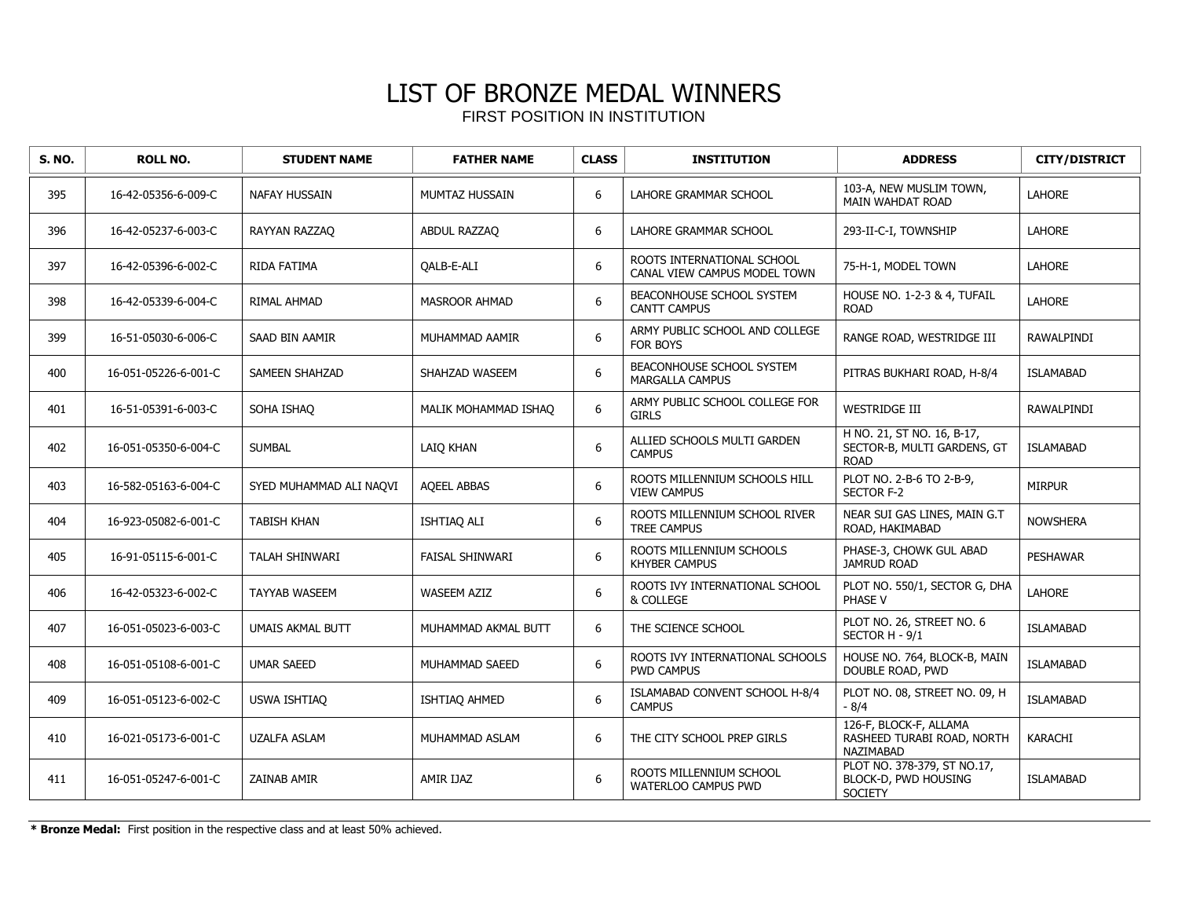| <b>S. NO.</b> | <b>ROLL NO.</b>      | <b>STUDENT NAME</b>     | <b>FATHER NAME</b>     | <b>CLASS</b>     | <b>INSTITUTION</b>                                         | <b>ADDRESS</b>                                                           | <b>CITY/DISTRICT</b> |
|---------------|----------------------|-------------------------|------------------------|------------------|------------------------------------------------------------|--------------------------------------------------------------------------|----------------------|
| 395           | 16-42-05356-6-009-C  | NAFAY HUSSAIN           | MUMTAZ HUSSAIN         | 6                | LAHORE GRAMMAR SCHOOL                                      | 103-A, NEW MUSLIM TOWN,<br>MAIN WAHDAT ROAD                              | LAHORE               |
| 396           | 16-42-05237-6-003-C  | RAYYAN RAZZAQ           | ABDUL RAZZAQ           | 6                | LAHORE GRAMMAR SCHOOL                                      | 293-II-C-I, TOWNSHIP                                                     | LAHORE               |
| 397           | 16-42-05396-6-002-C  | RIDA FATIMA             | <b>OALB-E-ALI</b>      | 6                | ROOTS INTERNATIONAL SCHOOL<br>CANAL VIEW CAMPUS MODEL TOWN | 75-H-1, MODEL TOWN                                                       | LAHORE               |
| 398           | 16-42-05339-6-004-C  | RIMAL AHMAD             | <b>MASROOR AHMAD</b>   | 6                | BEACONHOUSE SCHOOL SYSTEM<br><b>CANTT CAMPUS</b>           | HOUSE NO. 1-2-3 & 4, TUFAIL<br><b>ROAD</b>                               | <b>LAHORE</b>        |
| 399           | 16-51-05030-6-006-C  | SAAD BIN AAMIR          | MUHAMMAD AAMIR         | 6                | ARMY PUBLIC SCHOOL AND COLLEGE<br>FOR BOYS                 | RANGE ROAD, WESTRIDGE III                                                | RAWALPINDI           |
| 400           | 16-051-05226-6-001-C | <b>SAMEEN SHAHZAD</b>   | SHAHZAD WASEEM         | 6                | <b>BEACONHOUSE SCHOOL SYSTEM</b><br><b>MARGALLA CAMPUS</b> | PITRAS BUKHARI ROAD, H-8/4                                               | <b>ISLAMABAD</b>     |
| 401           | 16-51-05391-6-003-C  | SOHA ISHAO              | MALIK MOHAMMAD ISHAO   | 6                | ARMY PUBLIC SCHOOL COLLEGE FOR<br><b>GIRLS</b>             | <b>WESTRIDGE III</b>                                                     | <b>RAWALPINDI</b>    |
| 402           | 16-051-05350-6-004-C | <b>SUMBAL</b>           | LAIQ KHAN              | 6                | ALLIED SCHOOLS MULTI GARDEN<br><b>CAMPUS</b>               | H NO. 21, ST NO. 16, B-17,<br>SECTOR-B, MULTI GARDENS, GT<br><b>ROAD</b> | <b>ISLAMABAD</b>     |
| 403           | 16-582-05163-6-004-C | SYED MUHAMMAD ALI NAQVI | <b>AQEEL ABBAS</b>     | 6                | ROOTS MILLENNIUM SCHOOLS HILL<br><b>VIEW CAMPUS</b>        | PLOT NO. 2-B-6 TO 2-B-9,<br><b>SECTOR F-2</b>                            | <b>MIRPUR</b>        |
| 404           | 16-923-05082-6-001-C | <b>TABISH KHAN</b>      | ISHTIAQ ALI            | 6                | ROOTS MILLENNIUM SCHOOL RIVER<br><b>TREE CAMPUS</b>        | NEAR SUI GAS LINES, MAIN G.T<br>ROAD, HAKIMABAD                          | <b>NOWSHERA</b>      |
| 405           | 16-91-05115-6-001-C  | TALAH SHINWARI          | <b>FAISAL SHINWARI</b> | 6                | ROOTS MILLENNIUM SCHOOLS<br><b>KHYBER CAMPUS</b>           | PHASE-3, CHOWK GUL ABAD<br><b>JAMRUD ROAD</b>                            | <b>PESHAWAR</b>      |
| 406           | 16-42-05323-6-002-C  | <b>TAYYAB WASEEM</b>    | <b>WASEEM AZIZ</b>     | 6                | ROOTS IVY INTERNATIONAL SCHOOL<br>& COLLEGE                | PLOT NO. 550/1, SECTOR G, DHA<br>PHASE V                                 | <b>LAHORE</b>        |
| 407           | 16-051-05023-6-003-C | <b>UMAIS AKMAL BUTT</b> | MUHAMMAD AKMAL BUTT    | 6                | THE SCIENCE SCHOOL                                         | PLOT NO. 26, STREET NO. 6<br>SECTOR H - 9/1                              | <b>ISLAMABAD</b>     |
| 408           | 16-051-05108-6-001-C | <b>UMAR SAEED</b>       | MUHAMMAD SAEED         | 6                | ROOTS IVY INTERNATIONAL SCHOOLS<br><b>PWD CAMPUS</b>       | HOUSE NO. 764, BLOCK-B, MAIN<br>DOUBLE ROAD, PWD                         | <b>ISLAMABAD</b>     |
| 409           | 16-051-05123-6-002-C | <b>USWA ISHTIAQ</b>     | ISHTIAQ AHMED          | 6                | ISLAMABAD CONVENT SCHOOL H-8/4<br><b>CAMPUS</b>            | PLOT NO. 08, STREET NO. 09, H<br>$-8/4$                                  | <b>ISLAMABAD</b>     |
| 410           | 16-021-05173-6-001-C | <b>UZALFA ASLAM</b>     | MUHAMMAD ASLAM         | 6                | THE CITY SCHOOL PREP GIRLS                                 | 126-F, BLOCK-F, ALLAMA<br>RASHEED TURABI ROAD, NORTH<br>NAZIMABAD        | KARACHI              |
| 411           | 16-051-05247-6-001-C | <b>ZAINAB AMIR</b>      | AMIR IJAZ              | $\boldsymbol{6}$ | ROOTS MILLENNIUM SCHOOL<br>WATERLOO CAMPUS PWD             | PLOT NO. 378-379, ST NO.17,<br>BLOCK-D, PWD HOUSING<br><b>SOCIETY</b>    | <b>ISLAMABAD</b>     |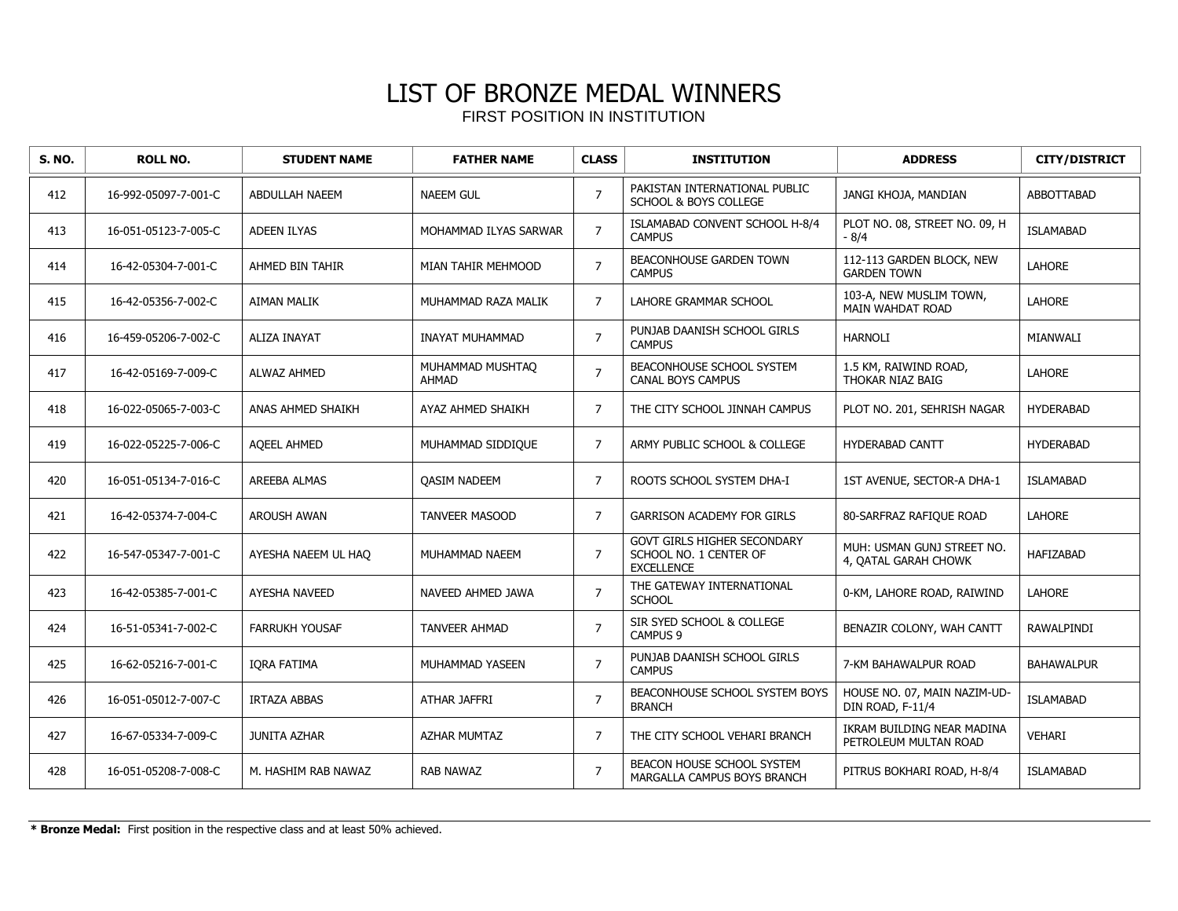| <b>S. NO.</b> | <b>ROLL NO.</b>      | <b>STUDENT NAME</b>   | <b>FATHER NAME</b>               | <b>CLASS</b>   | <b>INSTITUTION</b>                                                                | <b>ADDRESS</b>                                      | <b>CITY/DISTRICT</b> |
|---------------|----------------------|-----------------------|----------------------------------|----------------|-----------------------------------------------------------------------------------|-----------------------------------------------------|----------------------|
| 412           | 16-992-05097-7-001-C | ABDULLAH NAEEM        | <b>NAEEM GUL</b>                 | $\overline{7}$ | PAKISTAN INTERNATIONAL PUBLIC<br><b>SCHOOL &amp; BOYS COLLEGE</b>                 | JANGI KHOJA, MANDIAN                                | <b>ABBOTTABAD</b>    |
| 413           | 16-051-05123-7-005-C | <b>ADEEN ILYAS</b>    | MOHAMMAD ILYAS SARWAR            | $\overline{7}$ | ISLAMABAD CONVENT SCHOOL H-8/4<br><b>CAMPUS</b>                                   | PLOT NO. 08, STREET NO. 09, H<br>$-8/4$             | <b>ISLAMABAD</b>     |
| 414           | 16-42-05304-7-001-C  | AHMED BIN TAHIR       | MIAN TAHIR MEHMOOD               | $\overline{7}$ | BEACONHOUSE GARDEN TOWN<br><b>CAMPUS</b>                                          | 112-113 GARDEN BLOCK, NEW<br><b>GARDEN TOWN</b>     | LAHORE               |
| 415           | 16-42-05356-7-002-C  | <b>AIMAN MALIK</b>    | MUHAMMAD RAZA MALIK              | $\overline{7}$ | <b>LAHORE GRAMMAR SCHOOL</b>                                                      | 103-A, NEW MUSLIM TOWN,<br>MAIN WAHDAT ROAD         | <b>LAHORE</b>        |
| 416           | 16-459-05206-7-002-C | <b>ALIZA INAYAT</b>   | <b>INAYAT MUHAMMAD</b>           | $\overline{7}$ | PUNJAB DAANISH SCHOOL GIRLS<br><b>CAMPUS</b>                                      | <b>HARNOLI</b>                                      | MIANWALI             |
| 417           | 16-42-05169-7-009-C  | <b>ALWAZ AHMED</b>    | MUHAMMAD MUSHTAQ<br><b>AHMAD</b> | $\overline{7}$ | BEACONHOUSE SCHOOL SYSTEM<br><b>CANAL BOYS CAMPUS</b>                             | 1.5 KM, RAIWIND ROAD,<br>THOKAR NIAZ BAIG           | LAHORE               |
| 418           | 16-022-05065-7-003-C | ANAS AHMED SHAIKH     | AYAZ AHMED SHAIKH                | $\overline{7}$ | THE CITY SCHOOL JINNAH CAMPUS                                                     | PLOT NO. 201, SEHRISH NAGAR                         | <b>HYDERABAD</b>     |
| 419           | 16-022-05225-7-006-C | <b>AQEEL AHMED</b>    | MUHAMMAD SIDDIQUE                | $\overline{7}$ | ARMY PUBLIC SCHOOL & COLLEGE                                                      | <b>HYDERABAD CANTT</b>                              | <b>HYDERABAD</b>     |
| 420           | 16-051-05134-7-016-C | AREEBA ALMAS          | <b>OASIM NADEEM</b>              | $\overline{7}$ | ROOTS SCHOOL SYSTEM DHA-I                                                         | 1ST AVENUE, SECTOR-A DHA-1                          | <b>ISLAMABAD</b>     |
| 421           | 16-42-05374-7-004-C  | <b>AROUSH AWAN</b>    | <b>TANVEER MASOOD</b>            | $\overline{7}$ | <b>GARRISON ACADEMY FOR GIRLS</b>                                                 | 80-SARFRAZ RAFIQUE ROAD                             | <b>LAHORE</b>        |
| 422           | 16-547-05347-7-001-C | AYESHA NAEEM UL HAO   | MUHAMMAD NAEEM                   | $\overline{7}$ | <b>GOVT GIRLS HIGHER SECONDARY</b><br>SCHOOL NO. 1 CENTER OF<br><b>EXCELLENCE</b> | MUH: USMAN GUNJ STREET NO.<br>4, OATAL GARAH CHOWK  | <b>HAFIZABAD</b>     |
| 423           | 16-42-05385-7-001-C  | <b>AYESHA NAVEED</b>  | NAVEED AHMED JAWA                | $\overline{7}$ | THE GATEWAY INTERNATIONAL<br><b>SCHOOL</b>                                        | 0-KM, LAHORE ROAD, RAIWIND                          | <b>LAHORE</b>        |
| 424           | 16-51-05341-7-002-C  | <b>FARRUKH YOUSAF</b> | <b>TANVEER AHMAD</b>             | $\overline{7}$ | SIR SYED SCHOOL & COLLEGE<br>CAMPUS <sub>9</sub>                                  | BENAZIR COLONY, WAH CANTT                           | <b>RAWALPINDI</b>    |
| 425           | 16-62-05216-7-001-C  | <b>IORA FATIMA</b>    | MUHAMMAD YASEEN                  | $\overline{7}$ | PUNJAB DAANISH SCHOOL GIRLS<br><b>CAMPUS</b>                                      | 7-KM BAHAWALPUR ROAD                                | <b>BAHAWALPUR</b>    |
| 426           | 16-051-05012-7-007-C | <b>IRTAZA ABBAS</b>   | ATHAR JAFFRI                     | $\overline{7}$ | BEACONHOUSE SCHOOL SYSTEM BOYS<br><b>BRANCH</b>                                   | HOUSE NO. 07, MAIN NAZIM-UD-<br>DIN ROAD, F-11/4    | <b>ISLAMABAD</b>     |
| 427           | 16-67-05334-7-009-C  | <b>JUNITA AZHAR</b>   | <b>AZHAR MUMTAZ</b>              | 7              | THE CITY SCHOOL VEHARI BRANCH                                                     | IKRAM BUILDING NEAR MADINA<br>PETROLEUM MULTAN ROAD | VEHARI               |
| 428           | 16-051-05208-7-008-C | M. HASHIM RAB NAWAZ   | <b>RAB NAWAZ</b>                 | $\overline{7}$ | BEACON HOUSE SCHOOL SYSTEM<br><b>MARGALLA CAMPUS BOYS BRANCH</b>                  | PITRUS BOKHARI ROAD, H-8/4                          | <b>ISLAMABAD</b>     |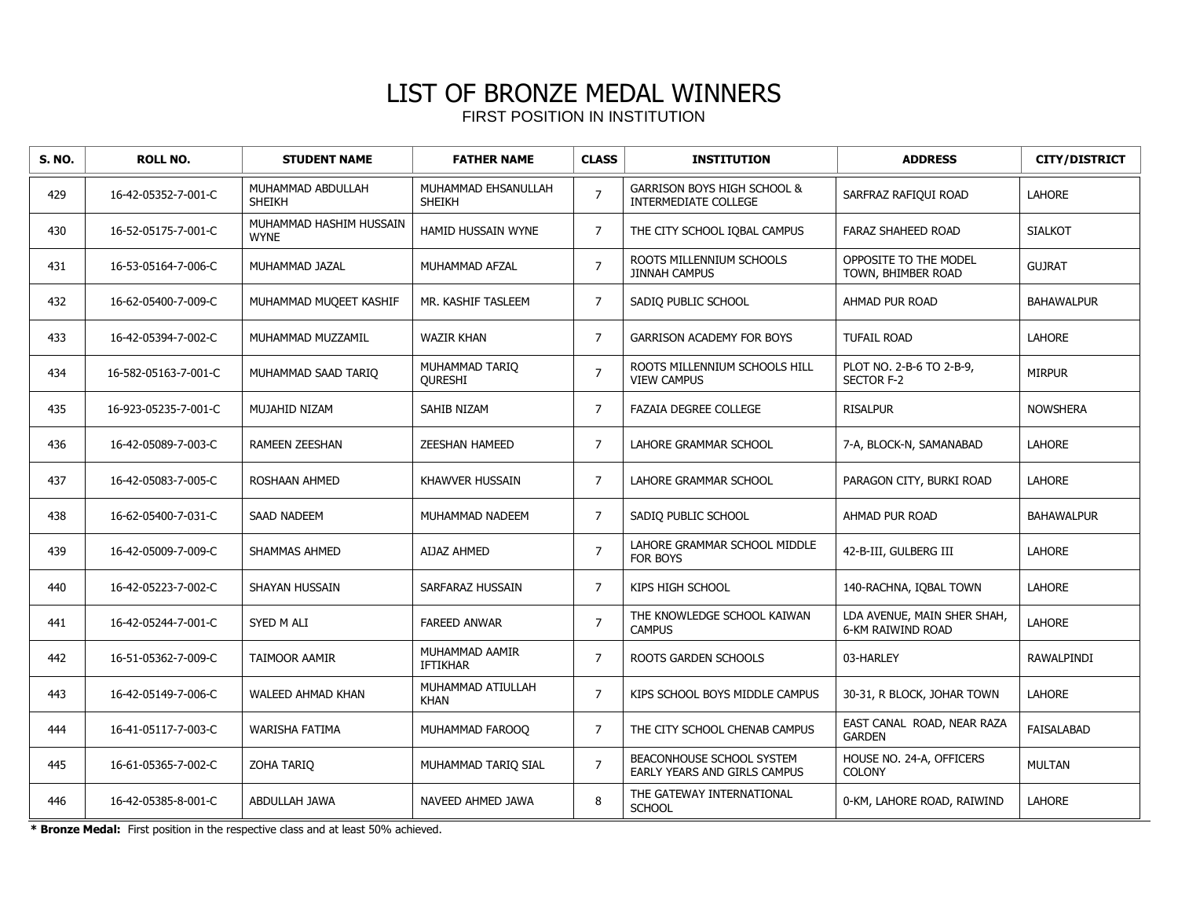| <b>S. NO.</b> | <b>ROLL NO.</b>      | <b>STUDENT NAME</b>                    | <b>FATHER NAME</b>                   | <b>CLASS</b>   | <b>INSTITUTION</b>                                                    | <b>ADDRESS</b>                                   | <b>CITY/DISTRICT</b> |
|---------------|----------------------|----------------------------------------|--------------------------------------|----------------|-----------------------------------------------------------------------|--------------------------------------------------|----------------------|
| 429           | 16-42-05352-7-001-C  | MUHAMMAD ABDULLAH<br><b>SHEIKH</b>     | MUHAMMAD EHSANULLAH<br><b>SHEIKH</b> | $\overline{7}$ | <b>GARRISON BOYS HIGH SCHOOL &amp;</b><br><b>INTERMEDIATE COLLEGE</b> | SARFRAZ RAFIQUI ROAD                             | <b>LAHORE</b>        |
| 430           | 16-52-05175-7-001-C  | MUHAMMAD HASHIM HUSSAIN<br><b>WYNE</b> | HAMID HUSSAIN WYNE                   | $\overline{7}$ | THE CITY SCHOOL IQBAL CAMPUS                                          | FARAZ SHAHEED ROAD                               | <b>SIALKOT</b>       |
| 431           | 16-53-05164-7-006-C  | MUHAMMAD JAZAL                         | MUHAMMAD AFZAL                       | $\overline{7}$ | ROOTS MILLENNIUM SCHOOLS<br><b>JINNAH CAMPUS</b>                      | OPPOSITE TO THE MODEL<br>TOWN, BHIMBER ROAD      | <b>GUJRAT</b>        |
| 432           | 16-62-05400-7-009-C  | MUHAMMAD MUQEET KASHIF                 | MR. KASHIF TASLEEM                   | $\overline{7}$ | SADIQ PUBLIC SCHOOL                                                   | AHMAD PUR ROAD                                   | <b>BAHAWALPUR</b>    |
| 433           | 16-42-05394-7-002-C  | MUHAMMAD MUZZAMIL                      | <b>WAZIR KHAN</b>                    | $\overline{7}$ | <b>GARRISON ACADEMY FOR BOYS</b>                                      | <b>TUFAIL ROAD</b>                               | <b>LAHORE</b>        |
| 434           | 16-582-05163-7-001-C | MUHAMMAD SAAD TARIO                    | MUHAMMAD TARIO<br><b>OURESHI</b>     | $\overline{7}$ | ROOTS MILLENNIUM SCHOOLS HILL<br><b>VIEW CAMPUS</b>                   | PLOT NO. 2-B-6 TO 2-B-9,<br><b>SECTOR F-2</b>    | <b>MIRPUR</b>        |
| 435           | 16-923-05235-7-001-C | MUJAHID NIZAM                          | SAHIB NIZAM                          | $\overline{7}$ | <b>FAZAIA DEGREE COLLEGE</b>                                          | <b>RISALPUR</b>                                  | <b>NOWSHERA</b>      |
| 436           | 16-42-05089-7-003-C  | <b>RAMEEN ZEESHAN</b>                  | <b>ZEESHAN HAMEED</b>                | $\overline{7}$ | LAHORE GRAMMAR SCHOOL                                                 | 7-A, BLOCK-N, SAMANABAD                          | <b>LAHORE</b>        |
| 437           | 16-42-05083-7-005-C  | ROSHAAN AHMED                          | KHAWVER HUSSAIN                      | $\overline{7}$ | LAHORE GRAMMAR SCHOOL                                                 | PARAGON CITY, BURKI ROAD                         | <b>LAHORE</b>        |
| 438           | 16-62-05400-7-031-C  | <b>SAAD NADEEM</b>                     | MUHAMMAD NADEEM                      | $\overline{7}$ | SADIQ PUBLIC SCHOOL                                                   | AHMAD PUR ROAD                                   | <b>BAHAWALPUR</b>    |
| 439           | 16-42-05009-7-009-C  | SHAMMAS AHMED                          | <b>AIJAZ AHMED</b>                   | $\overline{7}$ | LAHORE GRAMMAR SCHOOL MIDDLE<br>FOR BOYS                              | 42-B-III, GULBERG III                            | <b>LAHORE</b>        |
| 440           | 16-42-05223-7-002-C  | SHAYAN HUSSAIN                         | SARFARAZ HUSSAIN                     | $\overline{7}$ | KIPS HIGH SCHOOL                                                      | 140-RACHNA, IQBAL TOWN                           | <b>LAHORE</b>        |
| 441           | 16-42-05244-7-001-C  | SYED M ALI                             | <b>FAREED ANWAR</b>                  | $\overline{7}$ | THE KNOWLEDGE SCHOOL KAIWAN<br><b>CAMPUS</b>                          | LDA AVENUE, MAIN SHER SHAH,<br>6-KM RAIWIND ROAD | <b>LAHORE</b>        |
| 442           | 16-51-05362-7-009-C  | TAIMOOR AAMIR                          | MUHAMMAD AAMIR<br><b>IFTIKHAR</b>    | $\overline{7}$ | ROOTS GARDEN SCHOOLS                                                  | 03-HARLEY                                        | RAWALPINDI           |
| 443           | 16-42-05149-7-006-C  | WALEED AHMAD KHAN                      | MUHAMMAD ATIULLAH<br><b>KHAN</b>     | $\overline{7}$ | KIPS SCHOOL BOYS MIDDLE CAMPUS                                        | 30-31, R BLOCK, JOHAR TOWN                       | <b>LAHORE</b>        |
| 444           | 16-41-05117-7-003-C  | <b>WARISHA FATIMA</b>                  | MUHAMMAD FAROOO                      | $\overline{7}$ | THE CITY SCHOOL CHENAB CAMPUS                                         | EAST CANAL ROAD, NEAR RAZA<br><b>GARDEN</b>      | <b>FAISALABAD</b>    |
| 445           | 16-61-05365-7-002-C  | ZOHA TARIQ                             | MUHAMMAD TARIO SIAL                  | $\overline{7}$ | BEACONHOUSE SCHOOL SYSTEM<br>EARLY YEARS AND GIRLS CAMPUS             | HOUSE NO. 24-A, OFFICERS<br><b>COLONY</b>        | <b>MULTAN</b>        |
| 446           | 16-42-05385-8-001-C  | ABDULLAH JAWA                          | NAVEED AHMED JAWA                    | 8              | THE GATEWAY INTERNATIONAL<br><b>SCHOOL</b>                            | 0-KM, LAHORE ROAD, RAIWIND                       | <b>LAHORE</b>        |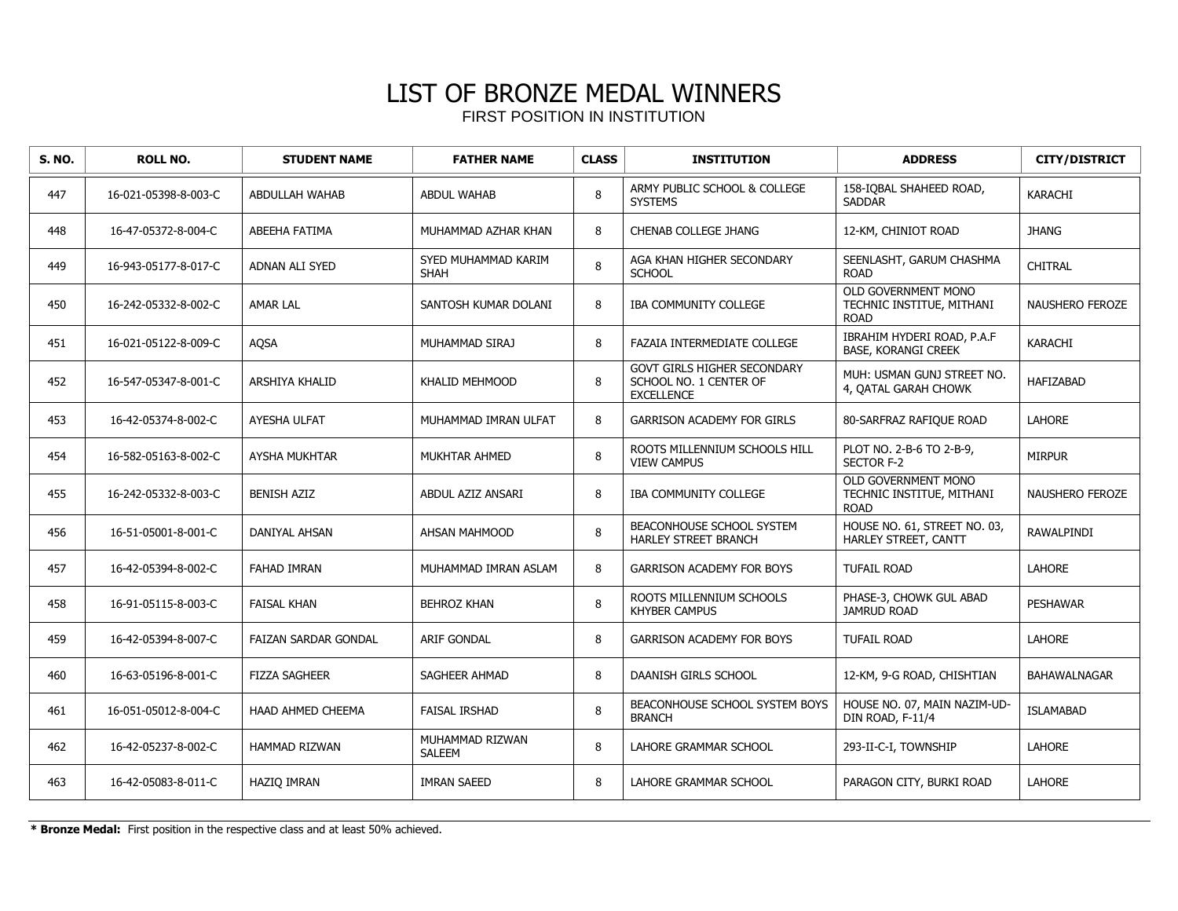| <b>S. NO.</b> | <b>ROLL NO.</b>      | <b>STUDENT NAME</b>  | <b>FATHER NAME</b>                 | <b>CLASS</b> | <b>INSTITUTION</b>                                                         | <b>ADDRESS</b>                                                  | <b>CITY/DISTRICT</b>   |
|---------------|----------------------|----------------------|------------------------------------|--------------|----------------------------------------------------------------------------|-----------------------------------------------------------------|------------------------|
| 447           | 16-021-05398-8-003-C | ABDULLAH WAHAB       | <b>ABDUL WAHAB</b>                 | 8            | ARMY PUBLIC SCHOOL & COLLEGE<br><b>SYSTEMS</b>                             | 158-IOBAL SHAHEED ROAD,<br><b>SADDAR</b>                        | <b>KARACHI</b>         |
| 448           | 16-47-05372-8-004-C  | ABEEHA FATIMA        | MUHAMMAD AZHAR KHAN                | 8            | CHENAB COLLEGE JHANG                                                       | 12-KM, CHINIOT ROAD                                             | <b>JHANG</b>           |
| 449           | 16-943-05177-8-017-C | ADNAN ALI SYED       | SYED MUHAMMAD KARIM<br><b>SHAH</b> | 8            | AGA KHAN HIGHER SECONDARY<br><b>SCHOOL</b>                                 | SEENLASHT, GARUM CHASHMA<br><b>ROAD</b>                         | <b>CHITRAL</b>         |
| 450           | 16-242-05332-8-002-C | <b>AMAR LAL</b>      | SANTOSH KUMAR DOLANI               | 8            | <b>IBA COMMUNITY COLLEGE</b>                                               | OLD GOVERNMENT MONO<br>TECHNIC INSTITUE, MITHANI<br><b>ROAD</b> | <b>NAUSHERO FEROZE</b> |
| 451           | 16-021-05122-8-009-C | AQSA                 | MUHAMMAD SIRAJ                     | 8            | <b>FAZAIA INTERMEDIATE COLLEGE</b>                                         | IBRAHIM HYDERI ROAD, P.A.F<br>BASE, KORANGI CREEK               | KARACHI                |
| 452           | 16-547-05347-8-001-C | ARSHIYA KHALID       | <b>KHALID MEHMOOD</b>              | 8            | GOVT GIRLS HIGHER SECONDARY<br>SCHOOL NO. 1 CENTER OF<br><b>EXCELLENCE</b> | MUH: USMAN GUNJ STREET NO.<br>4, OATAL GARAH CHOWK              | <b>HAFIZABAD</b>       |
| 453           | 16-42-05374-8-002-C  | AYESHA ULFAT         | MUHAMMAD IMRAN ULFAT               | 8            | <b>GARRISON ACADEMY FOR GIRLS</b>                                          | 80-SARFRAZ RAFIOUE ROAD                                         | <b>LAHORE</b>          |
| 454           | 16-582-05163-8-002-C | AYSHA MUKHTAR        | MUKHTAR AHMED                      | 8            | ROOTS MILLENNIUM SCHOOLS HILL<br><b>VIEW CAMPUS</b>                        | PLOT NO. 2-B-6 TO 2-B-9,<br>SECTOR F-2                          | <b>MIRPUR</b>          |
| 455           | 16-242-05332-8-003-C | <b>BENISH AZIZ</b>   | ABDUL AZIZ ANSARI                  | 8            | <b>IBA COMMUNITY COLLEGE</b>                                               | OLD GOVERNMENT MONO<br>TECHNIC INSTITUE, MITHANI<br><b>ROAD</b> | <b>NAUSHERO FEROZE</b> |
| 456           | 16-51-05001-8-001-C  | DANIYAL AHSAN        | AHSAN MAHMOOD                      | 8            | BEACONHOUSE SCHOOL SYSTEM<br><b>HARLEY STREET BRANCH</b>                   | HOUSE NO. 61, STREET NO. 03,<br>HARLEY STREET, CANTT            | RAWALPINDI             |
| 457           | 16-42-05394-8-002-C  | <b>FAHAD IMRAN</b>   | MUHAMMAD IMRAN ASLAM               | 8            | <b>GARRISON ACADEMY FOR BOYS</b>                                           | <b>TUFAIL ROAD</b>                                              | <b>LAHORE</b>          |
| 458           | 16-91-05115-8-003-C  | <b>FAISAL KHAN</b>   | <b>BEHROZ KHAN</b>                 | 8            | ROOTS MILLENNIUM SCHOOLS<br><b>KHYBER CAMPUS</b>                           | PHASE-3, CHOWK GUL ABAD<br><b>JAMRUD ROAD</b>                   | <b>PESHAWAR</b>        |
| 459           | 16-42-05394-8-007-C  | FAIZAN SARDAR GONDAL | ARIF GONDAL                        | 8            | <b>GARRISON ACADEMY FOR BOYS</b>                                           | <b>TUFAIL ROAD</b>                                              | LAHORE                 |
| 460           | 16-63-05196-8-001-C  | <b>FIZZA SAGHEER</b> | SAGHEER AHMAD                      | 8            | DAANISH GIRLS SCHOOL                                                       | 12-KM, 9-G ROAD, CHISHTIAN                                      | <b>BAHAWALNAGAR</b>    |
| 461           | 16-051-05012-8-004-C | HAAD AHMED CHEEMA    | <b>FAISAL IRSHAD</b>               | 8            | BEACONHOUSE SCHOOL SYSTEM BOYS<br><b>BRANCH</b>                            | HOUSE NO. 07, MAIN NAZIM-UD-<br>DIN ROAD, F-11/4                | <b>ISLAMABAD</b>       |
| 462           | 16-42-05237-8-002-C  | <b>HAMMAD RIZWAN</b> | MUHAMMAD RIZWAN<br><b>SALEEM</b>   | 8            | LAHORE GRAMMAR SCHOOL                                                      | 293-II-C-I, TOWNSHIP                                            | LAHORE                 |
| 463           | 16-42-05083-8-011-C  | <b>HAZIO IMRAN</b>   | <b>IMRAN SAEED</b>                 | 8            | LAHORE GRAMMAR SCHOOL                                                      | PARAGON CITY, BURKI ROAD                                        | <b>LAHORE</b>          |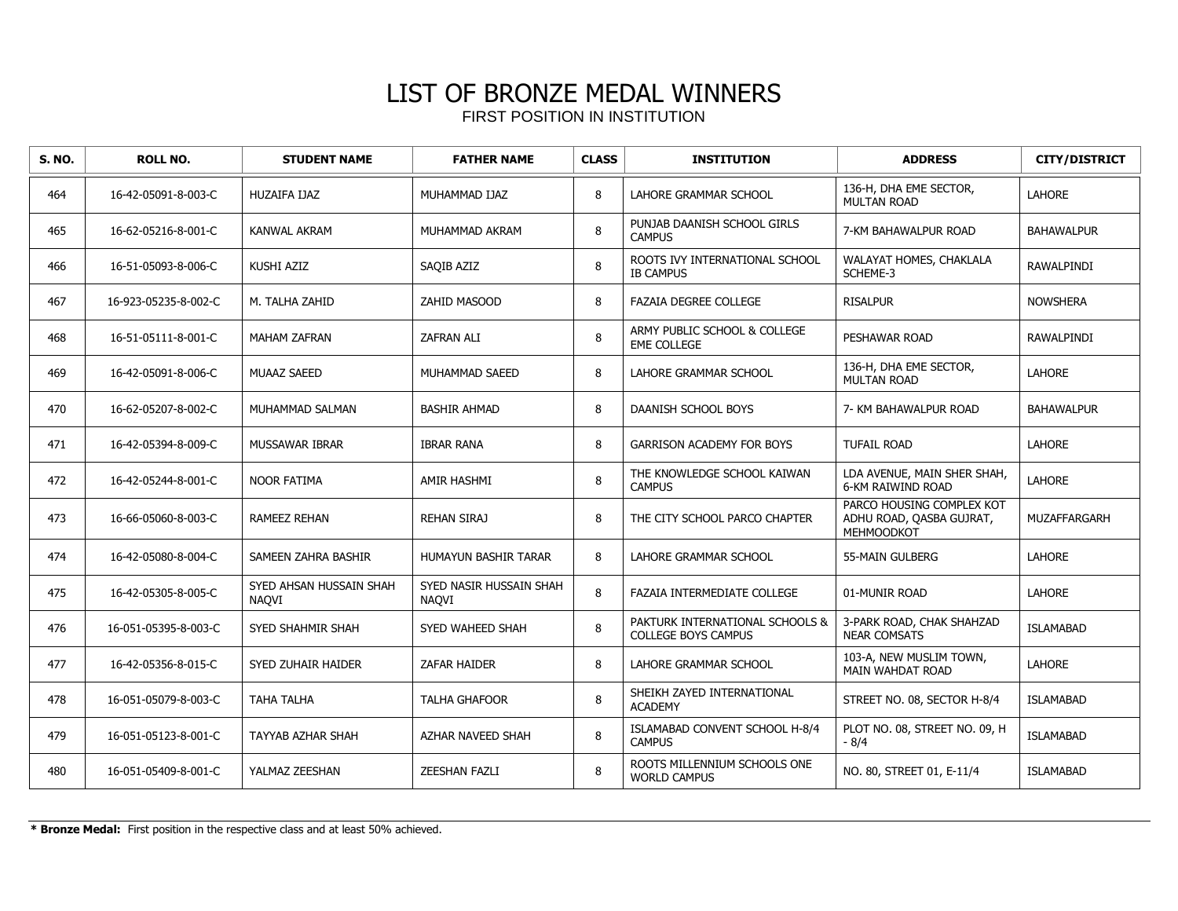| <b>S. NO.</b> | <b>ROLL NO.</b>      | <b>STUDENT NAME</b>                     | <b>FATHER NAME</b>                      | <b>CLASS</b> | <b>INSTITUTION</b>                                            | <b>ADDRESS</b>                                                      | <b>CITY/DISTRICT</b> |
|---------------|----------------------|-----------------------------------------|-----------------------------------------|--------------|---------------------------------------------------------------|---------------------------------------------------------------------|----------------------|
| 464           | 16-42-05091-8-003-C  | HUZAIFA IJAZ                            | MUHAMMAD IJAZ                           | 8            | LAHORE GRAMMAR SCHOOL                                         | 136-H, DHA EME SECTOR,<br><b>MULTAN ROAD</b>                        | <b>LAHORE</b>        |
| 465           | 16-62-05216-8-001-C  | <b>KANWAL AKRAM</b>                     | MUHAMMAD AKRAM                          | 8            | PUNJAB DAANISH SCHOOL GIRLS<br><b>CAMPUS</b>                  | 7-KM BAHAWALPUR ROAD                                                | <b>BAHAWALPUR</b>    |
| 466           | 16-51-05093-8-006-C  | KUSHI AZIZ                              | SAQIB AZIZ                              | 8            | ROOTS IVY INTERNATIONAL SCHOOL<br><b>IB CAMPUS</b>            | WALAYAT HOMES, CHAKLALA<br>SCHEME-3                                 | RAWALPINDI           |
| 467           | 16-923-05235-8-002-C | M. TALHA ZAHID                          | ZAHID MASOOD                            | 8            | <b>FAZAIA DEGREE COLLEGE</b>                                  | <b>RISALPUR</b>                                                     | <b>NOWSHERA</b>      |
| 468           | 16-51-05111-8-001-C  | <b>MAHAM ZAFRAN</b>                     | <b>ZAFRAN ALI</b>                       | 8            | ARMY PUBLIC SCHOOL & COLLEGE<br><b>EME COLLEGE</b>            | PESHAWAR ROAD                                                       | RAWALPINDI           |
| 469           | 16-42-05091-8-006-C  | <b>MUAAZ SAEED</b>                      | MUHAMMAD SAEED                          | 8            | LAHORE GRAMMAR SCHOOL                                         | 136-H, DHA EME SECTOR,<br><b>MULTAN ROAD</b>                        | <b>LAHORE</b>        |
| 470           | 16-62-05207-8-002-C  | MUHAMMAD SALMAN                         | <b>BASHIR AHMAD</b>                     | 8            | DAANISH SCHOOL BOYS                                           | 7- KM BAHAWALPUR ROAD                                               | <b>BAHAWALPUR</b>    |
| 471           | 16-42-05394-8-009-C  | <b>MUSSAWAR IBRAR</b>                   | <b>IBRAR RANA</b>                       | 8            | <b>GARRISON ACADEMY FOR BOYS</b>                              | <b>TUFAIL ROAD</b>                                                  | LAHORE               |
| 472           | 16-42-05244-8-001-C  | <b>NOOR FATIMA</b>                      | AMIR HASHMI                             | 8            | THE KNOWLEDGE SCHOOL KAIWAN<br><b>CAMPUS</b>                  | LDA AVENUE, MAIN SHER SHAH,<br><b>6-KM RAIWIND ROAD</b>             | <b>LAHORE</b>        |
| 473           | 16-66-05060-8-003-C  | <b>RAMEEZ REHAN</b>                     | <b>REHAN SIRAJ</b>                      | 8            | THE CITY SCHOOL PARCO CHAPTER                                 | PARCO HOUSING COMPLEX KOT<br>ADHU ROAD, QASBA GUJRAT,<br>MEHMOODKOT | MUZAFFARGARH         |
| 474           | 16-42-05080-8-004-C  | SAMEEN ZAHRA BASHIR                     | HUMAYUN BASHIR TARAR                    | 8            | LAHORE GRAMMAR SCHOOL                                         | 55-MAIN GULBERG                                                     | LAHORE               |
| 475           | 16-42-05305-8-005-C  | SYED AHSAN HUSSAIN SHAH<br><b>NAOVI</b> | SYED NASIR HUSSAIN SHAH<br><b>NAOVI</b> | 8            | <b>FAZAIA INTERMEDIATE COLLEGE</b>                            | 01-MUNIR ROAD                                                       | LAHORE               |
| 476           | 16-051-05395-8-003-C | SYED SHAHMIR SHAH                       | SYED WAHEED SHAH                        | 8            | PAKTURK INTERNATIONAL SCHOOLS &<br><b>COLLEGE BOYS CAMPUS</b> | 3-PARK ROAD, CHAK SHAHZAD<br><b>NEAR COMSATS</b>                    | <b>ISLAMABAD</b>     |
| 477           | 16-42-05356-8-015-C  | SYED ZUHAIR HAIDER                      | ZAFAR HAIDER                            | 8            | LAHORE GRAMMAR SCHOOL                                         | 103-A, NEW MUSLIM TOWN,<br>MAIN WAHDAT ROAD                         | <b>LAHORE</b>        |
| 478           | 16-051-05079-8-003-C | TAHA TALHA                              | <b>TALHA GHAFOOR</b>                    | 8            | SHEIKH ZAYED INTERNATIONAL<br><b>ACADEMY</b>                  | STREET NO. 08, SECTOR H-8/4                                         | <b>ISLAMABAD</b>     |
| 479           | 16-051-05123-8-001-C | TAYYAB AZHAR SHAH                       | AZHAR NAVEED SHAH                       | 8            | ISLAMABAD CONVENT SCHOOL H-8/4<br><b>CAMPUS</b>               | PLOT NO. 08, STREET NO. 09, H<br>$-8/4$                             | <b>ISLAMABAD</b>     |
| 480           | 16-051-05409-8-001-C | YALMAZ ZEESHAN                          | ZEESHAN FAZLI                           | 8            | ROOTS MILLENNIUM SCHOOLS ONE<br><b>WORLD CAMPUS</b>           | NO. 80, STREET 01, E-11/4                                           | <b>ISLAMABAD</b>     |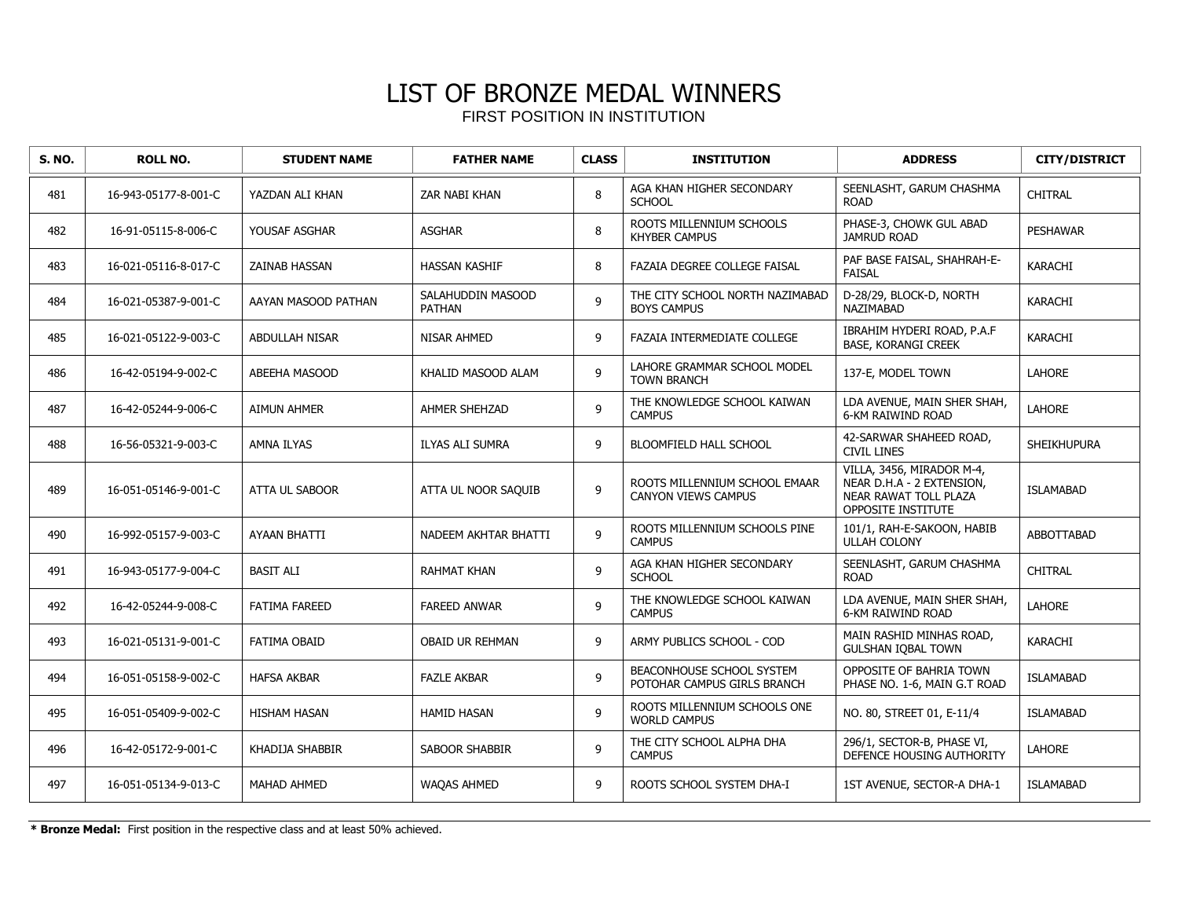| <b>S. NO.</b> | <b>ROLL NO.</b>      | <b>STUDENT NAME</b>   | <b>FATHER NAME</b>                 | <b>CLASS</b>   | <b>INSTITUTION</b>                                          | <b>ADDRESS</b>                                                                                        | <b>CITY/DISTRICT</b> |
|---------------|----------------------|-----------------------|------------------------------------|----------------|-------------------------------------------------------------|-------------------------------------------------------------------------------------------------------|----------------------|
| 481           | 16-943-05177-8-001-C | YAZDAN ALI KHAN       | ZAR NABI KHAN                      | 8              | AGA KHAN HIGHER SECONDARY<br><b>SCHOOL</b>                  | SEENLASHT, GARUM CHASHMA<br><b>ROAD</b>                                                               | CHITRAL              |
| 482           | 16-91-05115-8-006-C  | YOUSAF ASGHAR         | <b>ASGHAR</b>                      | 8              | ROOTS MILLENNIUM SCHOOLS<br><b>KHYBER CAMPUS</b>            | PHASE-3, CHOWK GUL ABAD<br><b>JAMRUD ROAD</b>                                                         | <b>PESHAWAR</b>      |
| 483           | 16-021-05116-8-017-C | <b>ZAINAB HASSAN</b>  | <b>HASSAN KASHIF</b>               | 8              | FAZAIA DEGREE COLLEGE FAISAL                                | PAF BASE FAISAL, SHAHRAH-E-<br><b>FAISAL</b>                                                          | KARACHI              |
| 484           | 16-021-05387-9-001-C | AAYAN MASOOD PATHAN   | SALAHUDDIN MASOOD<br><b>PATHAN</b> | 9              | THE CITY SCHOOL NORTH NAZIMABAD<br><b>BOYS CAMPUS</b>       | D-28/29, BLOCK-D, NORTH<br>NAZIMABAD                                                                  | KARACHI              |
| 485           | 16-021-05122-9-003-C | <b>ABDULLAH NISAR</b> | NISAR AHMED                        | 9              | <b>FAZAIA INTERMEDIATE COLLEGE</b>                          | IBRAHIM HYDERI ROAD, P.A.F<br><b>BASE, KORANGI CREEK</b>                                              | <b>KARACHI</b>       |
| 486           | 16-42-05194-9-002-C  | ABEEHA MASOOD         | KHALID MASOOD ALAM                 | 9              | LAHORE GRAMMAR SCHOOL MODEL<br><b>TOWN BRANCH</b>           | 137-E, MODEL TOWN                                                                                     | LAHORE               |
| 487           | 16-42-05244-9-006-C  | <b>AIMUN AHMER</b>    | AHMER SHEHZAD                      | 9              | THE KNOWLEDGE SCHOOL KAIWAN<br><b>CAMPUS</b>                | LDA AVENUE, MAIN SHER SHAH,<br><b>6-KM RAIWIND ROAD</b>                                               | <b>LAHORE</b>        |
| 488           | 16-56-05321-9-003-C  | <b>AMNA ILYAS</b>     | <b>ILYAS ALI SUMRA</b>             | 9              | BLOOMFIELD HALL SCHOOL                                      | 42-SARWAR SHAHEED ROAD,<br><b>CIVIL LINES</b>                                                         | <b>SHEIKHUPURA</b>   |
| 489           | 16-051-05146-9-001-C | <b>ATTA UL SABOOR</b> | ATTA UL NOOR SAQUIB                | $\overline{9}$ | ROOTS MILLENNIUM SCHOOL EMAAR<br><b>CANYON VIEWS CAMPUS</b> | VILLA, 3456, MIRADOR M-4,<br>NEAR D.H.A - 2 EXTENSION.<br>NEAR RAWAT TOLL PLAZA<br>OPPOSITE INSTITUTE | <b>ISLAMABAD</b>     |
| 490           | 16-992-05157-9-003-C | <b>AYAAN BHATTI</b>   | NADEEM AKHTAR BHATTI               | 9              | ROOTS MILLENNIUM SCHOOLS PINE<br><b>CAMPUS</b>              | 101/1, RAH-E-SAKOON, HABIB<br><b>ULLAH COLONY</b>                                                     | <b>ABBOTTABAD</b>    |
| 491           | 16-943-05177-9-004-C | <b>BASIT ALI</b>      | <b>RAHMAT KHAN</b>                 | 9              | AGA KHAN HIGHER SECONDARY<br><b>SCHOOL</b>                  | SEENLASHT, GARUM CHASHMA<br><b>ROAD</b>                                                               | <b>CHITRAL</b>       |
| 492           | 16-42-05244-9-008-C  | <b>FATIMA FAREED</b>  | <b>FAREED ANWAR</b>                | 9              | THE KNOWLEDGE SCHOOL KAIWAN<br><b>CAMPUS</b>                | LDA AVENUE, MAIN SHER SHAH,<br><b>6-KM RAIWIND ROAD</b>                                               | LAHORE               |
| 493           | 16-021-05131-9-001-C | <b>FATIMA OBAID</b>   | <b>OBAID UR REHMAN</b>             | 9              | ARMY PUBLICS SCHOOL - COD                                   | MAIN RASHID MINHAS ROAD.<br><b>GULSHAN IQBAL TOWN</b>                                                 | <b>KARACHI</b>       |
| 494           | 16-051-05158-9-002-C | <b>HAFSA AKBAR</b>    | <b>FAZLE AKBAR</b>                 | 9              | BEACONHOUSE SCHOOL SYSTEM<br>POTOHAR CAMPUS GIRLS BRANCH    | OPPOSITE OF BAHRIA TOWN<br>PHASE NO. 1-6, MAIN G.T ROAD                                               | <b>ISLAMABAD</b>     |
| 495           | 16-051-05409-9-002-C | <b>HISHAM HASAN</b>   | <b>HAMID HASAN</b>                 | 9              | ROOTS MILLENNIUM SCHOOLS ONE<br><b>WORLD CAMPUS</b>         | NO. 80, STREET 01, E-11/4                                                                             | <b>ISLAMABAD</b>     |
| 496           | 16-42-05172-9-001-C  | KHADIJA SHABBIR       | SABOOR SHABBIR                     | 9              | THE CITY SCHOOL ALPHA DHA<br><b>CAMPUS</b>                  | 296/1, SECTOR-B, PHASE VI,<br>DEFENCE HOUSING AUTHORITY                                               | LAHORE               |
| 497           | 16-051-05134-9-013-C | <b>MAHAD AHMED</b>    | WAQAS AHMED                        | 9              | ROOTS SCHOOL SYSTEM DHA-I                                   | 1ST AVENUE, SECTOR-A DHA-1                                                                            | <b>ISLAMABAD</b>     |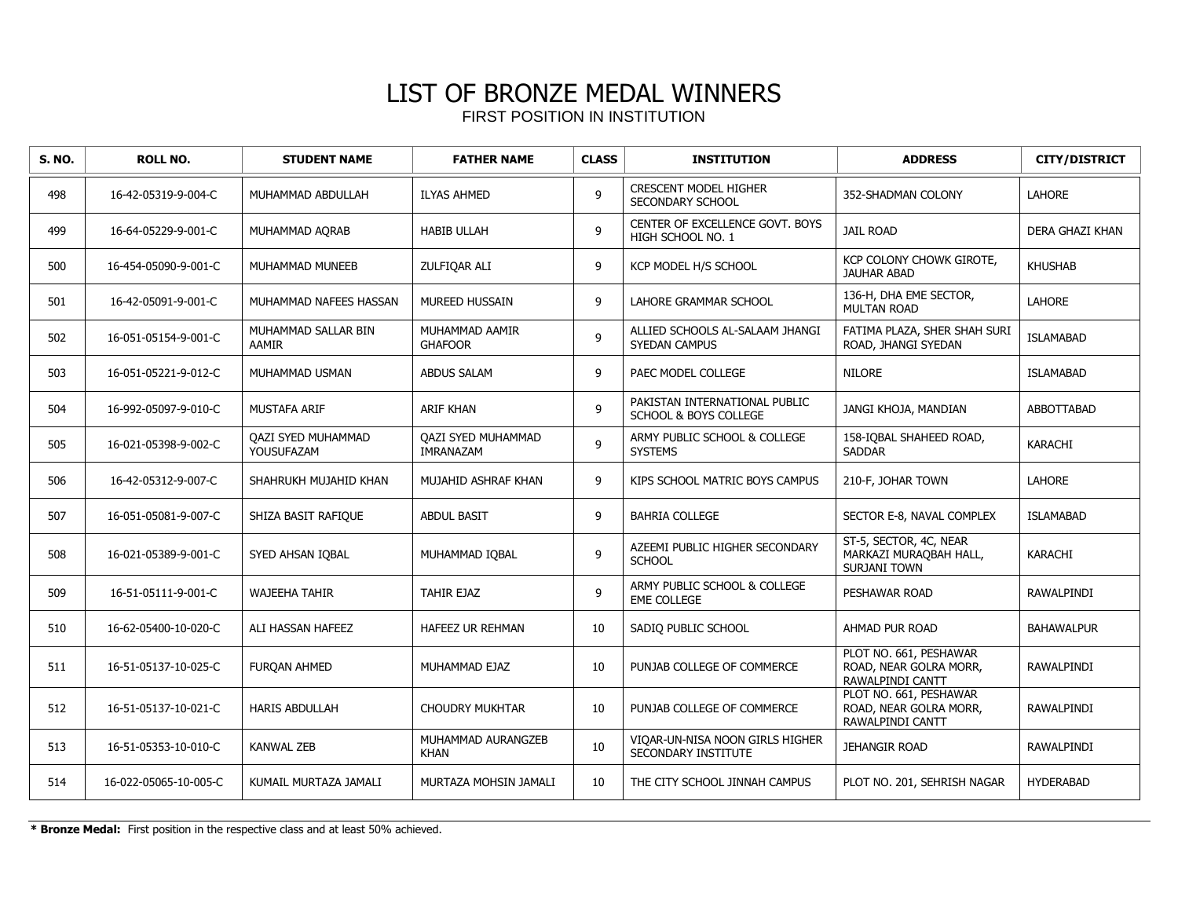| <b>S. NO.</b> | <b>ROLL NO.</b>       | <b>STUDENT NAME</b>              | <b>FATHER NAME</b>                     | <b>CLASS</b> | <b>INSTITUTION</b>                                                | <b>ADDRESS</b>                                                              | <b>CITY/DISTRICT</b> |
|---------------|-----------------------|----------------------------------|----------------------------------------|--------------|-------------------------------------------------------------------|-----------------------------------------------------------------------------|----------------------|
| 498           | 16-42-05319-9-004-C   | MUHAMMAD ABDULLAH                | <b>ILYAS AHMED</b>                     | 9            | <b>CRESCENT MODEL HIGHER</b><br>SECONDARY SCHOOL                  | 352-SHADMAN COLONY                                                          | <b>LAHORE</b>        |
| 499           | 16-64-05229-9-001-C   | MUHAMMAD AQRAB                   | <b>HABIB ULLAH</b>                     | 9            | CENTER OF EXCELLENCE GOVT. BOYS<br>HIGH SCHOOL NO. 1              | <b>JAIL ROAD</b>                                                            | DERA GHAZI KHAN      |
| 500           | 16-454-05090-9-001-C  | MUHAMMAD MUNEEB                  | ZULFIOAR ALI                           | 9            | KCP MODEL H/S SCHOOL                                              | KCP COLONY CHOWK GIROTE,<br><b>JAUHAR ABAD</b>                              | <b>KHUSHAB</b>       |
| 501           | 16-42-05091-9-001-C   | MUHAMMAD NAFEES HASSAN           | <b>MUREED HUSSAIN</b>                  | 9            | LAHORE GRAMMAR SCHOOL                                             | 136-H, DHA EME SECTOR,<br><b>MULTAN ROAD</b>                                | <b>LAHORE</b>        |
| 502           | 16-051-05154-9-001-C  | MUHAMMAD SALLAR BIN<br>AAMIR     | MUHAMMAD AAMIR<br><b>GHAFOOR</b>       | 9            | ALLIED SCHOOLS AL-SALAAM JHANGI<br><b>SYEDAN CAMPUS</b>           | FATIMA PLAZA, SHER SHAH SURI<br>ROAD, JHANGI SYEDAN                         | <b>ISLAMABAD</b>     |
| 503           | 16-051-05221-9-012-C  | MUHAMMAD USMAN                   | <b>ABDUS SALAM</b>                     | 9            | PAEC MODEL COLLEGE                                                | <b>NILORE</b>                                                               | <b>ISLAMABAD</b>     |
| 504           | 16-992-05097-9-010-C  | <b>MUSTAFA ARIF</b>              | <b>ARIF KHAN</b>                       | 9            | PAKISTAN INTERNATIONAL PUBLIC<br><b>SCHOOL &amp; BOYS COLLEGE</b> | JANGI KHOJA, MANDIAN                                                        | ABBOTTABAD           |
| 505           | 16-021-05398-9-002-C  | QAZI SYED MUHAMMAD<br>YOUSUFAZAM | <b>QAZI SYED MUHAMMAD</b><br>IMRANAZAM | 9            | ARMY PUBLIC SCHOOL & COLLEGE<br><b>SYSTEMS</b>                    | 158-IQBAL SHAHEED ROAD,<br><b>SADDAR</b>                                    | <b>KARACHI</b>       |
| 506           | 16-42-05312-9-007-C   | SHAHRUKH MUJAHID KHAN            | MUJAHID ASHRAF KHAN                    | 9            | KIPS SCHOOL MATRIC BOYS CAMPUS                                    | 210-F, JOHAR TOWN                                                           | <b>LAHORE</b>        |
| 507           | 16-051-05081-9-007-C  | SHIZA BASIT RAFIQUE              | <b>ABDUL BASIT</b>                     | 9            | <b>BAHRIA COLLEGE</b>                                             | SECTOR E-8, NAVAL COMPLEX                                                   | <b>ISLAMABAD</b>     |
| 508           | 16-021-05389-9-001-C  | SYED AHSAN IQBAL                 | MUHAMMAD IOBAL                         | 9            | AZEEMI PUBLIC HIGHER SECONDARY<br><b>SCHOOL</b>                   | ST-5, SECTOR, 4C, NEAR<br>MARKAZI MURAQBAH HALL,<br><b>SURJANI TOWN</b>     | KARACHI              |
| 509           | 16-51-05111-9-001-C   | <b>WAJEEHA TAHIR</b>             | TAHIR EJAZ                             | 9            | ARMY PUBLIC SCHOOL & COLLEGE<br><b>EME COLLEGE</b>                | PESHAWAR ROAD                                                               | RAWALPINDI           |
| 510           | 16-62-05400-10-020-C  | ALI HASSAN HAFEEZ                | <b>HAFEEZ UR REHMAN</b>                | 10           | SADIO PUBLIC SCHOOL                                               | AHMAD PUR ROAD                                                              | <b>BAHAWALPUR</b>    |
| 511           | 16-51-05137-10-025-C  | FUROAN AHMED                     | MUHAMMAD EJAZ                          | 10           | PUNJAB COLLEGE OF COMMERCE                                        | PLOT NO. 661, PESHAWAR<br>ROAD, NEAR GOLRA MORR,<br><b>RAWALPINDI CANTT</b> | RAWALPINDI           |
| 512           | 16-51-05137-10-021-C  | <b>HARIS ABDULLAH</b>            | <b>CHOUDRY MUKHTAR</b>                 | 10           | PUNJAB COLLEGE OF COMMERCE                                        | PLOT NO. 661, PESHAWAR<br>ROAD, NEAR GOLRA MORR,<br>RAWALPINDI CANTT        | RAWALPINDI           |
| 513           | 16-51-05353-10-010-C  | <b>KANWAL ZEB</b>                | MUHAMMAD AURANGZEB<br><b>KHAN</b>      | 10           | VIOAR-UN-NISA NOON GIRLS HIGHER<br>SECONDARY INSTITUTE            | <b>JEHANGIR ROAD</b>                                                        | RAWALPINDI           |
| 514           | 16-022-05065-10-005-C | KUMAIL MURTAZA JAMALI            | MURTAZA MOHSIN JAMALI                  | 10           | THE CITY SCHOOL JINNAH CAMPUS                                     | PLOT NO. 201, SEHRISH NAGAR                                                 | <b>HYDERABAD</b>     |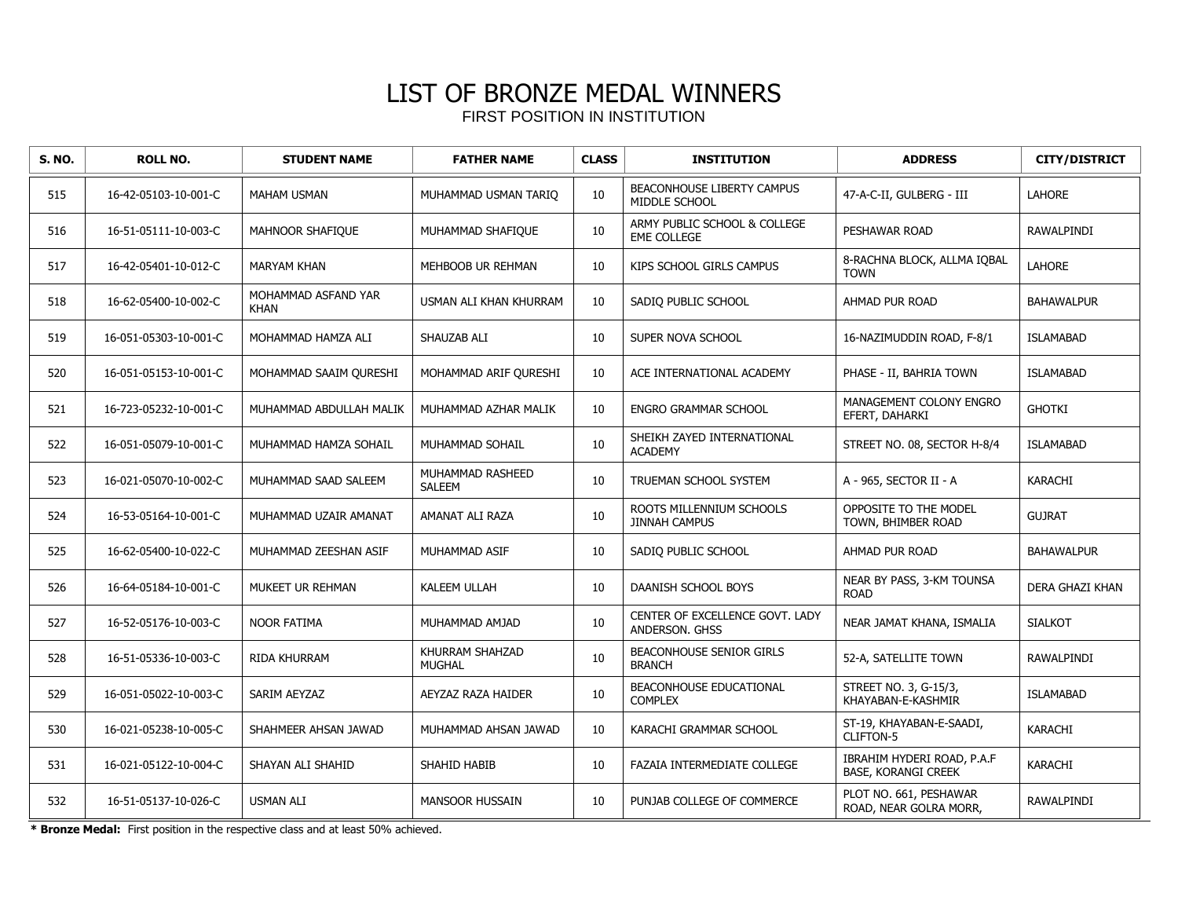| S. NO. | <b>ROLL NO.</b>       | <b>STUDENT NAME</b>                | <b>FATHER NAME</b>                | <b>CLASS</b> | <b>INSTITUTION</b>                                 | <b>ADDRESS</b>                                           | <b>CITY/DISTRICT</b> |
|--------|-----------------------|------------------------------------|-----------------------------------|--------------|----------------------------------------------------|----------------------------------------------------------|----------------------|
| 515    | 16-42-05103-10-001-C  | <b>MAHAM USMAN</b>                 | MUHAMMAD USMAN TARIO              | 10           | <b>BEACONHOUSE LIBERTY CAMPUS</b><br>MIDDLE SCHOOL | 47-A-C-II, GULBERG - III                                 | <b>LAHORE</b>        |
| 516    | 16-51-05111-10-003-C  | <b>MAHNOOR SHAFIQUE</b>            | MUHAMMAD SHAFIQUE                 | 10           | ARMY PUBLIC SCHOOL & COLLEGE<br><b>EME COLLEGE</b> | PESHAWAR ROAD                                            | RAWALPINDI           |
| 517    | 16-42-05401-10-012-C  | <b>MARYAM KHAN</b>                 | MEHBOOB UR REHMAN                 | 10           | KIPS SCHOOL GIRLS CAMPUS                           | 8-RACHNA BLOCK, ALLMA IQBAL<br><b>TOWN</b>               | <b>LAHORE</b>        |
| 518    | 16-62-05400-10-002-C  | MOHAMMAD ASFAND YAR<br><b>KHAN</b> | USMAN ALI KHAN KHURRAM            | 10           | SADIQ PUBLIC SCHOOL                                | AHMAD PUR ROAD                                           | <b>BAHAWALPUR</b>    |
| 519    | 16-051-05303-10-001-C | MOHAMMAD HAMZA ALI                 | SHAUZAB ALI                       | 10           | SUPER NOVA SCHOOL                                  | 16-NAZIMUDDIN ROAD, F-8/1                                | <b>ISLAMABAD</b>     |
| 520    | 16-051-05153-10-001-C | MOHAMMAD SAAIM QURESHI             | MOHAMMAD ARIF OURESHI             | 10           | ACE INTERNATIONAL ACADEMY                          | PHASE - II, BAHRIA TOWN                                  | <b>ISLAMABAD</b>     |
| 521    | 16-723-05232-10-001-C | MUHAMMAD ABDULLAH MALIK            | MUHAMMAD AZHAR MALIK              | 10           | <b>ENGRO GRAMMAR SCHOOL</b>                        | MANAGEMENT COLONY ENGRO<br>EFERT, DAHARKI                | <b>GHOTKI</b>        |
| 522    | 16-051-05079-10-001-C | MUHAMMAD HAMZA SOHAIL              | MUHAMMAD SOHAIL                   | 10           | SHEIKH ZAYED INTERNATIONAL<br><b>ACADEMY</b>       | STREET NO. 08, SECTOR H-8/4                              | <b>ISLAMABAD</b>     |
| 523    | 16-021-05070-10-002-C | MUHAMMAD SAAD SALEEM               | MUHAMMAD RASHEED<br><b>SALEEM</b> | 10           | TRUEMAN SCHOOL SYSTEM                              | A - 965, SECTOR II - A                                   | <b>KARACHI</b>       |
| 524    | 16-53-05164-10-001-C  | MUHAMMAD UZAIR AMANAT              | AMANAT ALI RAZA                   | 10           | ROOTS MILLENNIUM SCHOOLS<br><b>JINNAH CAMPUS</b>   | OPPOSITE TO THE MODEL<br>TOWN, BHIMBER ROAD              | <b>GUJRAT</b>        |
| 525    | 16-62-05400-10-022-C  | MUHAMMAD ZEESHAN ASIF              | MUHAMMAD ASIF                     | 10           | SADIQ PUBLIC SCHOOL                                | AHMAD PUR ROAD                                           | <b>BAHAWALPUR</b>    |
| 526    | 16-64-05184-10-001-C  | MUKEET UR REHMAN                   | <b>KALEEM ULLAH</b>               | 10           | DAANISH SCHOOL BOYS                                | NEAR BY PASS, 3-KM TOUNSA<br><b>ROAD</b>                 | DERA GHAZI KHAN      |
| 527    | 16-52-05176-10-003-C  | <b>NOOR FATIMA</b>                 | MUHAMMAD AMJAD                    | 10           | CENTER OF EXCELLENCE GOVT. LADY<br>ANDERSON, GHSS  | NEAR JAMAT KHANA, ISMALIA                                | <b>SIALKOT</b>       |
| 528    | 16-51-05336-10-003-C  | <b>RIDA KHURRAM</b>                | KHURRAM SHAHZAD<br><b>MUGHAL</b>  | 10           | <b>BEACONHOUSE SENIOR GIRLS</b><br><b>BRANCH</b>   | 52-A, SATELLITE TOWN                                     | RAWALPINDI           |
| 529    | 16-051-05022-10-003-C | SARIM AEYZAZ                       | AEYZAZ RAZA HAIDER                | 10           | BEACONHOUSE EDUCATIONAL<br><b>COMPLEX</b>          | STREET NO. 3, G-15/3,<br>KHAYABAN-E-KASHMIR              | <b>ISLAMABAD</b>     |
| 530    | 16-021-05238-10-005-C | SHAHMEER AHSAN JAWAD               | MUHAMMAD AHSAN JAWAD              | 10           | KARACHI GRAMMAR SCHOOL                             | ST-19, KHAYABAN-E-SAADI,<br><b>CLIFTON-5</b>             | <b>KARACHI</b>       |
| 531    | 16-021-05122-10-004-C | SHAYAN ALI SHAHID                  | SHAHID HABIB                      | 10           | FAZAIA INTERMEDIATE COLLEGE                        | IBRAHIM HYDERI ROAD, P.A.F<br><b>BASE, KORANGI CREEK</b> | <b>KARACHI</b>       |
| 532    | 16-51-05137-10-026-C  | <b>USMAN ALI</b>                   | <b>MANSOOR HUSSAIN</b>            | 10           | PUNJAB COLLEGE OF COMMERCE                         | PLOT NO. 661, PESHAWAR<br>ROAD, NEAR GOLRA MORR,         | <b>RAWALPINDI</b>    |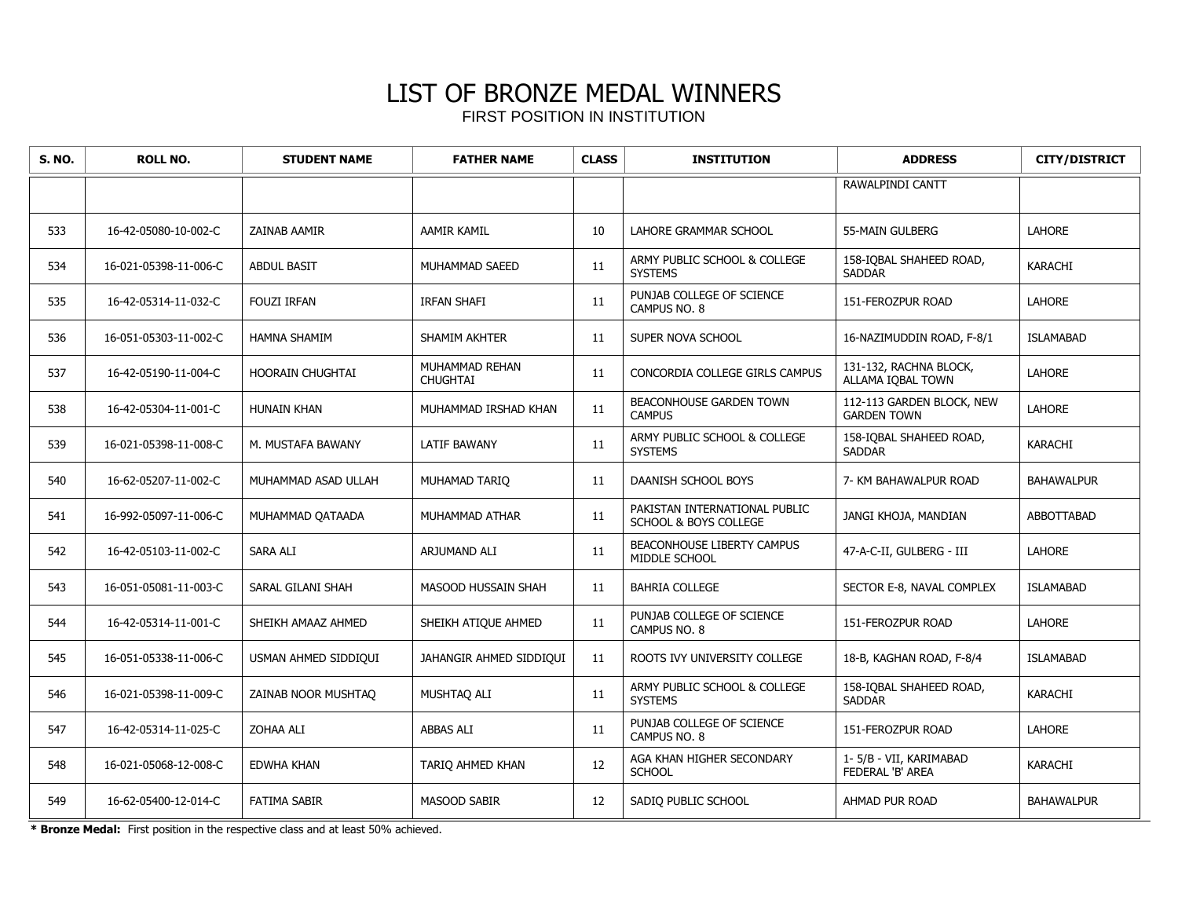| <b>S. NO.</b> | <b>ROLL NO.</b>       | <b>STUDENT NAME</b>     | <b>FATHER NAME</b>                | <b>CLASS</b> | <b>INSTITUTION</b>                                                | <b>ADDRESS</b>                                  | <b>CITY/DISTRICT</b> |
|---------------|-----------------------|-------------------------|-----------------------------------|--------------|-------------------------------------------------------------------|-------------------------------------------------|----------------------|
|               |                       |                         |                                   |              |                                                                   | RAWALPINDI CANTT                                |                      |
| 533           | 16-42-05080-10-002-C  | ZAINAB AAMIR            | AAMIR KAMIL                       | 10           | LAHORE GRAMMAR SCHOOL                                             | 55-MAIN GULBERG                                 | <b>LAHORE</b>        |
| 534           | 16-021-05398-11-006-C | <b>ABDUL BASIT</b>      | MUHAMMAD SAEED                    | 11           | ARMY PUBLIC SCHOOL & COLLEGE<br><b>SYSTEMS</b>                    | 158-IOBAL SHAHEED ROAD,<br><b>SADDAR</b>        | KARACHI              |
| 535           | 16-42-05314-11-032-C  | <b>FOUZI IRFAN</b>      | <b>IRFAN SHAFI</b>                | 11           | PUNJAB COLLEGE OF SCIENCE<br>CAMPUS NO. 8                         | 151-FEROZPUR ROAD                               | <b>LAHORE</b>        |
| 536           | 16-051-05303-11-002-C | HAMNA SHAMIM            | SHAMIM AKHTER                     | 11           | SUPER NOVA SCHOOL                                                 | 16-NAZIMUDDIN ROAD, F-8/1                       | <b>ISLAMABAD</b>     |
| 537           | 16-42-05190-11-004-C  | <b>HOORAIN CHUGHTAI</b> | MUHAMMAD REHAN<br><b>CHUGHTAI</b> | 11           | CONCORDIA COLLEGE GIRLS CAMPUS                                    | 131-132, RACHNA BLOCK,<br>ALLAMA IOBAL TOWN     | <b>LAHORE</b>        |
| 538           | 16-42-05304-11-001-C  | HUNAIN KHAN             | MUHAMMAD IRSHAD KHAN              | 11           | BEACONHOUSE GARDEN TOWN<br><b>CAMPUS</b>                          | 112-113 GARDEN BLOCK, NEW<br><b>GARDEN TOWN</b> | LAHORE               |
| 539           | 16-021-05398-11-008-C | M. MUSTAFA BAWANY       | LATIF BAWANY                      | 11           | ARMY PUBLIC SCHOOL & COLLEGE<br><b>SYSTEMS</b>                    | 158-IOBAL SHAHEED ROAD,<br><b>SADDAR</b>        | KARACHI              |
| 540           | 16-62-05207-11-002-C  | MUHAMMAD ASAD ULLAH     | MUHAMAD TARIO                     | 11           | DAANISH SCHOOL BOYS                                               | 7- KM BAHAWALPUR ROAD                           | <b>BAHAWALPUR</b>    |
| 541           | 16-992-05097-11-006-C | MUHAMMAD QATAADA        | MUHAMMAD ATHAR                    | 11           | PAKISTAN INTERNATIONAL PUBLIC<br><b>SCHOOL &amp; BOYS COLLEGE</b> | JANGI KHOJA, MANDIAN                            | ABBOTTABAD           |
| 542           | 16-42-05103-11-002-C  | SARA ALI                | ARJUMAND ALI                      | 11           | <b>BEACONHOUSE LIBERTY CAMPUS</b><br>MIDDLE SCHOOL                | 47-A-C-II, GULBERG - III                        | <b>LAHORE</b>        |
| 543           | 16-051-05081-11-003-C | SARAL GILANI SHAH       | MASOOD HUSSAIN SHAH               | 11           | <b>BAHRIA COLLEGE</b>                                             | SECTOR E-8, NAVAL COMPLEX                       | ISLAMABAD            |
| 544           | 16-42-05314-11-001-C  | SHEIKH AMAAZ AHMED      | SHEIKH ATIQUE AHMED               | 11           | PUNJAB COLLEGE OF SCIENCE<br>CAMPUS NO. 8                         | 151-FEROZPUR ROAD                               | <b>LAHORE</b>        |
| 545           | 16-051-05338-11-006-C | USMAN AHMED SIDDIQUI    | JAHANGIR AHMED SIDDIQUI           | 11           | ROOTS IVY UNIVERSITY COLLEGE                                      | 18-B, KAGHAN ROAD, F-8/4                        | <b>ISLAMABAD</b>     |
| 546           | 16-021-05398-11-009-C | ZAINAB NOOR MUSHTAO     | MUSHTAQ ALI                       | 11           | ARMY PUBLIC SCHOOL & COLLEGE<br><b>SYSTEMS</b>                    | 158-IOBAL SHAHEED ROAD,<br><b>SADDAR</b>        | <b>KARACHI</b>       |
| 547           | 16-42-05314-11-025-C  | <b>ZOHAA ALI</b>        | <b>ABBAS ALI</b>                  | 11           | PUNJAB COLLEGE OF SCIENCE<br>CAMPUS NO. 8                         | 151-FEROZPUR ROAD                               | <b>LAHORE</b>        |
| 548           | 16-021-05068-12-008-C | EDWHA KHAN              | TARIQ AHMED KHAN                  | $12\,$       | AGA KHAN HIGHER SECONDARY<br><b>SCHOOL</b>                        | 1-5/B - VII, KARIMABAD<br>FEDERAL 'B' AREA      | KARACHI              |
| 549           | 16-62-05400-12-014-C  | <b>FATIMA SABIR</b>     | <b>MASOOD SABIR</b>               | 12           | SADIO PUBLIC SCHOOL                                               | AHMAD PUR ROAD                                  | <b>BAHAWALPUR</b>    |